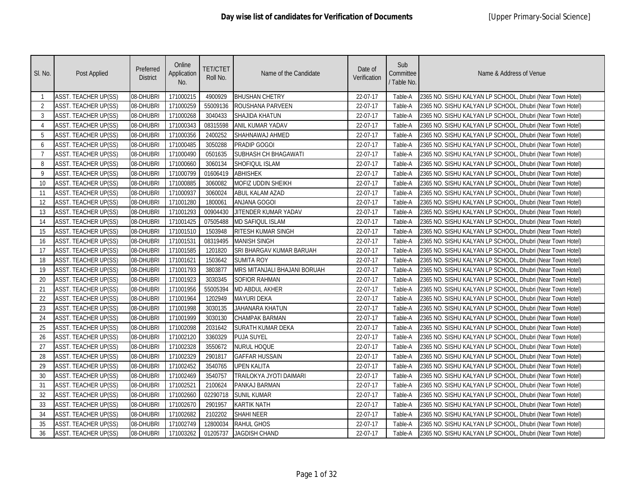| SI. No.        | Post Applied                | Preferred<br><b>District</b> | Online<br>Application<br>No. | <b>TET/CTET</b><br>Roll No. | Name of the Candidate        | Date of<br>Verification | Sub<br>Committee<br>/ Table No. | Name & Address of Venue                                   |
|----------------|-----------------------------|------------------------------|------------------------------|-----------------------------|------------------------------|-------------------------|---------------------------------|-----------------------------------------------------------|
|                | ASST. TEACHER UP(SS)        | 08-DHUBRI                    | 171000215                    | 4900929                     | <b>BHUSHAN CHETRY</b>        | 22-07-17                | Table-A                         | 2365 NO. SISHU KALYAN LP SCHOOL, Dhubri (Near Town Hotel) |
| $\overline{2}$ | <b>ASST. TEACHER UP(SS)</b> | 08-DHUBRI                    | 171000259                    | 55009136                    | ROUSHANA PARVEEN             | 22-07-17                | Table-A                         | 2365 NO. SISHU KALYAN LP SCHOOL, Dhubri (Near Town Hotel) |
| $\overline{3}$ | ASST. TEACHER UP(SS)        | 08-DHUBRI                    | 171000268                    | 3040433                     | <b>SHAJIDA KHATUN</b>        | 22-07-17                | Table-A                         | 2365 NO. SISHU KALYAN LP SCHOOL, Dhubri (Near Town Hotel) |
| $\overline{4}$ | <b>ASST. TEACHER UP(SS)</b> | 08-DHUBRI                    | 171000343                    | 08315598                    | ANIL KUMAR YADAV             | 22-07-17                | Table-A                         | 2365 NO. SISHU KALYAN LP SCHOOL, Dhubri (Near Town Hotel) |
| 5              | <b>ASST. TEACHER UP(SS)</b> | 08-DHUBRI                    | 171000356                    | 2400252                     | SHAHNAWAJ AHMED              | 22-07-17                | Table-A                         | 2365 NO. SISHU KALYAN LP SCHOOL, Dhubri (Near Town Hotel) |
| 6              | <b>ASST. TEACHER UP(SS)</b> | 08-DHUBRI                    | 171000485                    | 3050288                     | PRADIP GOGOI                 | 22-07-17                | Table-A                         | 2365 NO. SISHU KALYAN LP SCHOOL, Dhubri (Near Town Hotel) |
| $\overline{7}$ | ASST. TEACHER UP(SS)        | 08-DHUBRI                    | 171000490                    | 0501635                     | SUBHASH CH BHAGAWATI         | 22-07-17                | Table-A                         | 2365 NO. SISHU KALYAN LP SCHOOL, Dhubri (Near Town Hotel) |
| 8              | <b>ASST. TEACHER UP(SS)</b> | 08-DHUBRI                    | 171000660                    | 3060134                     | SHOFIQUL ISLAM               | 22-07-17                | Table-A                         | 2365 NO. SISHU KALYAN LP SCHOOL, Dhubri (Near Town Hotel) |
| 9              | ASST. TEACHER UP(SS)        | 08-DHUBRI                    | 171000799                    | 01606419                    | <b>ABHISHEK</b>              | 22-07-17                | Table-A                         | 2365 NO. SISHU KALYAN LP SCHOOL, Dhubri (Near Town Hotel) |
| 10             | <b>ASST. TEACHER UP(SS)</b> | 08-DHUBRI                    | 171000885                    | 3060082                     | MOFIZ UDDIN SHEIKH           | 22-07-17                | Table-A                         | 2365 NO. SISHU KALYAN LP SCHOOL, Dhubri (Near Town Hotel) |
| 11             | ASST. TEACHER UP(SS)        | 08-DHUBRI                    | 171000937                    | 3060024                     | ABUL KALAM AZAD              | 22-07-17                | Table-A                         | 2365 NO. SISHU KALYAN LP SCHOOL, Dhubri (Near Town Hotel) |
| 12             | <b>ASST. TEACHER UP(SS)</b> | 08-DHUBRI                    | 171001280                    | 1800061                     | <b>ANJANA GOGOI</b>          | 22-07-17                | Table-A                         | 2365 NO. SISHU KALYAN LP SCHOOL, Dhubri (Near Town Hotel) |
| 13             | <b>ASST. TEACHER UP(SS)</b> | 08-DHUBRI                    | 171001293                    | 00904430                    | JITENDER KUMAR YADAV         | 22-07-17                | Table-A                         | 2365 NO. SISHU KALYAN LP SCHOOL, Dhubri (Near Town Hotel) |
| 14             | ASST. TEACHER UP(SS)        | 08-DHUBRI                    | 171001425                    | 07505488                    | MD SAFIQUL ISLAM             | 22-07-17                | Table-A                         | 2365 NO. SISHU KALYAN LP SCHOOL, Dhubri (Near Town Hotel) |
| 15             | <b>ASST. TEACHER UP(SS)</b> | 08-DHUBRI                    | 171001510                    | 1503948                     | RITESH KUMAR SINGH           | 22-07-17                | Table-A                         | 2365 NO. SISHU KALYAN LP SCHOOL, Dhubri (Near Town Hotel) |
| 16             | ASST. TEACHER UP(SS)        | 08-DHUBRI                    | 171001531                    | 08319495                    | <b>MANISH SINGH</b>          | 22-07-17                | Table-A                         | 2365 NO. SISHU KALYAN LP SCHOOL, Dhubri (Near Town Hotel) |
| 17             | <b>ASST. TEACHER UP(SS)</b> | 08-DHUBRI                    | 171001585                    | 1201820                     | SRI BHARGAV KUMAR BARUAH     | 22-07-17                | Table-A                         | 2365 NO. SISHU KALYAN LP SCHOOL, Dhubri (Near Town Hotel) |
| 18             | ASST. TEACHER UP(SS)        | 08-DHUBRI                    | 171001621                    | 1503642                     | <b>SUMITA ROY</b>            | 22-07-17                | Table-A                         | 2365 NO. SISHU KALYAN LP SCHOOL, Dhubri (Near Town Hotel) |
| 19             | <b>ASST. TEACHER UP(SS)</b> | 08-DHUBRI                    | 171001793                    | 3803877                     | MRS MITANJALI BHAJANI BORUAH | 22-07-17                | Table-A                         | 2365 NO. SISHU KALYAN LP SCHOOL, Dhubri (Near Town Hotel) |
| 20             | <b>ASST. TEACHER UP(SS)</b> | 08-DHUBRI                    | 171001923                    | 3030345                     | <b>SOFIOR RAHMAN</b>         | 22-07-17                | Table-A                         | 2365 NO. SISHU KALYAN LP SCHOOL, Dhubri (Near Town Hotel) |
| 21             | <b>ASST. TEACHER UP(SS)</b> | 08-DHUBRI                    | 171001956                    | 55005394                    | MD ABDUL AKHER               | 22-07-17                | Table-A                         | 2365 NO. SISHU KALYAN LP SCHOOL, Dhubri (Near Town Hotel) |
| 22             | ASST. TEACHER UP(SS)        | 08-DHUBRI                    | 171001964                    | 1202949                     | <b>MAYURI DEKA</b>           | 22-07-17                | Table-A                         | 2365 NO. SISHU KALYAN LP SCHOOL, Dhubri (Near Town Hotel) |
| 23             | <b>ASST. TEACHER UP(SS)</b> | 08-DHUBRI                    | 171001998                    | 3030135                     | JAHANARA KHATUN              | 22-07-17                | Table-A                         | 2365 NO. SISHU KALYAN LP SCHOOL, Dhubri (Near Town Hotel) |
| 24             | <b>ASST. TEACHER UP(SS)</b> | 08-DHUBRI                    | 171001999                    | 3030130                     | <b>CHAMPAK BARMAN</b>        | 22-07-17                | Table-A                         | 2365 NO. SISHU KALYAN LP SCHOOL, Dhubri (Near Town Hotel) |
| 25             | ASST. TEACHER UP(SS)        | 08-DHUBRI                    | 171002098                    | 2031642                     | SURATH KUMAR DEKA            | 22-07-17                | Table-A                         | 2365 NO. SISHU KALYAN LP SCHOOL, Dhubri (Near Town Hotel) |
| 26             | ASST. TEACHER UP(SS)        | 08-DHUBRI                    | 171002120                    | 3360329                     | <b>PUJA SUYEL</b>            | 22-07-17                | Table-A                         | 2365 NO. SISHU KALYAN LP SCHOOL, Dhubri (Near Town Hotel) |
| 27             | <b>ASST. TEACHER UP(SS)</b> | 08-DHUBRI                    | 171002328                    | 3550672                     | NURUL HOQUE                  | 22-07-17                | Table-A                         | 2365 NO. SISHU KALYAN LP SCHOOL, Dhubri (Near Town Hotel) |
| 28             | ASST. TEACHER UP(SS)        | 08-DHUBRI                    | 171002329                    | 2901817                     | <b>GAFFAR HUSSAIN</b>        | 22-07-17                | Table-A                         | 2365 NO. SISHU KALYAN LP SCHOOL, Dhubri (Near Town Hotel) |
| 29             | ASST. TEACHER UP(SS)        | 08-DHUBRI                    | 171002452                    | 3540765                     | <b>UPEN KALITA</b>           | 22-07-17                | Table-A                         | 2365 NO. SISHU KALYAN LP SCHOOL, Dhubri (Near Town Hotel) |
| 30             | ASST. TEACHER UP(SS)        | 08-DHUBRI                    | 171002469                    | 3540757                     | TRAILOKYA JYOTI DAIMARI      | 22-07-17                | Table-A                         | 2365 NO. SISHU KALYAN LP SCHOOL, Dhubri (Near Town Hotel) |
| 31             | ASST. TEACHER UP(SS)        | 08-DHUBRI                    | 171002521                    | 2100624                     | PANKAJ BARMAN                | 22-07-17                | Table-A                         | 2365 NO. SISHU KALYAN LP SCHOOL, Dhubri (Near Town Hotel) |
| 32             | <b>ASST. TEACHER UP(SS)</b> | 08-DHUBRI                    | 171002660                    | 02290718                    | <b>SUNIL KUMAR</b>           | 22-07-17                | Table-A                         | 2365 NO. SISHU KALYAN LP SCHOOL, Dhubri (Near Town Hotel) |
| 33             | ASST. TEACHER UP(SS)        | 08-DHUBRI                    | 171002670                    | 2901957                     | <b>KARTIK NATH</b>           | 22-07-17                | Table-A                         | 2365 NO. SISHU KALYAN LP SCHOOL, Dhubri (Near Town Hotel) |
| 34             | <b>ASST. TEACHER UP(SS)</b> | 08-DHUBRI                    | 171002682                    | 2102202                     | <b>SHAHI NEER</b>            | 22-07-17                | Table-A                         | 2365 NO. SISHU KALYAN LP SCHOOL, Dhubri (Near Town Hotel) |
| 35             | ASST. TEACHER UP(SS)        | 08-DHUBRI                    | 171002749                    | 12800034                    | RAHUL GHOS                   | 22-07-17                | Table-A                         | 2365 NO. SISHU KALYAN LP SCHOOL, Dhubri (Near Town Hotel) |
| 36             | <b>ASST. TEACHER UP(SS)</b> | 08-DHUBRI                    | 171003262                    | 01205737                    | JAGDISH CHAND                | 22-07-17                | Table-A                         | 2365 NO. SISHU KALYAN LP SCHOOL, Dhubri (Near Town Hotel) |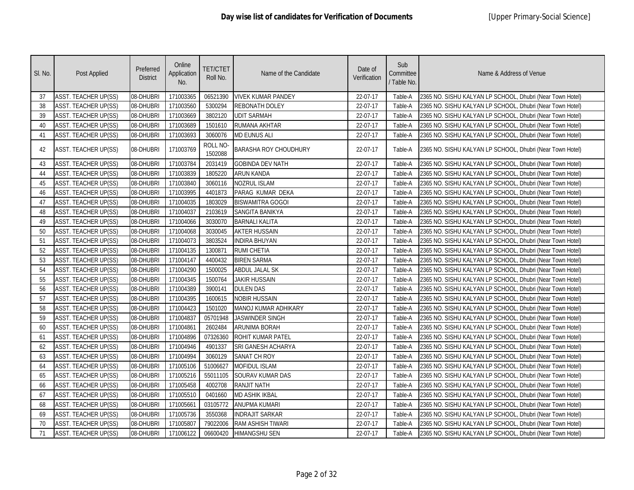| SI. No. | Post Applied                | Preferred<br><b>District</b> | Online<br>Application<br>No. | <b>TET/CTET</b><br>Roll No. | Name of the Candidate        | Date of<br>Verification | Sub<br>Committee<br>/ Table No. | Name & Address of Venue                                   |
|---------|-----------------------------|------------------------------|------------------------------|-----------------------------|------------------------------|-------------------------|---------------------------------|-----------------------------------------------------------|
| 37      | <b>ASST. TEACHER UP(SS)</b> | 08-DHUBRI                    | 171003365                    | 06521390                    | <b>VIVEK KUMAR PANDEY</b>    | 22-07-17                | Table-A                         | 2365 NO. SISHU KALYAN LP SCHOOL, Dhubri (Near Town Hotel) |
| 38      | ASST. TEACHER UP(SS)        | 08-DHUBRI                    | 171003560                    | 5300294                     | <b>REBONATH DOLEY</b>        | 22-07-17                | Table-A                         | 2365 NO. SISHU KALYAN LP SCHOOL, Dhubri (Near Town Hotel) |
| 39      | ASST. TEACHER UP(SS)        | 08-DHUBRI                    | 171003669                    | 3802120                     | <b>UDIT SARMAH</b>           | 22-07-17                | Table-A                         | 2365 NO. SISHU KALYAN LP SCHOOL, Dhubri (Near Town Hotel) |
| 40      | <b>ASST. TEACHER UP(SS)</b> | 08-DHUBRI                    | 171003689                    | 1501610                     | RUMANA AKHTAR                | 22-07-17                | Table-A                         | 2365 NO. SISHU KALYAN LP SCHOOL, Dhubri (Near Town Hotel) |
| 41      | <b>ASST. TEACHER UP(SS)</b> | 08-DHUBRI                    | 171003693                    | 3060076                     | <b>MD EUNUS ALI</b>          | 22-07-17                | Table-A                         | 2365 NO. SISHU KALYAN LP SCHOOL, Dhubri (Near Town Hotel) |
| 42      | <b>ASST. TEACHER UP(SS)</b> | 08-DHUBRI                    | 171003769                    | ROLL NO-<br>1502088         | <b>BARASHA ROY CHOUDHURY</b> | 22-07-17                | Table-A                         | 2365 NO. SISHU KALYAN LP SCHOOL, Dhubri (Near Town Hotel) |
| 43      | <b>ASST. TEACHER UP(SS)</b> | 08-DHUBRI                    | 171003784                    | 2031419                     | <b>GOBINDA DEV NATH</b>      | 22-07-17                | Table-A                         | 2365 NO. SISHU KALYAN LP SCHOOL, Dhubri (Near Town Hotel) |
| 44      | ASST. TEACHER UP(SS)        | 08-DHUBRI                    | 171003839                    | 1805220                     | <b>ARUN KANDA</b>            | 22-07-17                | Table-A                         | 2365 NO. SISHU KALYAN LP SCHOOL, Dhubri (Near Town Hotel) |
| 45      | <b>ASST. TEACHER UP(SS)</b> | 08-DHUBRI                    | 171003840                    | 3060116                     | NOZRUL ISLAM                 | 22-07-17                | Table-A                         | 2365 NO. SISHU KALYAN LP SCHOOL, Dhubri (Near Town Hotel) |
| 46      | ASST. TEACHER UP(SS)        | 08-DHUBRI                    | 171003995                    | 4401873                     | PARAG KUMAR DEKA             | 22-07-17                | Table-A                         | 2365 NO. SISHU KALYAN LP SCHOOL, Dhubri (Near Town Hotel) |
| 47      | <b>ASST. TEACHER UP(SS)</b> | 08-DHUBRI                    | 171004035                    | 1803029                     | <b>BISWAMITRA GOGOI</b>      | 22-07-17                | Table-A                         | 2365 NO. SISHU KALYAN LP SCHOOL, Dhubri (Near Town Hotel) |
| 48      | <b>ASST. TEACHER UP(SS)</b> | 08-DHUBRI                    | 171004037                    | 2103619                     | <b>SANGITA BANIKYA</b>       | 22-07-17                | Table-A                         | 2365 NO. SISHU KALYAN LP SCHOOL, Dhubri (Near Town Hotel) |
| 49      | ASST. TEACHER UP(SS)        | 08-DHUBRI                    | 171004066                    | 3030070                     | <b>BARNALI KALITA</b>        | 22-07-17                | Table-A                         | 2365 NO. SISHU KALYAN LP SCHOOL, Dhubri (Near Town Hotel) |
| 50      | <b>ASST. TEACHER UP(SS)</b> | 08-DHUBRI                    | 171004068                    | 3030045                     | <b>AKTER HUSSAIN</b>         | 22-07-17                | Table-A                         | 2365 NO. SISHU KALYAN LP SCHOOL, Dhubri (Near Town Hotel) |
| 51      | ASST. TEACHER UP(SS)        | 08-DHUBRI                    | 171004073                    | 3803524                     | <b>INDIRA BHUYAN</b>         | 22-07-17                | Table-A                         | 2365 NO. SISHU KALYAN LP SCHOOL, Dhubri (Near Town Hotel) |
| 52      | <b>ASST. TEACHER UP(SS)</b> | 08-DHUBRI                    | 171004135                    | 1300871                     | <b>RUMI CHETIA</b>           | 22-07-17                | Table-A                         | 2365 NO. SISHU KALYAN LP SCHOOL, Dhubri (Near Town Hotel) |
| 53      | <b>ASST. TEACHER UP(SS)</b> | 08-DHUBRI                    | 171004147                    | 4400432                     | <b>BIREN SARMA</b>           | 22-07-17                | Table-A                         | 2365 NO. SISHU KALYAN LP SCHOOL, Dhubri (Near Town Hotel) |
| 54      | ASST. TEACHER UP(SS)        | 08-DHUBRI                    | 171004290                    | 1500025                     | <b>ABDUL JALAL SK</b>        | 22-07-17                | Table-A                         | 2365 NO. SISHU KALYAN LP SCHOOL, Dhubri (Near Town Hotel) |
| 55      | <b>ASST. TEACHER UP(SS)</b> | 08-DHUBRI                    | 171004345                    | 1500764                     | <b>JAKIR HUSSAIN</b>         | 22-07-17                | Table-A                         | 2365 NO. SISHU KALYAN LP SCHOOL, Dhubri (Near Town Hotel) |
| 56      | <b>ASST. TEACHER UP(SS)</b> | 08-DHUBRI                    | 171004389                    | 3900141                     | <b>DULEN DAS</b>             | 22-07-17                | Table-A                         | 2365 NO. SISHU KALYAN LP SCHOOL, Dhubri (Near Town Hotel) |
| 57      | ASST. TEACHER UP(SS)        | 08-DHUBRI                    | 171004395                    | 1600615                     | <b>NOBIR HUSSAIN</b>         | 22-07-17                | Table-A                         | 2365 NO. SISHU KALYAN LP SCHOOL, Dhubri (Near Town Hotel) |
| 58      | ASST. TEACHER UP(SS)        | 08-DHUBRI                    | 171004423                    | 1501020                     | MANOJ KUMAR ADHIKARY         | 22-07-17                | Table-A                         | 2365 NO. SISHU KALYAN LP SCHOOL, Dhubri (Near Town Hotel) |
| 59      | ASST. TEACHER UP(SS)        | 08-DHUBRI                    | 171004837                    | 05701948                    | <b>JASWINDER SINGH</b>       | 22-07-17                | Table-A                         | 2365 NO. SISHU KALYAN LP SCHOOL, Dhubri (Near Town Hotel) |
| 60      | ASST. TEACHER UP(SS)        | 08-DHUBRI                    | 171004861                    | 2602484                     | ARUNIMA BORAH                | 22-07-17                | Table-A                         | 2365 NO. SISHU KALYAN LP SCHOOL, Dhubri (Near Town Hotel) |
| 61      | ASST. TEACHER UP(SS)        | 08-DHUBRI                    | 171004896                    | 07326360                    | ROHIT KUMAR PATEL            | 22-07-17                | Table-A                         | 2365 NO. SISHU KALYAN LP SCHOOL, Dhubri (Near Town Hotel) |
| 62      | ASST. TEACHER UP(SS)        | 08-DHUBRI                    | 171004946                    | 4901337                     | SRI GANESH ACHARYA           | 22-07-17                | Table-A                         | 2365 NO. SISHU KALYAN LP SCHOOL, Dhubri (Near Town Hotel) |
| 63      | <b>ASST. TEACHER UP(SS)</b> | 08-DHUBRI                    | 171004994                    | 3060129                     | <b>SANAT CH ROY</b>          | 22-07-17                | Table-A                         | 2365 NO. SISHU KALYAN LP SCHOOL, Dhubri (Near Town Hotel) |
| 64      | ASST. TEACHER UP(SS)        | 08-DHUBRI                    | 171005106                    | 51006627                    | <b>MOFIDUL ISLAM</b>         | 22-07-17                | Table-A                         | 2365 NO. SISHU KALYAN LP SCHOOL, Dhubri (Near Town Hotel) |
| 65      | <b>ASST. TEACHER UP(SS)</b> | 08-DHUBRI                    | 171005216                    | 55011105                    | SOURAV KUMAR DAS             | 22-07-17                | Table-A                         | 2365 NO. SISHU KALYAN LP SCHOOL, Dhubri (Near Town Hotel) |
| 66      | <b>ASST. TEACHER UP(SS)</b> | 08-DHUBRI                    | 171005458                    | 4002708                     | <b>RANJIT NATH</b>           | 22-07-17                | Table-A                         | 2365 NO. SISHU KALYAN LP SCHOOL, Dhubri (Near Town Hotel) |
| 67      | <b>ASST. TEACHER UP(SS)</b> | 08-DHUBRI                    | 171005510                    | 0401660                     | <b>MD ASHIK IKBAL</b>        | 22-07-17                | Table-A                         | 2365 NO. SISHU KALYAN LP SCHOOL, Dhubri (Near Town Hotel) |
| 68      | ASST. TEACHER UP(SS)        | 08-DHUBRI                    | 171005661                    | 03105772                    | <b>ANUPMA KUMARI</b>         | 22-07-17                | Table-A                         | 2365 NO. SISHU KALYAN LP SCHOOL, Dhubri (Near Town Hotel) |
| 69      | <b>ASST. TEACHER UP(SS)</b> | 08-DHUBRI                    | 171005736                    | 3550368                     | <b>INDRAJIT SARKAR</b>       | 22-07-17                | Table-A                         | 2365 NO. SISHU KALYAN LP SCHOOL, Dhubri (Near Town Hotel) |
| 70      | ASST. TEACHER UP(SS)        | 08-DHUBRI                    | 171005807                    | 79022006                    | RAM ASHISH TIWARI            | 22-07-17                | Table-A                         | 2365 NO. SISHU KALYAN LP SCHOOL, Dhubri (Near Town Hotel) |
| 71      | <b>ASST. TEACHER UP(SS)</b> | 08-DHUBRI                    | 171006122                    | 06600420                    | <b>HIMANGSHU SEN</b>         | 22-07-17                | Table-A                         | 2365 NO. SISHU KALYAN LP SCHOOL, Dhubri (Near Town Hotel) |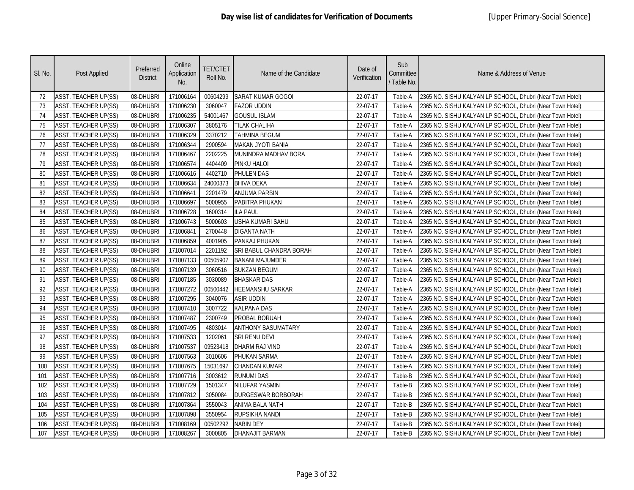| SI. No. | Post Applied                | Preferred<br><b>District</b> | Online<br>Application<br>No. | <b>TET/CTET</b><br>Roll No. | Name of the Candidate     | Date of<br>Verification | Sub<br>Committee<br>/ Table No. | Name & Address of Venue                                   |
|---------|-----------------------------|------------------------------|------------------------------|-----------------------------|---------------------------|-------------------------|---------------------------------|-----------------------------------------------------------|
| 72      | <b>ASST. TEACHER UP(SS)</b> | 08-DHUBRI                    | 171006164                    | 00604299                    | <b>SARAT KUMAR GOGOI</b>  | 22-07-17                | Table-A                         | 2365 NO. SISHU KALYAN LP SCHOOL, Dhubri (Near Town Hotel) |
| 73      | <b>ASST. TEACHER UP(SS)</b> | 08-DHUBRI                    | 171006230                    | 3060047                     | <b>FAZOR UDDIN</b>        | 22-07-17                | Table-A                         | 2365 NO. SISHU KALYAN LP SCHOOL, Dhubri (Near Town Hotel) |
| 74      | ASST. TEACHER UP(SS)        | 08-DHUBRI                    | 171006235                    | 54001467                    | <b>GOUSUL ISLAM</b>       | 22-07-17                | Table-A                         | 2365 NO. SISHU KALYAN LP SCHOOL, Dhubri (Near Town Hotel) |
| 75      | <b>ASST. TEACHER UP(SS)</b> | 08-DHUBRI                    | 171006307                    | 3805176                     | <b>TILAK CHALIHA</b>      | 22-07-17                | Table-A                         | 2365 NO. SISHU KALYAN LP SCHOOL, Dhubri (Near Town Hotel) |
| 76      | <b>ASST. TEACHER UP(SS)</b> | 08-DHUBRI                    | 171006329                    | 3370212                     | <b>TAHMINA BEGUM</b>      | 22-07-17                | Table-A                         | 2365 NO. SISHU KALYAN LP SCHOOL, Dhubri (Near Town Hotel) |
| 77      | <b>ASST. TEACHER UP(SS)</b> | 08-DHUBRI                    | 171006344                    | 2900594                     | <b>MAKAN JYOTI BANIA</b>  | 22-07-17                | Table-A                         | 2365 NO. SISHU KALYAN LP SCHOOL, Dhubri (Near Town Hotel) |
| 78      | <b>ASST. TEACHER UP(SS)</b> | 08-DHUBRI                    | 171006467                    | 2202225                     | MUNINDRA MADHAV BORA      | 22-07-17                | Table-A                         | 2365 NO. SISHU KALYAN LP SCHOOL, Dhubri (Near Town Hotel) |
| 79      | <b>ASST. TEACHER UP(SS)</b> | 08-DHUBRI                    | 171006574                    | 4404409                     | PINKU HALOI               | 22-07-17                | Table-A                         | 2365 NO. SISHU KALYAN LP SCHOOL, Dhubri (Near Town Hotel) |
| 80      | <b>ASST. TEACHER UP(SS)</b> | 08-DHUBRI                    | 171006616                    | 4402710                     | PHULEN DAS                | 22-07-17                | Table-A                         | 2365 NO. SISHU KALYAN LP SCHOOL, Dhubri (Near Town Hotel) |
| 81      | <b>ASST. TEACHER UP(SS)</b> | 08-DHUBRI                    | 171006634                    | 24000373                    | <b>BHIVA DEKA</b>         | 22-07-17                | Table-A                         | 2365 NO. SISHU KALYAN LP SCHOOL, Dhubri (Near Town Hotel) |
| 82      | <b>ASST. TEACHER UP(SS)</b> | 08-DHUBRI                    | 171006641                    | 2201479                     | <b>ANJUMA PARBIN</b>      | 22-07-17                | Table-A                         | 2365 NO. SISHU KALYAN LP SCHOOL, Dhubri (Near Town Hotel) |
| 83      | <b>ASST. TEACHER UP(SS)</b> | 08-DHUBRI                    | 171006697                    | 5000955                     | PABITRA PHUKAN            | 22-07-17                | Table-A                         | 2365 NO. SISHU KALYAN LP SCHOOL, Dhubri (Near Town Hotel) |
| 84      | <b>ASST. TEACHER UP(SS)</b> | 08-DHUBRI                    | 171006728                    | 1600314                     | <b>ILA PAUL</b>           | 22-07-17                | Table-A                         | 2365 NO. SISHU KALYAN LP SCHOOL, Dhubri (Near Town Hotel) |
| 85      | <b>ASST. TEACHER UP(SS)</b> | 08-DHUBRI                    | 171006743                    | 5000603                     | <b>USHA KUMARI SAHU</b>   | 22-07-17                | Table-A                         | 2365 NO. SISHU KALYAN LP SCHOOL, Dhubri (Near Town Hotel) |
| 86      | <b>ASST. TEACHER UP(SS)</b> | 08-DHUBRI                    | 171006841                    | 2700448                     | <b>DIGANTA NATH</b>       | 22-07-17                | Table-A                         | 2365 NO. SISHU KALYAN LP SCHOOL, Dhubri (Near Town Hotel) |
| 87      | <b>ASST. TEACHER UP(SS)</b> | 08-DHUBRI                    | 171006859                    | 4001905                     | PANKAJ PHUKAN             | 22-07-17                | Table-A                         | 2365 NO. SISHU KALYAN LP SCHOOL, Dhubri (Near Town Hotel) |
| 88      | <b>ASST. TEACHER UP(SS)</b> | 08-DHUBRI                    | 171007014                    | 2201192                     | SRI BABUL CHANDRA BORAH   | 22-07-17                | Table-A                         | 2365 NO. SISHU KALYAN LP SCHOOL, Dhubri (Near Town Hotel) |
| 89      | <b>ASST. TEACHER UP(SS)</b> | 08-DHUBRI                    | 171007133                    | 00505907                    | <b>BANANI MAJUMDER</b>    | 22-07-17                | Table-A                         | 2365 NO. SISHU KALYAN LP SCHOOL, Dhubri (Near Town Hotel) |
| 90      | <b>ASST. TEACHER UP(SS)</b> | 08-DHUBRI                    | 171007139                    | 3060516                     | <b>SUKZAN BEGUM</b>       | 22-07-17                | Table-A                         | 2365 NO. SISHU KALYAN LP SCHOOL, Dhubri (Near Town Hotel) |
| 91      | <b>ASST. TEACHER UP(SS)</b> | 08-DHUBRI                    | 171007185                    | 3030089                     | <b>BHASKAR DAS</b>        | 22-07-17                | Table-A                         | 2365 NO. SISHU KALYAN LP SCHOOL, Dhubri (Near Town Hotel) |
| 92      | <b>ASST. TEACHER UP(SS)</b> | 08-DHUBRI                    | 171007272                    | 00500442                    | <b>HEEMANSHU SARKAR</b>   | 22-07-17                | Table-A                         | 2365 NO. SISHU KALYAN LP SCHOOL, Dhubri (Near Town Hotel) |
| 93      | <b>ASST. TEACHER UP(SS)</b> | 08-DHUBRI                    | 171007295                    | 3040076                     | <b>ASIR UDDIN</b>         | 22-07-17                | Table-A                         | 2365 NO. SISHU KALYAN LP SCHOOL, Dhubri (Near Town Hotel) |
| 94      | <b>ASST. TEACHER UP(SS)</b> | 08-DHUBRI                    | 171007410                    | 3007722                     | <b>KALPANA DAS</b>        | 22-07-17                | Table-A                         | 2365 NO. SISHU KALYAN LP SCHOOL, Dhubri (Near Town Hotel) |
| 95      | <b>ASST. TEACHER UP(SS)</b> | 08-DHUBRI                    | 171007487                    | 2300749                     | PROBAL BORUAH             | 22-07-17                | Table-A                         | 2365 NO. SISHU KALYAN LP SCHOOL, Dhubri (Near Town Hotel) |
| 96      | <b>ASST. TEACHER UP(SS)</b> | 08-DHUBRI                    | 171007495                    | 4803014                     | <b>ANTHONY BASUMATARY</b> | 22-07-17                | Table-A                         | 2365 NO. SISHU KALYAN LP SCHOOL, Dhubri (Near Town Hotel) |
| 97      | <b>ASST. TEACHER UP(SS)</b> | 08-DHUBRI                    | 171007533                    | 1202061                     | SRI RENU DEVI             | 22-07-17                | Table-A                         | 2365 NO. SISHU KALYAN LP SCHOOL, Dhubri (Near Town Hotel) |
| 98      | <b>ASST. TEACHER UP(SS)</b> | 08-DHUBRI                    | 171007537                    | 09523418                    | DHARM RAJ VIND            | 22-07-17                | Table-A                         | 2365 NO. SISHU KALYAN LP SCHOOL, Dhubri (Near Town Hotel) |
| 99      | <b>ASST. TEACHER UP(SS)</b> | 08-DHUBRI                    | 171007563                    | 3010606                     | PHUKAN SARMA              | 22-07-17                | Table-A                         | 2365 NO. SISHU KALYAN LP SCHOOL, Dhubri (Near Town Hotel) |
| 100     | <b>ASST. TEACHER UP(SS)</b> | 08-DHUBRI                    | 171007675                    | 15031697                    | <b>CHANDAN KUMAR</b>      | 22-07-17                | Table-A                         | 2365 NO. SISHU KALYAN LP SCHOOL, Dhubri (Near Town Hotel) |
| 101     | <b>ASST. TEACHER UP(SS)</b> | 08-DHUBRI                    | 171007716                    | 3003612                     | <b>RUNUMI DAS</b>         | 22-07-17                | Table-B                         | 2365 NO. SISHU KALYAN LP SCHOOL, Dhubri (Near Town Hotel) |
| 102     | <b>ASST. TEACHER UP(SS)</b> | 08-DHUBRI                    | 171007729                    | 1501347                     | <b>NILUFAR YASMIN</b>     | 22-07-17                | Table-B                         | 2365 NO. SISHU KALYAN LP SCHOOL, Dhubri (Near Town Hotel) |
| 103     | <b>ASST. TEACHER UP(SS)</b> | 08-DHUBRI                    | 171007812                    | 3050084                     | <b>DURGESWAR BORBORAH</b> | 22-07-17                | Table-B                         | 2365 NO. SISHU KALYAN LP SCHOOL, Dhubri (Near Town Hotel) |
| 104     | <b>ASST. TEACHER UP(SS)</b> | 08-DHUBRI                    | 171007864                    | 3550043                     | ANIMA BALA NATH           | 22-07-17                | Table-B                         | 2365 NO. SISHU KALYAN LP SCHOOL, Dhubri (Near Town Hotel) |
| 105     | ASST. TEACHER UP(SS)        | 08-DHUBRI                    | 171007898                    | 3550954                     | RUPSIKHA NANDI            | 22-07-17                | Table-B                         | 2365 NO. SISHU KALYAN LP SCHOOL, Dhubri (Near Town Hotel) |
| 106     | <b>ASST. TEACHER UP(SS)</b> | 08-DHUBRI                    | 171008169                    | 00502292                    | <b>NABIN DEY</b>          | 22-07-17                | Table-B                         | 2365 NO. SISHU KALYAN LP SCHOOL, Dhubri (Near Town Hotel) |
| 107     | <b>ASST. TEACHER UP(SS)</b> | 08-DHUBRI                    | 171008267                    | 3000805                     | <b>DHANAJIT BARMAN</b>    | 22-07-17                | Table-B                         | 2365 NO. SISHU KALYAN LP SCHOOL, Dhubri (Near Town Hotel) |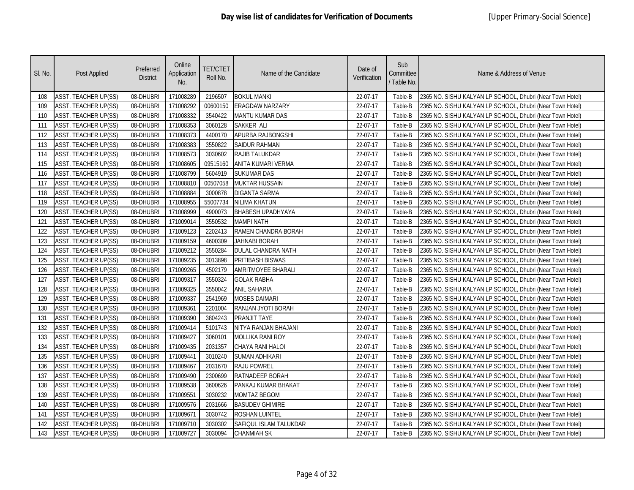| SI. No. | Post Applied                | Preferred<br><b>District</b> | Online<br>Application<br>No. | <b>TET/CTET</b><br>Roll No. | Name of the Candidate     | Date of<br>Verification | Sub<br>Committee<br>/ Table No. | Name & Address of Venue                                   |
|---------|-----------------------------|------------------------------|------------------------------|-----------------------------|---------------------------|-------------------------|---------------------------------|-----------------------------------------------------------|
| 108     | <b>ASST. TEACHER UP(SS)</b> | 08-DHUBRI                    | 171008289                    | 2196507                     | <b>BOKUL MANKI</b>        | 22-07-17                | Table-B                         | 2365 NO. SISHU KALYAN LP SCHOOL, Dhubri (Near Town Hotel) |
| 109     | <b>ASST. TEACHER UP(SS)</b> | 08-DHUBRI                    | 171008292                    | 00600150                    | <b>ERAGDAW NARZARY</b>    | 22-07-17                | Table-B                         | 2365 NO. SISHU KALYAN LP SCHOOL, Dhubri (Near Town Hotel) |
| 110     | ASST. TEACHER UP(SS)        | 08-DHUBRI                    | 171008332                    | 3540422                     | <b>MANTU KUMAR DAS</b>    | 22-07-17                | Table-B                         | 2365 NO. SISHU KALYAN LP SCHOOL, Dhubri (Near Town Hotel) |
| 111     | <b>ASST. TEACHER UP(SS)</b> | 08-DHUBRI                    | 171008353                    | 3060128                     | <b>SAKKER ALI</b>         | 22-07-17                | Table-B                         | 2365 NO. SISHU KALYAN LP SCHOOL, Dhubri (Near Town Hotel) |
| 112     | <b>ASST. TEACHER UP(SS)</b> | 08-DHUBRI                    | 171008373                    | 4400170                     | <b>APURBA RAJBONGSHI</b>  | 22-07-17                | Table-B                         | 2365 NO. SISHU KALYAN LP SCHOOL, Dhubri (Near Town Hotel) |
| 113     | <b>ASST. TEACHER UP(SS)</b> | 08-DHUBRI                    | 171008383                    | 3550822                     | <b>SAIDUR RAHMAN</b>      | 22-07-17                | Table-B                         | 2365 NO. SISHU KALYAN LP SCHOOL, Dhubri (Near Town Hotel) |
| 114     | <b>ASST. TEACHER UP(SS)</b> | 08-DHUBRI                    | 171008573                    | 3030602                     | RAJIB TALUKDAR            | 22-07-17                | Table-B                         | 2365 NO. SISHU KALYAN LP SCHOOL, Dhubri (Near Town Hotel) |
| 115     | <b>ASST. TEACHER UP(SS)</b> | 08-DHUBRI                    | 171008605                    | 09515160                    | ANITA KUMARI VERMA        | 22-07-17                | Table-B                         | 2365 NO. SISHU KALYAN LP SCHOOL, Dhubri (Near Town Hotel) |
| 116     | <b>ASST. TEACHER UP(SS)</b> | 08-DHUBRI                    | 171008799                    | 5604919                     | <b>SUKUMAR DAS</b>        | 22-07-17                | Table-B                         | 2365 NO. SISHU KALYAN LP SCHOOL, Dhubri (Near Town Hotel) |
| 117     | <b>ASST. TEACHER UP(SS)</b> | 08-DHUBRI                    | 171008810                    | 00507058                    | <b>MUKTAR HUSSAIN</b>     | 22-07-17                | Table-B                         | 2365 NO. SISHU KALYAN LP SCHOOL, Dhubri (Near Town Hotel) |
| 118     | ASST. TEACHER UP(SS)        | 08-DHUBRI                    | 171008884                    | 3000878                     | <b>DIGANTA SARMA</b>      | 22-07-17                | Table-B                         | 2365 NO. SISHU KALYAN LP SCHOOL, Dhubri (Near Town Hotel) |
| 119     | <b>ASST. TEACHER UP(SS)</b> | 08-DHUBRI                    | 171008955                    | 55007734                    | <b>NILIMA KHATUN</b>      | 22-07-17                | Table-B                         | 2365 NO. SISHU KALYAN LP SCHOOL, Dhubri (Near Town Hotel) |
| 120     | <b>ASST. TEACHER UP(SS)</b> | 08-DHUBRI                    | 171008999                    | 4900073                     | <b>BHABESH UPADHYAYA</b>  | 22-07-17                | Table-B                         | 2365 NO. SISHU KALYAN LP SCHOOL, Dhubri (Near Town Hotel) |
| 121     | ASST. TEACHER UP(SS)        | 08-DHUBRI                    | 171009014                    | 3550532                     | <b>MAMPI NATH</b>         | 22-07-17                | Table-B                         | 2365 NO. SISHU KALYAN LP SCHOOL, Dhubri (Near Town Hotel) |
| 122     | ASST. TEACHER UP(SS)        | 08-DHUBRI                    | 171009123                    | 2202413                     | RAMEN CHANDRA BORAH       | 22-07-17                | Table-B                         | 2365 NO. SISHU KALYAN LP SCHOOL, Dhubri (Near Town Hotel) |
| 123     | <b>ASST. TEACHER UP(SS)</b> | 08-DHUBRI                    | 171009159                    | 4600309                     | <b>JAHNABI BORAH</b>      | 22-07-17                | Table-B                         | 2365 NO. SISHU KALYAN LP SCHOOL, Dhubri (Near Town Hotel) |
| 124     | <b>ASST. TEACHER UP(SS)</b> | 08-DHUBRI                    | 171009212                    | 3550284                     | DULAL CHANDRA NATH        | 22-07-17                | Table-B                         | 2365 NO. SISHU KALYAN LP SCHOOL, Dhubri (Near Town Hotel) |
| 125     | <b>ASST. TEACHER UP(SS)</b> | 08-DHUBRI                    | 171009235                    | 3013898                     | <b>PRITIBASH BISWAS</b>   | 22-07-17                | Table-B                         | 2365 NO. SISHU KALYAN LP SCHOOL, Dhubri (Near Town Hotel) |
| 126     | <b>ASST. TEACHER UP(SS)</b> | 08-DHUBRI                    | 171009265                    | 4502179                     | <b>AMRITMOYEE BHARALI</b> | 22-07-17                | Table-B                         | 2365 NO. SISHU KALYAN LP SCHOOL, Dhubri (Near Town Hotel) |
| 127     | <b>ASST. TEACHER UP(SS)</b> | 08-DHUBRI                    | 171009317                    | 3550324                     | <b>GOLAK RABHA</b>        | 22-07-17                | Table-B                         | 2365 NO. SISHU KALYAN LP SCHOOL, Dhubri (Near Town Hotel) |
| 128     | <b>ASST. TEACHER UP(SS)</b> | 08-DHUBRI                    | 171009325                    | 3550042                     | <b>ANIL SAHARIA</b>       | 22-07-17                | Table-B                         | 2365 NO. SISHU KALYAN LP SCHOOL, Dhubri (Near Town Hotel) |
| 129     | ASST. TEACHER UP(SS)        | 08-DHUBRI                    | 171009337                    | 2541969                     | <b>MOSES DAIMARI</b>      | 22-07-17                | Table-B                         | 2365 NO. SISHU KALYAN LP SCHOOL, Dhubri (Near Town Hotel) |
| 130     | <b>ASST. TEACHER UP(SS)</b> | 08-DHUBRI                    | 171009361                    | 2201004                     | RANJAN JYOTI BORAH        | 22-07-17                | Table-B                         | 2365 NO. SISHU KALYAN LP SCHOOL, Dhubri (Near Town Hotel) |
| 131     | ASST. TEACHER UP(SS)        | 08-DHUBRI                    | 171009390                    | 3804243                     | <b>PRANJIT TAYE</b>       | 22-07-17                | Table-B                         | 2365 NO. SISHU KALYAN LP SCHOOL, Dhubri (Near Town Hotel) |
| 132     | ASST. TEACHER UP(SS)        | 08-DHUBRI                    | 171009414                    | 5101743                     | NITYA RANJAN BHAJANI      | 22-07-17                | Table-B                         | 2365 NO. SISHU KALYAN LP SCHOOL, Dhubri (Near Town Hotel) |
| 133     | <b>ASST. TEACHER UP(SS)</b> | 08-DHUBRI                    | 171009427                    | 3060101                     | MOLLIKA RANI ROY          | 22-07-17                | Table-B                         | 2365 NO. SISHU KALYAN LP SCHOOL, Dhubri (Near Town Hotel) |
| 134     | <b>ASST. TEACHER UP(SS)</b> | 08-DHUBRI                    | 171009435                    | 2031357                     | CHAYA RANI HALOI          | 22-07-17                | Table-B                         | 2365 NO. SISHU KALYAN LP SCHOOL, Dhubri (Near Town Hotel) |
| 135     | <b>ASST. TEACHER UP(SS)</b> | 08-DHUBRI                    | 171009441                    | 3010240                     | <b>SUMAN ADHIKARI</b>     | 22-07-17                | Table-B                         | 2365 NO. SISHU KALYAN LP SCHOOL, Dhubri (Near Town Hotel) |
| 136     | ASST. TEACHER UP(SS)        | 08-DHUBRI                    | 171009467                    | 2031670                     | <b>RAJU POWREL</b>        | 22-07-17                | Table-B                         | 2365 NO. SISHU KALYAN LP SCHOOL, Dhubri (Near Town Hotel) |
| 137     | ASST. TEACHER UP(SS)        | 08-DHUBRI                    | 171009490                    | 2300699                     | RATNADEEP BORAH           | 22-07-17                | Table-B                         | 2365 NO. SISHU KALYAN LP SCHOOL, Dhubri (Near Town Hotel) |
| 138     | <b>ASST. TEACHER UP(SS)</b> | 08-DHUBRI                    | 171009538                    | 3600626                     | PANKAJ KUMAR BHAKAT       | 22-07-17                | Table-B                         | 2365 NO. SISHU KALYAN LP SCHOOL, Dhubri (Near Town Hotel) |
| 139     | <b>ASST. TEACHER UP(SS)</b> | 08-DHUBRI                    | 171009551                    | 3030232                     | MOMTAZ BEGOM              | 22-07-17                | Table-B                         | 2365 NO. SISHU KALYAN LP SCHOOL, Dhubri (Near Town Hotel) |
| 140     | ASST. TEACHER UP(SS)        | 08-DHUBRI                    | 171009576                    | 2031666                     | <b>BASUDEV GHIMIRE</b>    | 22-07-17                | Table-B                         | 2365 NO. SISHU KALYAN LP SCHOOL, Dhubri (Near Town Hotel) |
| 141     | ASST. TEACHER UP(SS)        | 08-DHUBRI                    | 171009671                    | 3030742                     | <b>ROSHAN LUINTEL</b>     | 22-07-17                | Table-B                         | 2365 NO. SISHU KALYAN LP SCHOOL, Dhubri (Near Town Hotel) |
| 142     | <b>ASST. TEACHER UP(SS)</b> | 08-DHUBRI                    | 171009710                    | 3030302                     | SAFIQUL ISLAM TALUKDAR    | 22-07-17                | Table-B                         | 2365 NO. SISHU KALYAN LP SCHOOL, Dhubri (Near Town Hotel) |
| 143     | <b>ASST. TEACHER UP(SS)</b> | 08-DHUBRI                    | 171009727                    | 3030094                     | <b>CHANMIAH SK</b>        | 22-07-17                | Table-B                         | 2365 NO. SISHU KALYAN LP SCHOOL, Dhubri (Near Town Hotel) |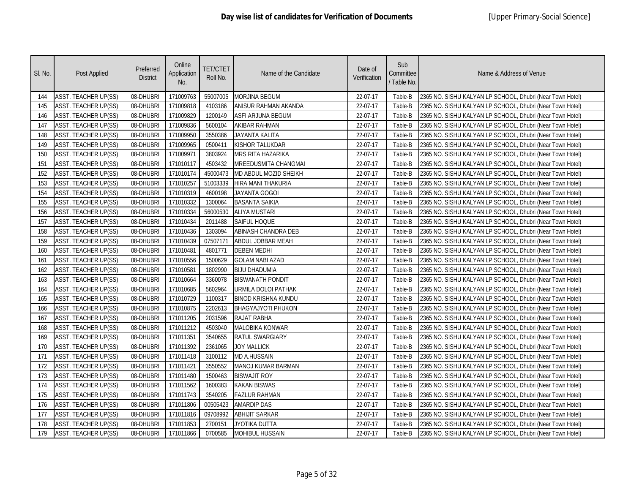| SI. No. | Post Applied                | Preferred<br><b>District</b> | Online<br>Application<br>No. | <b>TET/CTET</b><br>Roll No. | Name of the Candidate      | Date of<br>Verification | Sub<br>Committee<br>/ Table No. | Name & Address of Venue                                   |
|---------|-----------------------------|------------------------------|------------------------------|-----------------------------|----------------------------|-------------------------|---------------------------------|-----------------------------------------------------------|
| 144     | <b>ASST. TEACHER UP(SS)</b> | 08-DHUBRI                    | 171009763                    | 55007005                    | <b>MORJINA BEGUM</b>       | 22-07-17                | Table-B                         | 2365 NO. SISHU KALYAN LP SCHOOL, Dhubri (Near Town Hotel) |
| 145     | <b>ASST. TEACHER UP(SS)</b> | 08-DHUBRI                    | 171009818                    | 4103186                     | ANISUR RAHMAN AKANDA       | 22-07-17                | Table-B                         | 2365 NO. SISHU KALYAN LP SCHOOL, Dhubri (Near Town Hotel) |
| 146     | ASST. TEACHER UP(SS)        | 08-DHUBRI                    | 171009829                    | 1200149                     | ASFI ARJUNA BEGUM          | 22-07-17                | Table-B                         | 2365 NO. SISHU KALYAN LP SCHOOL, Dhubri (Near Town Hotel) |
| 147     | <b>ASST. TEACHER UP(SS)</b> | 08-DHUBRI                    | 171009836                    | 5600104                     | AKIBAR RAHMAN              | 22-07-17                | Table-B                         | 2365 NO. SISHU KALYAN LP SCHOOL, Dhubri (Near Town Hotel) |
| 148     | <b>ASST. TEACHER UP(SS)</b> | 08-DHUBRI                    | 171009950                    | 3550386                     | <b>JAYANTA KALITA</b>      | 22-07-17                | Table-B                         | 2365 NO. SISHU KALYAN LP SCHOOL, Dhubri (Near Town Hotel) |
| 149     | <b>ASST. TEACHER UP(SS)</b> | 08-DHUBRI                    | 171009965                    | 0500411                     | <b>KISHOR TALUKDAR</b>     | 22-07-17                | Table-B                         | 2365 NO. SISHU KALYAN LP SCHOOL, Dhubri (Near Town Hotel) |
| 150     | <b>ASST. TEACHER UP(SS)</b> | 08-DHUBRI                    | 171009971                    | 3803924                     | <b>MRS RITA HAZARIKA</b>   | 22-07-17                | Table-B                         | 2365 NO. SISHU KALYAN LP SCHOOL, Dhubri (Near Town Hotel) |
| 151     | <b>ASST. TEACHER UP(SS)</b> | 08-DHUBRI                    | 171010117                    | 4503432                     | MREEDUSMITA CHANGMAI       | 22-07-17                | Table-B                         | 2365 NO. SISHU KALYAN LP SCHOOL, Dhubri (Near Town Hotel) |
| 152     | <b>ASST. TEACHER UP(SS)</b> | 08-DHUBRI                    | 171010174                    | 45000473                    | MD ABDUL MOZID SHEIKH      | 22-07-17                | Table-B                         | 2365 NO. SISHU KALYAN LP SCHOOL, Dhubri (Near Town Hotel) |
| 153     | ASST. TEACHER UP(SS)        | 08-DHUBRI                    | 171010257                    | 51003339                    | HIRA MANI THAKURIA         | 22-07-17                | Table-B                         | 2365 NO. SISHU KALYAN LP SCHOOL, Dhubri (Near Town Hotel) |
| 154     | ASST. TEACHER UP(SS)        | 08-DHUBRI                    | 171010319                    | 4600198                     | JAYANTA GOGOI              | 22-07-17                | Table-B                         | 2365 NO. SISHU KALYAN LP SCHOOL, Dhubri (Near Town Hotel) |
| 155     | <b>ASST. TEACHER UP(SS)</b> | 08-DHUBRI                    | 171010332                    | 1300064                     | <b>BASANTA SAIKIA</b>      | 22-07-17                | Table-B                         | 2365 NO. SISHU KALYAN LP SCHOOL, Dhubri (Near Town Hotel) |
| 156     | <b>ASST. TEACHER UP(SS)</b> | 08-DHUBRI                    | 171010334                    | 56000530                    | <b>ALIYA MUSTARI</b>       | 22-07-17                | Table-B                         | 2365 NO. SISHU KALYAN LP SCHOOL, Dhubri (Near Town Hotel) |
| 157     | ASST. TEACHER UP(SS)        | 08-DHUBRI                    | 171010434                    | 2011488                     | SAIFUL HOQUE               | 22-07-17                | Table-B                         | 2365 NO. SISHU KALYAN LP SCHOOL, Dhubri (Near Town Hotel) |
| 158     | ASST. TEACHER UP(SS)        | 08-DHUBRI                    | 171010436                    | 1303094                     | <b>ABINASH CHANDRA DEB</b> | 22-07-17                | Table-B                         | 2365 NO. SISHU KALYAN LP SCHOOL, Dhubri (Near Town Hotel) |
| 159     | <b>ASST. TEACHER UP(SS)</b> | 08-DHUBRI                    | 171010439                    | 07507171                    | ABDUL JOBBAR MEAH          | 22-07-17                | Table-B                         | 2365 NO. SISHU KALYAN LP SCHOOL, Dhubri (Near Town Hotel) |
| 160     | <b>ASST. TEACHER UP(SS)</b> | 08-DHUBRI                    | 171010481                    | 4801771                     | <b>DEBEN MEDHI</b>         | 22-07-17                | Table-B                         | 2365 NO. SISHU KALYAN LP SCHOOL, Dhubri (Near Town Hotel) |
| 161     | <b>ASST. TEACHER UP(SS)</b> | 08-DHUBRI                    | 171010556                    | 1500629                     | <b>GOLAM NABI AZAD</b>     | 22-07-17                | Table-B                         | 2365 NO. SISHU KALYAN LP SCHOOL, Dhubri (Near Town Hotel) |
| 162     | <b>ASST. TEACHER UP(SS)</b> | 08-DHUBRI                    | 171010581                    | 1802990                     | <b>BIJU DHADUMIA</b>       | 22-07-17                | Table-B                         | 2365 NO. SISHU KALYAN LP SCHOOL, Dhubri (Near Town Hotel) |
| 163     | <b>ASST. TEACHER UP(SS)</b> | 08-DHUBRI                    | 171010664                    | 3360078                     | <b>BISWANATH PONDIT</b>    | 22-07-17                | Table-B                         | 2365 NO. SISHU KALYAN LP SCHOOL, Dhubri (Near Town Hotel) |
| 164     | <b>ASST. TEACHER UP(SS)</b> | 08-DHUBRI                    | 171010685                    | 5602964                     | URMILA DOLOI PATHAK        | 22-07-17                | Table-B                         | 2365 NO. SISHU KALYAN LP SCHOOL, Dhubri (Near Town Hotel) |
| 165     | <b>ASST. TEACHER UP(SS)</b> | 08-DHUBRI                    | 171010729                    | 1100317                     | <b>BINOD KRISHNA KUNDU</b> | 22-07-17                | Table-B                         | 2365 NO. SISHU KALYAN LP SCHOOL, Dhubri (Near Town Hotel) |
| 166     | <b>ASST. TEACHER UP(SS)</b> | 08-DHUBRI                    | 171010875                    | 2202613                     | <b>BHAGYAJYOTI PHUKON</b>  | 22-07-17                | Table-B                         | 2365 NO. SISHU KALYAN LP SCHOOL, Dhubri (Near Town Hotel) |
| 167     | <b>ASST. TEACHER UP(SS)</b> | 08-DHUBRI                    | 171011205                    | 2031596                     | <b>RAJAT RABHA</b>         | 22-07-17                | Table-B                         | 2365 NO. SISHU KALYAN LP SCHOOL, Dhubri (Near Town Hotel) |
| 168     | ASST. TEACHER UP(SS)        | 08-DHUBRI                    | 171011212                    | 4503040                     | <b>MALOBIKA KONWAR</b>     | 22-07-17                | Table-B                         | 2365 NO. SISHU KALYAN LP SCHOOL, Dhubri (Near Town Hotel) |
| 169     | ASST. TEACHER UP(SS)        | 08-DHUBRI                    | 171011351                    | 3540655                     | RATUL SWARGIARY            | 22-07-17                | Table-B                         | 2365 NO. SISHU KALYAN LP SCHOOL, Dhubri (Near Town Hotel) |
| 170     | <b>ASST. TEACHER UP(SS)</b> | 08-DHUBRI                    | 171011392                    | 2361065                     | <b>JOY MALLICK</b>         | 22-07-17                | Table-B                         | 2365 NO. SISHU KALYAN LP SCHOOL, Dhubri (Near Town Hotel) |
| 171     | <b>ASST. TEACHER UP(SS)</b> | 08-DHUBRI                    | 171011418                    | 3100112                     | <b>MD A.HUSSAIN</b>        | 22-07-17                | Table-B                         | 2365 NO. SISHU KALYAN LP SCHOOL, Dhubri (Near Town Hotel) |
| 172     | <b>ASST. TEACHER UP(SS)</b> | 08-DHUBRI                    | 171011421                    | 3550552                     | MANOJ KUMAR BARMAN         | 22-07-17                | Table-B                         | 2365 NO. SISHU KALYAN LP SCHOOL, Dhubri (Near Town Hotel) |
| 173     | ASST. TEACHER UP(SS)        | 08-DHUBRI                    | 171011480                    | 1500463                     | <b>BISWAJIT ROY</b>        | 22-07-17                | Table-B                         | 2365 NO. SISHU KALYAN LP SCHOOL, Dhubri (Near Town Hotel) |
| 174     | <b>ASST. TEACHER UP(SS)</b> | 08-DHUBRI                    | 171011562                    | 1600383                     | <b>KAKAN BISWAS</b>        | 22-07-17                | Table-B                         | 2365 NO. SISHU KALYAN LP SCHOOL, Dhubri (Near Town Hotel) |
| 175     | <b>ASST. TEACHER UP(SS)</b> | 08-DHUBRI                    | 171011743                    | 3540205                     | <b>FAZLUR RAHMAN</b>       | 22-07-17                | Table-B                         | 2365 NO. SISHU KALYAN LP SCHOOL, Dhubri (Near Town Hotel) |
| 176     | <b>ASST. TEACHER UP(SS)</b> | 08-DHUBRI                    | 171011806                    | 00505423                    | <b>AMARDIP DAS</b>         | 22-07-17                | Table-B                         | 2365 NO. SISHU KALYAN LP SCHOOL, Dhubri (Near Town Hotel) |
| 177     | ASST. TEACHER UP(SS)        | 08-DHUBRI                    | 171011816                    | 09708992                    | <b>ABHIJIT SARKAR</b>      | 22-07-17                | Table-B                         | 2365 NO. SISHU KALYAN LP SCHOOL, Dhubri (Near Town Hotel) |
| 178     | <b>ASST. TEACHER UP(SS)</b> | 08-DHUBRI                    | 171011853                    | 2700151                     | JYOTIKA DUTTA              | 22-07-17                | Table-B                         | 2365 NO. SISHU KALYAN LP SCHOOL, Dhubri (Near Town Hotel) |
| 179     | <b>ASST. TEACHER UP(SS)</b> | 08-DHUBRI                    | 171011866                    | 0700585                     | <b>MOHIBUL HUSSAIN</b>     | 22-07-17                | Table-B                         | 2365 NO. SISHU KALYAN LP SCHOOL, Dhubri (Near Town Hotel) |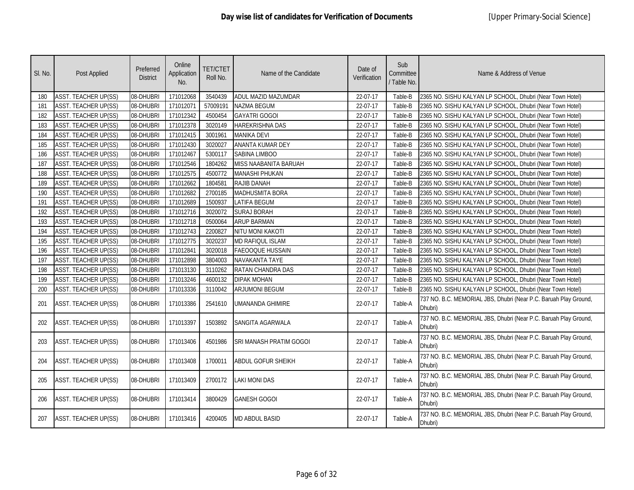| SI. No. | Post Applied                | Preferred<br><b>District</b> | Online<br>Application<br>No. | <b>TET/CTET</b><br>Roll No. | Name of the Candidate   | Date of<br>Verification | Sub<br>Committee<br>/ Table No. | Name & Address of Venue                                                     |
|---------|-----------------------------|------------------------------|------------------------------|-----------------------------|-------------------------|-------------------------|---------------------------------|-----------------------------------------------------------------------------|
| 180     | <b>ASST. TEACHER UP(SS)</b> | 08-DHUBRI                    | 171012068                    | 3540439                     | ADUL MAZID MAZUMDAR     | 22-07-17                | Table-B                         | 2365 NO. SISHU KALYAN LP SCHOOL, Dhubri (Near Town Hotel)                   |
| 181     | <b>ASST. TEACHER UP(SS)</b> | 08-DHUBRI                    | 171012071                    | 57009191                    | NAZMA BEGUM             | 22-07-17                | Table-B                         | 2365 NO. SISHU KALYAN LP SCHOOL, Dhubri (Near Town Hotel)                   |
| 182     | <b>ASST. TEACHER UP(SS)</b> | 08-DHUBRI                    | 171012342                    | 4500454                     | <b>GAYATRI GOGOI</b>    | 22-07-17                | Table-B                         | 2365 NO. SISHU KALYAN LP SCHOOL, Dhubri (Near Town Hotel)                   |
| 183     | <b>ASST. TEACHER UP(SS)</b> | 08-DHUBRI                    | 171012378                    | 3020149                     | HAREKRISHNA DAS         | 22-07-17                | Table-B                         | 2365 NO. SISHU KALYAN LP SCHOOL, Dhubri (Near Town Hotel)                   |
| 184     | <b>ASST. TEACHER UP(SS)</b> | 08-DHUBRI                    | 171012415                    | 3001961                     | <b>MANIKA DEVI</b>      | 22-07-17                | Table-B                         | 2365 NO. SISHU KALYAN LP SCHOOL, Dhubri (Near Town Hotel)                   |
| 185     | <b>ASST. TEACHER UP(SS)</b> | 08-DHUBRI                    | 171012430                    | 3020027                     | ANANTA KUMAR DEY        | 22-07-17                | Table-B                         | 2365 NO. SISHU KALYAN LP SCHOOL, Dhubri (Near Town Hotel)                   |
| 186     | <b>ASST. TEACHER UP(SS)</b> | 08-DHUBRI                    | 171012467                    | 5300117                     | SABINA LIMBOO           | 22-07-17                | Table-B                         | 2365 NO. SISHU KALYAN LP SCHOOL, Dhubri (Near Town Hotel)                   |
| 187     | <b>ASST. TEACHER UP(SS)</b> | 08-DHUBRI                    | 171012546                    | 1804262                     | MISS NAABANITA BARUAH   | 22-07-17                | Table-B                         | 2365 NO. SISHU KALYAN LP SCHOOL, Dhubri (Near Town Hotel)                   |
| 188     | <b>ASST. TEACHER UP(SS)</b> | 08-DHUBRI                    | 171012575                    | 4500772                     | <b>MANASHI PHUKAN</b>   | 22-07-17                | Table-B                         | 2365 NO. SISHU KALYAN LP SCHOOL, Dhubri (Near Town Hotel)                   |
| 189     | <b>ASST. TEACHER UP(SS)</b> | 08-DHUBRI                    | 171012662                    | 1804581                     | RAJIB DANAH             | 22-07-17                | Table-B                         | 2365 NO. SISHU KALYAN LP SCHOOL, Dhubri (Near Town Hotel)                   |
| 190     | <b>ASST. TEACHER UP(SS)</b> | 08-DHUBRI                    | 171012682                    | 2700185                     | <b>MADHUSMITA BORA</b>  | 22-07-17                | Table-B                         | 2365 NO. SISHU KALYAN LP SCHOOL, Dhubri (Near Town Hotel)                   |
| 191     | <b>ASST. TEACHER UP(SS)</b> | 08-DHUBRI                    | 171012689                    | 1500937                     | <b>LATIFA BEGUM</b>     | 22-07-17                | Table-B                         | 2365 NO. SISHU KALYAN LP SCHOOL, Dhubri (Near Town Hotel)                   |
| 192     | <b>ASST. TEACHER UP(SS)</b> | 08-DHUBRI                    | 171012716                    | 3020072                     | <b>SURAJ BORAH</b>      | 22-07-17                | Table-B                         | 2365 NO. SISHU KALYAN LP SCHOOL, Dhubri (Near Town Hotel)                   |
| 193     | <b>ASST. TEACHER UP(SS)</b> | 08-DHUBRI                    | 171012718                    | 0500064                     | <b>ARUP BARMAN</b>      | 22-07-17                | Table-B                         | 2365 NO. SISHU KALYAN LP SCHOOL, Dhubri (Near Town Hotel)                   |
| 194     | <b>ASST. TEACHER UP(SS)</b> | 08-DHUBRI                    | 171012743                    | 2200827                     | NITU MONI KAKOTI        | 22-07-17                | Table-B                         | 2365 NO. SISHU KALYAN LP SCHOOL, Dhubri (Near Town Hotel)                   |
| 195     | <b>ASST. TEACHER UP(SS)</b> | 08-DHUBRI                    | 171012775                    | 3020237                     | MD RAFIQUL ISLAM        | 22-07-17                | Table-B                         | 2365 NO. SISHU KALYAN LP SCHOOL, Dhubri (Near Town Hotel)                   |
| 196     | <b>ASST. TEACHER UP(SS)</b> | 08-DHUBRI                    | 171012841                    | 3020018                     | FAEOOQUE HUSSAIN        | 22-07-17                | Table-B                         | 2365 NO. SISHU KALYAN LP SCHOOL, Dhubri (Near Town Hotel)                   |
| 197     | ASST. TEACHER UP(SS)        | 08-DHUBRI                    | 171012898                    | 3804003                     | NAVAKANTA TAYE          | 22-07-17                | Table-B                         | 2365 NO. SISHU KALYAN LP SCHOOL, Dhubri (Near Town Hotel)                   |
| 198     | <b>ASST. TEACHER UP(SS)</b> | 08-DHUBRI                    | 171013130                    | 3110262                     | RATAN CHANDRA DAS       | 22-07-17                | Table-B                         | 2365 NO. SISHU KALYAN LP SCHOOL, Dhubri (Near Town Hotel)                   |
| 199     | ASST. TEACHER UP(SS)        | 08-DHUBRI                    | 171013246                    | 4600132                     | <b>DIPAK MOHAN</b>      | 22-07-17                | Table-B                         | 2365 NO. SISHU KALYAN LP SCHOOL, Dhubri (Near Town Hotel)                   |
| 200     | ASST. TEACHER UP(SS)        | 08-DHUBRI                    | 171013336                    | 3110042                     | <b>ARJUMONI BEGUM</b>   | 22-07-17                | Table-B                         | 2365 NO. SISHU KALYAN LP SCHOOL, Dhubri (Near Town Hotel)                   |
| 201     | <b>ASST. TEACHER UP(SS)</b> | 08-DHUBRI                    | 171013386                    | 2541610                     | UMANANDA GHIMIRE        | 22-07-17                | Table-A                         | 737 NO. B.C. MEMORIAL JBS, Dhubri (Near P.C. Baruah Play Ground,<br>Dhubri) |
| 202     | <b>ASST. TEACHER UP(SS)</b> | 08-DHUBRI                    | 171013397                    | 1503892                     | SANGITA AGARWALA        | 22-07-17                | Table-A                         | 737 NO. B.C. MEMORIAL JBS, Dhubri (Near P.C. Baruah Play Ground,<br>Dhubri) |
| 203     | <b>ASST. TEACHER UP(SS)</b> | 08-DHUBRI                    | 171013406                    | 4501986                     | SRI MANASH PRATIM GOGOI | 22-07-17                | Table-A                         | 737 NO. B.C. MEMORIAL JBS, Dhubri (Near P.C. Baruah Play Ground,<br>Dhubri) |
| 204     | <b>ASST. TEACHER UP(SS)</b> | 08-DHUBRI                    | 171013408                    | 1700011                     | ABDUL GOFUR SHEIKH      | 22-07-17                | Table-A                         | 737 NO. B.C. MEMORIAL JBS, Dhubri (Near P.C. Baruah Play Ground,<br>Dhubri) |
| 205     | <b>ASST. TEACHER UP(SS)</b> | 08-DHUBRI                    | 171013409                    | 2700172                     | LAKI MONI DAS           | 22-07-17                | Table-A                         | 737 NO. B.C. MEMORIAL JBS, Dhubri (Near P.C. Baruah Play Ground,<br>Dhubri) |
| 206     | ASST. TEACHER UP(SS)        | 08-DHUBRI                    | 171013414                    | 3800429                     | <b>GANESH GOGOI</b>     | 22-07-17                | Table-A                         | 737 NO. B.C. MEMORIAL JBS, Dhubri (Near P.C. Baruah Play Ground,<br>Dhubri) |
| 207     | <b>ASST. TEACHER UP(SS)</b> | 08-DHUBRI                    | 171013416                    | 4200405                     | <b>MD ABDUL BASID</b>   | 22-07-17                | Table-A                         | 737 NO. B.C. MEMORIAL JBS, Dhubri (Near P.C. Baruah Play Ground,<br>Dhubri) |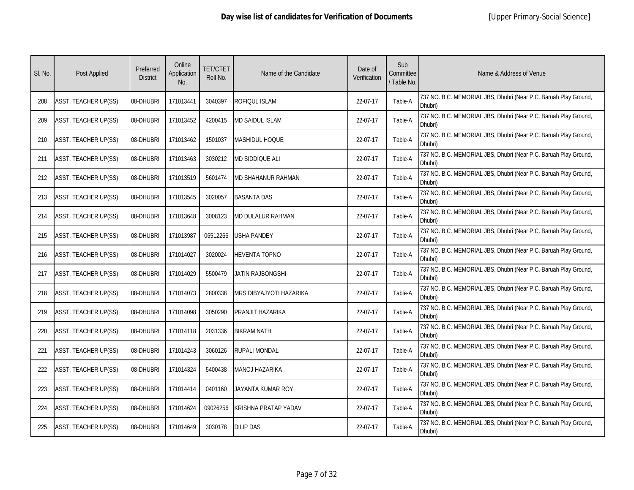| SI. No. | Post Applied                | Preferred<br><b>District</b> | Online<br>Application<br>No. | <b>TET/CTET</b><br>Roll No. | Name of the Candidate   | Date of<br>Verification | Sub<br>Committee<br>/ Table No. | Name & Address of Venue                                                     |
|---------|-----------------------------|------------------------------|------------------------------|-----------------------------|-------------------------|-------------------------|---------------------------------|-----------------------------------------------------------------------------|
| 208     | <b>ASST. TEACHER UP(SS)</b> | 08-DHUBRI                    | 171013441                    | 3040397                     | ROFIQUL ISLAM           | 22-07-17                | Table-A                         | 737 NO. B.C. MEMORIAL JBS, Dhubri (Near P.C. Baruah Play Ground,<br>Dhubri) |
| 209     | <b>ASST. TEACHER UP(SS)</b> | 08-DHUBRI                    | 171013452                    | 4200415                     | MD SAIDUL ISLAM         | 22-07-17                | Table-A                         | 737 NO. B.C. MEMORIAL JBS, Dhubri (Near P.C. Baruah Play Ground,<br>Dhubri) |
| 210     | <b>ASST. TEACHER UP(SS)</b> | 08-DHUBRI                    | 171013462                    | 1501037                     | <b>MASHIDUL HOQUE</b>   | 22-07-17                | Table-A                         | 737 NO. B.C. MEMORIAL JBS, Dhubri (Near P.C. Baruah Play Ground,<br>Dhubri) |
| 211     | <b>ASST. TEACHER UP(SS)</b> | 08-DHUBRI                    | 171013463                    | 3030212                     | MD SIDDIQUE ALI         | 22-07-17                | Table-A                         | 737 NO. B.C. MEMORIAL JBS, Dhubri (Near P.C. Baruah Play Ground,<br>Dhubri) |
| 212     | ASST. TEACHER UP(SS)        | 08-DHUBRI                    | 171013519                    | 5601474                     | MD SHAHANUR RAHMAN      | 22-07-17                | Table-A                         | 737 NO. B.C. MEMORIAL JBS, Dhubri (Near P.C. Baruah Play Ground,<br>Dhubri) |
| 213     | <b>ASST. TEACHER UP(SS)</b> | 08-DHUBRI                    | 171013545                    | 3020057                     | <b>BASANTA DAS</b>      | 22-07-17                | Table-A                         | 737 NO. B.C. MEMORIAL JBS, Dhubri (Near P.C. Baruah Play Ground,<br>Dhubri) |
| 214     | <b>ASST. TEACHER UP(SS)</b> | 08-DHUBRI                    | 171013648                    | 3008123                     | MD DULALUR RAHMAN       | 22-07-17                | Table-A                         | 737 NO. B.C. MEMORIAL JBS, Dhubri (Near P.C. Baruah Play Ground,<br>Dhubri) |
| 215     | <b>ASST. TEACHER UP(SS)</b> | 08-DHUBRI                    | 171013987                    | 06512266                    | USHA PANDEY             | 22-07-17                | Table-A                         | 737 NO. B.C. MEMORIAL JBS, Dhubri (Near P.C. Baruah Play Ground,<br>Dhubri) |
| 216     | <b>ASST. TEACHER UP(SS)</b> | 08-DHUBRI                    | 171014027                    | 3020024                     | HEVENTA TOPNO           | 22-07-17                | Table-A                         | 737 NO. B.C. MEMORIAL JBS, Dhubri (Near P.C. Baruah Play Ground,<br>Dhubri) |
| 217     | <b>ASST. TEACHER UP(SS)</b> | 08-DHUBRI                    | 171014029                    | 5500479                     | <b>JATIN RAJBONGSHI</b> | 22-07-17                | Table-A                         | 737 NO. B.C. MEMORIAL JBS, Dhubri (Near P.C. Baruah Play Ground,<br>Dhubri) |
| 218     | <b>ASST. TEACHER UP(SS)</b> | 08-DHUBRI                    | 171014073                    | 2800338                     | MRS DIBYAJYOTI HAZARIKA | 22-07-17                | Table-A                         | 737 NO. B.C. MEMORIAL JBS, Dhubri (Near P.C. Baruah Play Ground,<br>Dhubri) |
| 219     | <b>ASST. TEACHER UP(SS)</b> | 08-DHUBRI                    | 171014098                    | 3050290                     | PRANJIT HAZARIKA        | 22-07-17                | Table-A                         | 737 NO. B.C. MEMORIAL JBS, Dhubri (Near P.C. Baruah Play Ground,<br>Dhubri) |
| 220     | ASST. TEACHER UP(SS)        | 08-DHUBRI                    | 171014118                    | 2031336                     | <b>BIKRAM NATH</b>      | 22-07-17                | Table-A                         | 737 NO. B.C. MEMORIAL JBS, Dhubri (Near P.C. Baruah Play Ground,<br>Dhubri) |
| 221     | <b>ASST. TEACHER UP(SS)</b> | 08-DHUBRI                    | 171014243                    | 3060126                     | RUPALI MONDAL           | 22-07-17                | Table-A                         | 737 NO. B.C. MEMORIAL JBS, Dhubri (Near P.C. Baruah Play Ground,<br>Dhubri) |
| 222     | <b>ASST. TEACHER UP(SS)</b> | 08-DHUBRI                    | 171014324                    | 5400438                     | MANOJ HAZARIKA          | 22-07-17                | Table-A                         | 737 NO. B.C. MEMORIAL JBS, Dhubri (Near P.C. Baruah Play Ground,<br>Dhubri) |
| 223     | <b>ASST. TEACHER UP(SS)</b> | 08-DHUBRI                    | 171014414                    | 0401160                     | JAYANTA KUMAR ROY       | 22-07-17                | Table-A                         | 737 NO. B.C. MEMORIAL JBS, Dhubri (Near P.C. Baruah Play Ground,<br>Dhubri) |
| 224     | <b>ASST. TEACHER UP(SS)</b> | 08-DHUBRI                    | 171014624                    | 09026256                    | KRISHNA PRATAP YADAV    | 22-07-17                | Table-A                         | 737 NO. B.C. MEMORIAL JBS, Dhubri (Near P.C. Baruah Play Ground,<br>Dhubri) |
| 225     | ASST. TEACHER UP(SS)        | 08-DHUBRI                    | 171014649                    | 3030178                     | <b>DILIP DAS</b>        | 22-07-17                | Table-A                         | 737 NO. B.C. MEMORIAL JBS, Dhubri (Near P.C. Baruah Play Ground,<br>Dhubri) |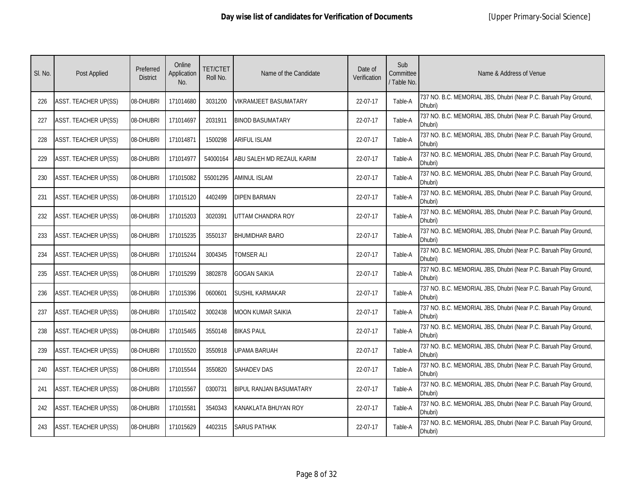| SI. No. | Post Applied                | Preferred<br><b>District</b> | Online<br>Application<br>No. | <b>TET/CTET</b><br>Roll No. | Name of the Candidate     | Date of<br>Verification | Sub<br>Committee<br>/ Table No. | Name & Address of Venue                                                     |
|---------|-----------------------------|------------------------------|------------------------------|-----------------------------|---------------------------|-------------------------|---------------------------------|-----------------------------------------------------------------------------|
| 226     | <b>ASST. TEACHER UP(SS)</b> | 08-DHUBRI                    | 171014680                    | 3031200                     | VIKRAMJEET BASUMATARY     | 22-07-17                | Table-A                         | 737 NO. B.C. MEMORIAL JBS, Dhubri (Near P.C. Baruah Play Ground,<br>Dhubri) |
| 227     | ASST. TEACHER UP(SS)        | 08-DHUBRI                    | 171014697                    | 2031911                     | <b>BINOD BASUMATARY</b>   | 22-07-17                | Table-A                         | 737 NO. B.C. MEMORIAL JBS, Dhubri (Near P.C. Baruah Play Ground,<br>Dhubri) |
| 228     | <b>ASST. TEACHER UP(SS)</b> | 08-DHUBRI                    | 171014871                    | 1500298                     | <b>ARIFUL ISLAM</b>       | 22-07-17                | Table-A                         | 737 NO. B.C. MEMORIAL JBS, Dhubri (Near P.C. Baruah Play Ground,<br>Dhubri) |
| 229     | <b>ASST. TEACHER UP(SS)</b> | 08-DHUBRI                    | 171014977                    | 54000164                    | ABU SALEH MD REZAUL KARIM | 22-07-17                | Table-A                         | 737 NO. B.C. MEMORIAL JBS, Dhubri (Near P.C. Baruah Play Ground,<br>Dhubri) |
| 230     | <b>ASST. TEACHER UP(SS)</b> | 08-DHUBRI                    | 171015082                    | 55001295                    | AMINUL ISLAM              | 22-07-17                | Table-A                         | 737 NO. B.C. MEMORIAL JBS, Dhubri (Near P.C. Baruah Play Ground,<br>Dhubri) |
| 231     | <b>ASST. TEACHER UP(SS)</b> | 08-DHUBRI                    | 171015120                    | 4402499                     | <b>DIPEN BARMAN</b>       | 22-07-17                | Table-A                         | 737 NO. B.C. MEMORIAL JBS, Dhubri (Near P.C. Baruah Play Ground,<br>Dhubri) |
| 232     | <b>ASST. TEACHER UP(SS)</b> | 08-DHUBRI                    | 171015203                    | 3020391                     | UTTAM CHANDRA ROY         | 22-07-17                | Table-A                         | 737 NO. B.C. MEMORIAL JBS, Dhubri (Near P.C. Baruah Play Ground,<br>Dhubri) |
| 233     | <b>ASST. TEACHER UP(SS)</b> | 08-DHUBRI                    | 171015235                    | 3550137                     | <b>BHUMIDHAR BARO</b>     | 22-07-17                | Table-A                         | 737 NO. B.C. MEMORIAL JBS, Dhubri (Near P.C. Baruah Play Ground,<br>Dhubri) |
| 234     | <b>ASST. TEACHER UP(SS)</b> | 08-DHUBRI                    | 171015244                    | 3004345                     | TOMSER ALI                | 22-07-17                | Table-A                         | 737 NO. B.C. MEMORIAL JBS, Dhubri (Near P.C. Baruah Play Ground,<br>Dhubri) |
| 235     | <b>ASST. TEACHER UP(SS)</b> | 08-DHUBRI                    | 171015299                    | 3802878                     | GOGAN SAIKIA              | 22-07-17                | Table-A                         | 737 NO. B.C. MEMORIAL JBS, Dhubri (Near P.C. Baruah Play Ground,<br>Dhubri) |
| 236     | <b>ASST. TEACHER UP(SS)</b> | 08-DHUBRI                    | 171015396                    | 0600601                     | SUSHIL KARMAKAR           | 22-07-17                | Table-A                         | 737 NO. B.C. MEMORIAL JBS, Dhubri (Near P.C. Baruah Play Ground,<br>Dhubri) |
| 237     | <b>ASST. TEACHER UP(SS)</b> | 08-DHUBRI                    | 171015402                    | 3002438                     | moon kumar saikia         | 22-07-17                | Table-A                         | 737 NO. B.C. MEMORIAL JBS, Dhubri (Near P.C. Baruah Play Ground,<br>Dhubri) |
| 238     | <b>ASST. TEACHER UP(SS)</b> | 08-DHUBRI                    | 171015465                    | 3550148                     | <b>BIKAS PAUL</b>         | 22-07-17                | Table-A                         | 737 NO. B.C. MEMORIAL JBS, Dhubri (Near P.C. Baruah Play Ground,<br>Dhubri) |
| 239     | <b>ASST. TEACHER UP(SS)</b> | 08-DHUBRI                    | 171015520                    | 3550918                     | UPAMA BARUAH              | 22-07-17                | Table-A                         | 737 NO. B.C. MEMORIAL JBS, Dhubri (Near P.C. Baruah Play Ground,<br>Dhubri) |
| 240     | <b>ASST. TEACHER UP(SS)</b> | 08-DHUBRI                    | 171015544                    | 3550820                     | SAHADEV DAS               | 22-07-17                | Table-A                         | 737 NO. B.C. MEMORIAL JBS, Dhubri (Near P.C. Baruah Play Ground,<br>Dhubri) |
| 241     | <b>ASST. TEACHER UP(SS)</b> | 08-DHUBRI                    | 171015567                    | 0300731                     | BIPUL RANJAN BASUMATARY   | 22-07-17                | Table-A                         | 737 NO. B.C. MEMORIAL JBS, Dhubri (Near P.C. Baruah Play Ground,<br>Dhubri) |
| 242     | <b>ASST. TEACHER UP(SS)</b> | 08-DHUBRI                    | 171015581                    | 3540343                     | KANAKLATA BHUYAN ROY      | 22-07-17                | Table-A                         | 737 NO. B.C. MEMORIAL JBS, Dhubri (Near P.C. Baruah Play Ground,<br>Dhubri) |
| 243     | <b>ASST. TEACHER UP(SS)</b> | 08-DHUBRI                    | 171015629                    | 4402315                     | <b>SARUS PATHAK</b>       | 22-07-17                | Table-A                         | 737 NO. B.C. MEMORIAL JBS, Dhubri (Near P.C. Baruah Play Ground,<br>Dhubri) |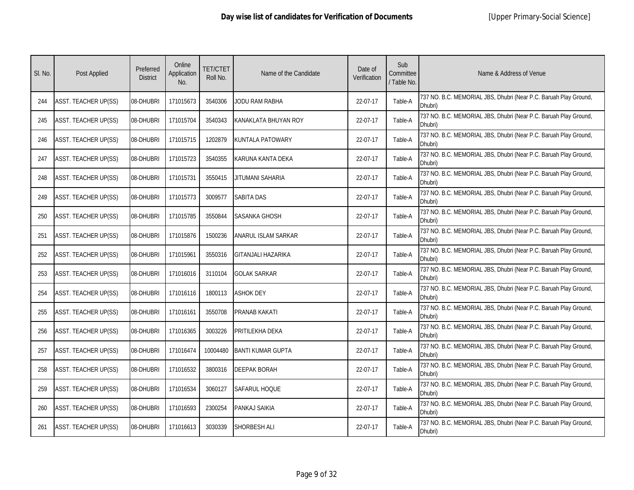| SI. No. | Post Applied                | Preferred<br><b>District</b> | Online<br>Application<br>No. | <b>TET/CTET</b><br>Roll No. | Name of the Candidate     | Date of<br>Verification | Sub<br>Committee<br>/ Table No. | Name & Address of Venue                                                     |
|---------|-----------------------------|------------------------------|------------------------------|-----------------------------|---------------------------|-------------------------|---------------------------------|-----------------------------------------------------------------------------|
| 244     | <b>ASST. TEACHER UP(SS)</b> | 08-DHUBRI                    | 171015673                    | 3540306                     | JODU RAM RABHA            | 22-07-17                | Table-A                         | 737 NO. B.C. MEMORIAL JBS, Dhubri (Near P.C. Baruah Play Ground,<br>Dhubri) |
| 245     | ASST. TEACHER UP(SS)        | 08-DHUBRI                    | 171015704                    | 3540343                     | KANAKLATA BHUYAN ROY      | 22-07-17                | Table-A                         | 737 NO. B.C. MEMORIAL JBS, Dhubri (Near P.C. Baruah Play Ground,<br>Dhubri) |
| 246     | <b>ASST. TEACHER UP(SS)</b> | 08-DHUBRI                    | 171015715                    | 1202879                     | KUNTALA PATOWARY          | 22-07-17                | Table-A                         | 737 NO. B.C. MEMORIAL JBS, Dhubri (Near P.C. Baruah Play Ground,<br>Dhubri) |
| 247     | <b>ASST. TEACHER UP(SS)</b> | 08-DHUBRI                    | 171015723                    | 3540355                     | KARUNA KANTA DEKA         | 22-07-17                | Table-A                         | 737 NO. B.C. MEMORIAL JBS, Dhubri (Near P.C. Baruah Play Ground,<br>Dhubri) |
| 248     | <b>ASST. TEACHER UP(SS)</b> | 08-DHUBRI                    | 171015731                    | 3550415                     | JITUMANI SAHARIA          | 22-07-17                | Table-A                         | 737 NO. B.C. MEMORIAL JBS, Dhubri (Near P.C. Baruah Play Ground,<br>Dhubri) |
| 249     | <b>ASST. TEACHER UP(SS)</b> | 08-DHUBRI                    | 171015773                    | 3009577                     | <b>SABITA DAS</b>         | 22-07-17                | Table-A                         | 737 NO. B.C. MEMORIAL JBS, Dhubri (Near P.C. Baruah Play Ground,<br>Dhubri) |
| 250     | <b>ASST. TEACHER UP(SS)</b> | 08-DHUBRI                    | 171015785                    | 3550844                     | SASANKA GHOSH             | 22-07-17                | Table-A                         | 737 NO. B.C. MEMORIAL JBS, Dhubri (Near P.C. Baruah Play Ground,<br>Dhubri) |
| 251     | <b>ASST. TEACHER UP(SS)</b> | 08-DHUBRI                    | 171015876                    | 1500236                     | ANARUL ISLAM SARKAR       | 22-07-17                | Table-A                         | 737 NO. B.C. MEMORIAL JBS, Dhubri (Near P.C. Baruah Play Ground,<br>Dhubri) |
| 252     | <b>ASST. TEACHER UP(SS)</b> | 08-DHUBRI                    | 171015961                    | 3550316                     | <b>GITANJALI HAZARIKA</b> | 22-07-17                | Table-A                         | 737 NO. B.C. MEMORIAL JBS, Dhubri (Near P.C. Baruah Play Ground,<br>Dhubri) |
| 253     | <b>ASST. TEACHER UP(SS)</b> | 08-DHUBRI                    | 171016016                    | 3110104                     | <b>GOLAK SARKAR</b>       | 22-07-17                | Table-A                         | 737 NO. B.C. MEMORIAL JBS, Dhubri (Near P.C. Baruah Play Ground,<br>Dhubri) |
| 254     | <b>ASST. TEACHER UP(SS)</b> | 08-DHUBRI                    | 171016116                    | 1800113                     | ASHOK DEY                 | 22-07-17                | Table-A                         | 737 NO. B.C. MEMORIAL JBS, Dhubri (Near P.C. Baruah Play Ground,<br>Dhubri) |
| 255     | <b>ASST. TEACHER UP(SS)</b> | 08-DHUBRI                    | 171016161                    | 3550708                     | PRANAB KAKATI             | 22-07-17                | Table-A                         | 737 NO. B.C. MEMORIAL JBS, Dhubri (Near P.C. Baruah Play Ground,<br>Dhubri) |
| 256     | <b>ASST. TEACHER UP(SS)</b> | 08-DHUBRI                    | 171016365                    | 3003226                     | PRITILEKHA DEKA           | 22-07-17                | Table-A                         | 737 NO. B.C. MEMORIAL JBS, Dhubri (Near P.C. Baruah Play Ground,<br>Dhubri) |
| 257     | <b>ASST. TEACHER UP(SS)</b> | 08-DHUBRI                    | 171016474                    | 10004480                    | <b>BANTI KUMAR GUPTA</b>  | 22-07-17                | Table-A                         | 737 NO. B.C. MEMORIAL JBS, Dhubri (Near P.C. Baruah Play Ground,<br>Dhubri) |
| 258     | <b>ASST. TEACHER UP(SS)</b> | 08-DHUBRI                    | 171016532                    | 3800316                     | <b>DEEPAK BORAH</b>       | 22-07-17                | Table-A                         | 737 NO. B.C. MEMORIAL JBS, Dhubri (Near P.C. Baruah Play Ground,<br>Dhubri) |
| 259     | <b>ASST. TEACHER UP(SS)</b> | 08-DHUBRI                    | 171016534                    | 3060127                     | SAFARUL HOQUE             | 22-07-17                | Table-A                         | 737 NO. B.C. MEMORIAL JBS, Dhubri (Near P.C. Baruah Play Ground,<br>Dhubri) |
| 260     | ASST. TEACHER UP(SS)        | 08-DHUBRI                    | 171016593                    | 2300254                     | PANKAJ SAIKIA             | 22-07-17                | Table-A                         | 737 NO. B.C. MEMORIAL JBS, Dhubri (Near P.C. Baruah Play Ground,<br>Dhubri) |
| 261     | <b>ASST. TEACHER UP(SS)</b> | 08-DHUBRI                    | 171016613                    | 3030339                     | SHORBESH ALI              | 22-07-17                | Table-A                         | 737 NO. B.C. MEMORIAL JBS, Dhubri (Near P.C. Baruah Play Ground,<br>Dhubri) |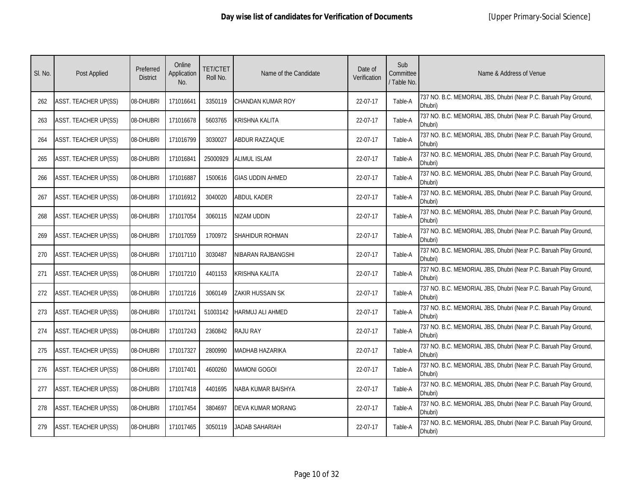| SI. No. | Post Applied                | Preferred<br><b>District</b> | Online<br>Application<br>No. | <b>TET/CTET</b><br>Roll No. | Name of the Candidate   | Date of<br>Verification | Sub<br>Committee<br>/ Table No. | Name & Address of Venue                                                     |
|---------|-----------------------------|------------------------------|------------------------------|-----------------------------|-------------------------|-------------------------|---------------------------------|-----------------------------------------------------------------------------|
| 262     | <b>ASST. TEACHER UP(SS)</b> | 08-DHUBRI                    | 171016641                    | 3350119                     | CHANDAN KUMAR ROY       | 22-07-17                | Table-A                         | 737 NO. B.C. MEMORIAL JBS, Dhubri (Near P.C. Baruah Play Ground,<br>Dhubri) |
| 263     | ASST. TEACHER UP(SS)        | 08-DHUBRI                    | 171016678                    | 5603765                     | KRISHNA KALITA          | 22-07-17                | Table-A                         | 737 NO. B.C. MEMORIAL JBS, Dhubri (Near P.C. Baruah Play Ground,<br>Dhubri) |
| 264     | <b>ASST. TEACHER UP(SS)</b> | 08-DHUBRI                    | 171016799                    | 3030027                     | <b>ABDUR RAZZAQUE</b>   | 22-07-17                | Table-A                         | 737 NO. B.C. MEMORIAL JBS, Dhubri (Near P.C. Baruah Play Ground,<br>Dhubri) |
| 265     | <b>ASST. TEACHER UP(SS)</b> | 08-DHUBRI                    | 171016841                    | 25000929                    | ALIMUL ISLAM            | 22-07-17                | Table-A                         | 737 NO. B.C. MEMORIAL JBS, Dhubri (Near P.C. Baruah Play Ground,<br>Dhubri) |
| 266     | <b>ASST. TEACHER UP(SS)</b> | 08-DHUBRI                    | 171016887                    | 1500616                     | <b>GIAS UDDIN AHMED</b> | 22-07-17                | Table-A                         | 737 NO. B.C. MEMORIAL JBS, Dhubri (Near P.C. Baruah Play Ground,<br>Dhubri) |
| 267     | <b>ASST. TEACHER UP(SS)</b> | 08-DHUBRI                    | 171016912                    | 3040020                     | ABDUL KADER             | 22-07-17                | Table-A                         | 737 NO. B.C. MEMORIAL JBS, Dhubri (Near P.C. Baruah Play Ground,<br>Dhubri) |
| 268     | <b>ASST. TEACHER UP(SS)</b> | 08-DHUBRI                    | 171017054                    | 3060115                     | NIZAM UDDIN             | 22-07-17                | Table-A                         | 737 NO. B.C. MEMORIAL JBS, Dhubri (Near P.C. Baruah Play Ground,<br>Dhubri) |
| 269     | <b>ASST. TEACHER UP(SS)</b> | 08-DHUBRI                    | 171017059                    | 1700972                     | <b>SHAHIDUR ROHMAN</b>  | 22-07-17                | Table-A                         | 737 NO. B.C. MEMORIAL JBS, Dhubri (Near P.C. Baruah Play Ground,<br>Dhubri) |
| 270     | <b>ASST. TEACHER UP(SS)</b> | 08-DHUBRI                    | 171017110                    | 3030487                     | NIBARAN RAJBANGSHI      | 22-07-17                | Table-A                         | 737 NO. B.C. MEMORIAL JBS, Dhubri (Near P.C. Baruah Play Ground,<br>Dhubri) |
| 271     | <b>ASST. TEACHER UP(SS)</b> | 08-DHUBRI                    | 171017210                    | 4401153                     | <b>KRISHNA KALITA</b>   | 22-07-17                | Table-A                         | 737 NO. B.C. MEMORIAL JBS, Dhubri (Near P.C. Baruah Play Ground,<br>Dhubri) |
| 272     | <b>ASST. TEACHER UP(SS)</b> | 08-DHUBRI                    | 171017216                    | 3060149                     | ZAKIR HUSSAIN SK        | 22-07-17                | Table-A                         | 737 NO. B.C. MEMORIAL JBS, Dhubri (Near P.C. Baruah Play Ground,<br>Dhubri) |
| 273     | <b>ASST. TEACHER UP(SS)</b> | 08-DHUBRI                    | 171017241                    | 51003142                    | HARMUJ ALI AHMED        | 22-07-17                | Table-A                         | 737 NO. B.C. MEMORIAL JBS, Dhubri (Near P.C. Baruah Play Ground,<br>Dhubri) |
| 274     | <b>ASST. TEACHER UP(SS)</b> | 08-DHUBRI                    | 171017243                    | 2360842                     | <b>RAJU RAY</b>         | 22-07-17                | Table-A                         | 737 NO. B.C. MEMORIAL JBS, Dhubri (Near P.C. Baruah Play Ground,<br>Dhubri) |
| 275     | <b>ASST. TEACHER UP(SS)</b> | 08-DHUBRI                    | 171017327                    | 2800990                     | MADHAB HAZARIKA         | 22-07-17                | Table-A                         | 737 NO. B.C. MEMORIAL JBS, Dhubri (Near P.C. Baruah Play Ground,<br>Dhubri) |
| 276     | <b>ASST. TEACHER UP(SS)</b> | 08-DHUBRI                    | 171017401                    | 4600260                     | Mamoni Gogoi            | 22-07-17                | Table-A                         | 737 NO. B.C. MEMORIAL JBS, Dhubri (Near P.C. Baruah Play Ground,<br>Dhubri) |
| 277     | <b>ASST. TEACHER UP(SS)</b> | 08-DHUBRI                    | 171017418                    | 4401695                     | NABA KUMAR BAISHYA      | 22-07-17                | Table-A                         | 737 NO. B.C. MEMORIAL JBS, Dhubri (Near P.C. Baruah Play Ground,<br>Dhubri) |
| 278     | ASST. TEACHER UP(SS)        | 08-DHUBRI                    | 171017454                    | 3804697                     | DEVA KUMAR MORANG       | 22-07-17                | Table-A                         | 737 NO. B.C. MEMORIAL JBS, Dhubri (Near P.C. Baruah Play Ground,<br>Dhubri) |
| 279     | <b>ASST. TEACHER UP(SS)</b> | 08-DHUBRI                    | 171017465                    | 3050119                     | <b>JADAB SAHARIAH</b>   | 22-07-17                | Table-A                         | 737 NO. B.C. MEMORIAL JBS, Dhubri (Near P.C. Baruah Play Ground,<br>Dhubri) |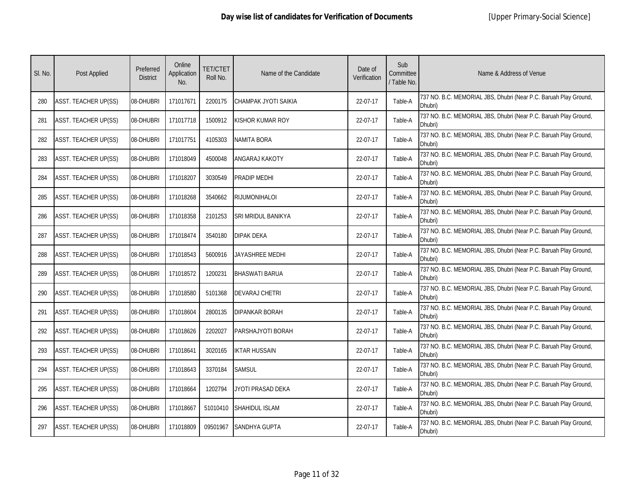| SI. No. | Post Applied                | Preferred<br><b>District</b> | Online<br>Application<br>No. | <b>TET/CTET</b><br>Roll No. | Name of the Candidate | Date of<br>Verification | Sub<br>Committee<br>/ Table No. | Name & Address of Venue                                                     |
|---------|-----------------------------|------------------------------|------------------------------|-----------------------------|-----------------------|-------------------------|---------------------------------|-----------------------------------------------------------------------------|
| 280     | <b>ASST. TEACHER UP(SS)</b> | 08-DHUBRI                    | 171017671                    | 2200175                     | CHAMPAK JYOTI SAIKIA  | 22-07-17                | Table-A                         | 737 NO. B.C. MEMORIAL JBS, Dhubri (Near P.C. Baruah Play Ground,<br>Dhubri) |
| 281     | <b>ASST. TEACHER UP(SS)</b> | 08-DHUBRI                    | 171017718                    | 1500912                     | KISHOR KUMAR ROY      | 22-07-17                | Table-A                         | 737 NO. B.C. MEMORIAL JBS, Dhubri (Near P.C. Baruah Play Ground,<br>Dhubri) |
| 282     | ASST. TEACHER UP(SS)        | 08-DHUBRI                    | 171017751                    | 4105303                     | <b>NAMITA BORA</b>    | 22-07-17                | Table-A                         | 737 NO. B.C. MEMORIAL JBS, Dhubri (Near P.C. Baruah Play Ground,<br>Dhubri) |
| 283     | <b>ASST. TEACHER UP(SS)</b> | 08-DHUBRI                    | 171018049                    | 4500048                     | ANGARAJ KAKOTY        | 22-07-17                | Table-A                         | 737 NO. B.C. MEMORIAL JBS, Dhubri (Near P.C. Baruah Play Ground,<br>Dhubri) |
| 284     | ASST. TEACHER UP(SS)        | 08-DHUBRI                    | 171018207                    | 3030549                     | PRADIP MEDHI          | 22-07-17                | Table-A                         | 737 NO. B.C. MEMORIAL JBS, Dhubri (Near P.C. Baruah Play Ground,<br>Dhubri) |
| 285     | <b>ASST. TEACHER UP(SS)</b> | 08-DHUBRI                    | 171018268                    | 3540662                     | <b>RIJUMONIHALOI</b>  | 22-07-17                | Table-A                         | 737 NO. B.C. MEMORIAL JBS, Dhubri (Near P.C. Baruah Play Ground,<br>Dhubri) |
| 286     | ASST. TEACHER UP(SS)        | 08-DHUBRI                    | 171018358                    | 2101253                     | SRI MRIDUL BANIKYA    | 22-07-17                | Table-A                         | 737 NO. B.C. MEMORIAL JBS, Dhubri (Near P.C. Baruah Play Ground,<br>Dhubri) |
| 287     | <b>ASST. TEACHER UP(SS)</b> | 08-DHUBRI                    | 171018474                    | 3540180                     | <b>DIPAK DEKA</b>     | 22-07-17                | Table-A                         | 737 NO. B.C. MEMORIAL JBS, Dhubri (Near P.C. Baruah Play Ground,<br>Dhubri) |
| 288     | <b>ASST. TEACHER UP(SS)</b> | 08-DHUBRI                    | 171018543                    | 5600916                     | JAYASHREE MEDHI       | 22-07-17                | Table-A                         | 737 NO. B.C. MEMORIAL JBS, Dhubri (Near P.C. Baruah Play Ground,<br>Dhubri) |
| 289     | <b>ASST. TEACHER UP(SS)</b> | 08-DHUBRI                    | 171018572                    | 1200231                     | <b>BHASWATI BARUA</b> | 22-07-17                | Table-A                         | 737 NO. B.C. MEMORIAL JBS, Dhubri (Near P.C. Baruah Play Ground,<br>Dhubri) |
| 290     | <b>ASST. TEACHER UP(SS)</b> | 08-DHUBRI                    | 171018580                    | 5101368                     | <b>DEVARAJ CHETRI</b> | 22-07-17                | Table-A                         | 737 NO. B.C. MEMORIAL JBS, Dhubri (Near P.C. Baruah Play Ground,<br>Dhubri) |
| 291     | <b>ASST. TEACHER UP(SS)</b> | 08-DHUBRI                    | 171018604                    | 2800135                     | DIPANKAR BORAH        | 22-07-17                | Table-A                         | 737 NO. B.C. MEMORIAL JBS, Dhubri (Near P.C. Baruah Play Ground,<br>Dhubri) |
| 292     | ASST. TEACHER UP(SS)        | 08-DHUBRI                    | 171018626                    | 2202027                     | PARSHAJYOTI BORAH     | 22-07-17                | Table-A                         | 737 NO. B.C. MEMORIAL JBS, Dhubri (Near P.C. Baruah Play Ground,<br>Dhubri) |
| 293     | <b>ASST. TEACHER UP(SS)</b> | 08-DHUBRI                    | 171018641                    | 3020165                     | <b>IKTAR HUSSAIN</b>  | 22-07-17                | Table-A                         | 737 NO. B.C. MEMORIAL JBS, Dhubri (Near P.C. Baruah Play Ground,<br>Dhubri) |
| 294     | ASST. TEACHER UP(SS)        | 08-DHUBRI                    | 171018643                    | 3370184                     | <b>SAMSUL</b>         | 22-07-17                | Table-A                         | 737 NO. B.C. MEMORIAL JBS, Dhubri (Near P.C. Baruah Play Ground,<br>Dhubri) |
| 295     | ASST. TEACHER UP(SS)        | 08-DHUBRI                    | 171018664                    | 1202794                     | JYOTI PRASAD DEKA     | 22-07-17                | Table-A                         | 737 NO. B.C. MEMORIAL JBS, Dhubri (Near P.C. Baruah Play Ground,<br>Dhubri) |
| 296     | <b>ASST. TEACHER UP(SS)</b> | 08-DHUBRI                    | 171018667                    | 51010410                    | SHAHIDUL ISLAM        | 22-07-17                | Table-A                         | 737 NO. B.C. MEMORIAL JBS, Dhubri (Near P.C. Baruah Play Ground,<br>Dhubri) |
| 297     | <b>ASST. TEACHER UP(SS)</b> | 08-DHUBRI                    | 171018809                    | 09501967                    | <b>SANDHYA GUPTA</b>  | 22-07-17                | Table-A                         | 737 NO. B.C. MEMORIAL JBS, Dhubri (Near P.C. Baruah Play Ground,<br>Dhubri) |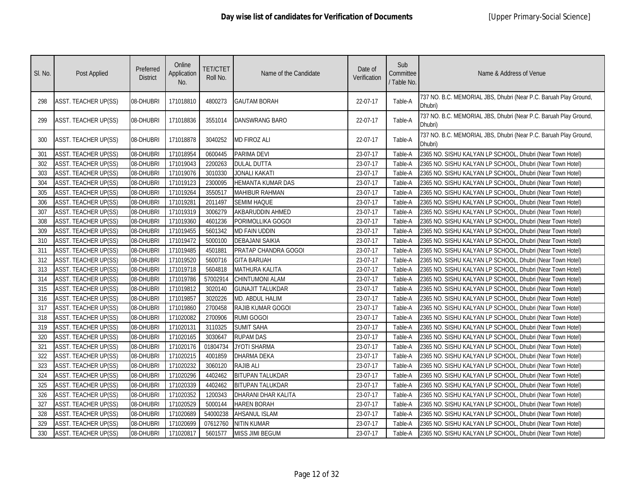| SI. No. | Post Applied                | Preferred<br><b>District</b> | Online<br>Application<br>No. | <b>TET/CTET</b><br>Roll No. | Name of the Candidate   | Date of<br>Verification | Sub<br>Committee<br>/ Table No. | Name & Address of Venue                                                     |
|---------|-----------------------------|------------------------------|------------------------------|-----------------------------|-------------------------|-------------------------|---------------------------------|-----------------------------------------------------------------------------|
| 298     | ASST. TEACHER UP(SS)        | 08-DHUBRI                    | 171018810                    | 4800273                     | <b>GAUTAM BORAH</b>     | 22-07-17                | Table-A                         | 737 NO. B.C. MEMORIAL JBS, Dhubri (Near P.C. Baruah Play Ground,<br>Dhubri) |
| 299     | ASST. TEACHER UP(SS)        | 08-DHUBRI                    | 171018836                    | 3551014                     | <b>DANSWRANG BARO</b>   | 22-07-17                | Table-A                         | 737 NO. B.C. MEMORIAL JBS, Dhubri (Near P.C. Baruah Play Ground,<br>Dhubri) |
| 300     | <b>ASST. TEACHER UP(SS)</b> | 08-DHUBRI                    | 171018878                    | 3040252                     | <b>MD FIROZ ALI</b>     | 22-07-17                | Table-A                         | 737 NO. B.C. MEMORIAL JBS, Dhubri (Near P.C. Baruah Play Ground,<br>Dhubri) |
| 301     | <b>ASST. TEACHER UP(SS)</b> | 08-DHUBRI                    | 171018954                    | 0600445                     | PARIMA DEVI             | 23-07-17                | Table-A                         | 2365 NO. SISHU KALYAN LP SCHOOL, Dhubri (Near Town Hotel)                   |
| 302     | <b>ASST. TEACHER UP(SS)</b> | 08-DHUBRI                    | 171019043                    | 2200263                     | <b>DULAL DUTTA</b>      | 23-07-17                | Table-A                         | 2365 NO. SISHU KALYAN LP SCHOOL, Dhubri (Near Town Hotel)                   |
| 303     | <b>ASST. TEACHER UP(SS)</b> | 08-DHUBRI                    | 171019076                    | 3010330                     | JONALI KAKATI           | 23-07-17                | Table-A                         | 2365 NO. SISHU KALYAN LP SCHOOL, Dhubri (Near Town Hotel)                   |
| 304     | <b>ASST. TEACHER UP(SS)</b> | 08-DHUBRI                    | 171019123                    | 2300095                     | HEMANTA KUMAR DAS       | 23-07-17                | Table-A                         | 2365 NO. SISHU KALYAN LP SCHOOL, Dhubri (Near Town Hotel)                   |
| 305     | <b>ASST. TEACHER UP(SS)</b> | 08-DHUBRI                    | 171019264                    | 3550517                     | <b>MAHIBUR RAHMAN</b>   | 23-07-17                | Table-A                         | 2365 NO. SISHU KALYAN LP SCHOOL, Dhubri (Near Town Hotel)                   |
| 306     | <b>ASST. TEACHER UP(SS)</b> | 08-DHUBRI                    | 171019281                    | 2011497                     | <b>SEMIM HAQUE</b>      | 23-07-17                | Table-A                         | 2365 NO. SISHU KALYAN LP SCHOOL, Dhubri (Near Town Hotel)                   |
| 307     | <b>ASST. TEACHER UP(SS)</b> | 08-DHUBRI                    | 171019319                    | 3006279                     | AKBARUDDIN AHMED        | 23-07-17                | Table-A                         | 2365 NO. SISHU KALYAN LP SCHOOL, Dhubri (Near Town Hotel)                   |
| 308     | <b>ASST. TEACHER UP(SS)</b> | 08-DHUBRI                    | 171019360                    | 4601236                     | PORIMOLLIKA GOGOI       | 23-07-17                | Table-A                         | 2365 NO. SISHU KALYAN LP SCHOOL, Dhubri (Near Town Hotel)                   |
| 309     | <b>ASST. TEACHER UP(SS)</b> | 08-DHUBRI                    | 171019455                    | 5601342                     | <b>MD FAIN UDDIN</b>    | 23-07-17                | Table-A                         | 2365 NO. SISHU KALYAN LP SCHOOL, Dhubri (Near Town Hotel)                   |
| 310     | <b>ASST. TEACHER UP(SS)</b> | 08-DHUBRI                    | 171019472                    | 5000100                     | <b>DEBAJANI SAIKIA</b>  | 23-07-17                | Table-A                         | 2365 NO. SISHU KALYAN LP SCHOOL, Dhubri (Near Town Hotel)                   |
| 311     | <b>ASST. TEACHER UP(SS)</b> | 08-DHUBRI                    | 171019485                    | 4501881                     | PRATAP CHANDRA GOGOI    | 23-07-17                | Table-A                         | 2365 NO. SISHU KALYAN LP SCHOOL, Dhubri (Near Town Hotel)                   |
| 312     | <b>ASST. TEACHER UP(SS)</b> | 08-DHUBRI                    | 171019520                    | 5600716                     | <b>GITA BARUAH</b>      | 23-07-17                | Table-A                         | 2365 NO. SISHU KALYAN LP SCHOOL, Dhubri (Near Town Hotel)                   |
| 313     | <b>ASST. TEACHER UP(SS)</b> | 08-DHUBRI                    | 171019718                    | 5604818                     | <b>MATHURA KALITA</b>   | 23-07-17                | Table-A                         | 2365 NO. SISHU KALYAN LP SCHOOL, Dhubri (Near Town Hotel)                   |
| 314     | <b>ASST. TEACHER UP(SS)</b> | 08-DHUBRI                    | 171019786                    | 57002914                    | <b>CHINTUMONI ALAM</b>  | 23-07-17                | Table-A                         | 2365 NO. SISHU KALYAN LP SCHOOL, Dhubri (Near Town Hotel)                   |
| 315     | <b>ASST. TEACHER UP(SS)</b> | 08-DHUBRI                    | 171019812                    | 3020140                     | <b>GUNAJIT TALUKDAR</b> | 23-07-17                | Table-A                         | 2365 NO. SISHU KALYAN LP SCHOOL, Dhubri (Near Town Hotel)                   |
| 316     | <b>ASST. TEACHER UP(SS)</b> | 08-DHUBRI                    | 171019857                    | 3020226                     | MD. ABDUL HALIM         | 23-07-17                | Table-A                         | 2365 NO. SISHU KALYAN LP SCHOOL, Dhubri (Near Town Hotel)                   |
| 317     | <b>ASST. TEACHER UP(SS)</b> | 08-DHUBRI                    | 171019860                    | 2700458                     | RAJIB KUMAR GOGOI       | 23-07-17                | Table-A                         | 2365 NO. SISHU KALYAN LP SCHOOL, Dhubri (Near Town Hotel)                   |
| 318     | <b>ASST. TEACHER UP(SS)</b> | 08-DHUBRI                    | 171020082                    | 2700906                     | <b>RUMI GOGOI</b>       | 23-07-17                | Table-A                         | 2365 NO. SISHU KALYAN LP SCHOOL, Dhubri (Near Town Hotel)                   |
| 319     | <b>ASST. TEACHER UP(SS)</b> | 08-DHUBRI                    | 171020131                    | 3110325                     | <b>SUMIT SAHA</b>       | 23-07-17                | Table-A                         | 2365 NO. SISHU KALYAN LP SCHOOL, Dhubri (Near Town Hotel)                   |
| 320     | <b>ASST. TEACHER UP(SS)</b> | 08-DHUBRI                    | 171020165                    | 3030647                     | <b>RUPAM DAS</b>        | 23-07-17                | Table-A                         | 2365 NO. SISHU KALYAN LP SCHOOL, Dhubri (Near Town Hotel)                   |
| 321     | <b>ASST. TEACHER UP(SS)</b> | 08-DHUBRI                    | 171020176                    | 01804734                    | <b>JYOTI SHARMA</b>     | 23-07-17                | Table-A                         | 2365 NO. SISHU KALYAN LP SCHOOL, Dhubri (Near Town Hotel)                   |
| 322     | <b>ASST. TEACHER UP(SS)</b> | 08-DHUBRI                    | 171020215                    | 4001859                     | <b>DHARMA DEKA</b>      | 23-07-17                | Table-A                         | 2365 NO. SISHU KALYAN LP SCHOOL, Dhubri (Near Town Hotel)                   |
| 323     | <b>ASST. TEACHER UP(SS)</b> | 08-DHUBRI                    | 171020232                    | 3060120                     | <b>RAJIB ALI</b>        | 23-07-17                | Table-A                         | 2365 NO. SISHU KALYAN LP SCHOOL, Dhubri (Near Town Hotel)                   |
| 324     | <b>ASST. TEACHER UP(SS)</b> | 08-DHUBRI                    | 171020296                    | 4402462                     | <b>BITUPAN TALUKDAR</b> | 23-07-17                | Table-A                         | 2365 NO. SISHU KALYAN LP SCHOOL, Dhubri (Near Town Hotel)                   |
| 325     | <b>ASST. TEACHER UP(SS)</b> | 08-DHUBRI                    | 171020339                    | 4402462                     | <b>BITUPAN TALUKDAR</b> | 23-07-17                | Table-A                         | 2365 NO. SISHU KALYAN LP SCHOOL, Dhubri (Near Town Hotel)                   |
| 326     | <b>ASST. TEACHER UP(SS)</b> | 08-DHUBRI                    | 171020352                    | 1200343                     | DHARANI DHAR KALITA     | 23-07-17                | Table-A                         | 2365 NO. SISHU KALYAN LP SCHOOL, Dhubri (Near Town Hotel)                   |
| 327     | <b>ASST. TEACHER UP(SS)</b> | 08-DHUBRI                    | 171020529                    | 5000144                     | <b>HAREN BORAH</b>      | 23-07-17                | Table-A                         | 2365 NO. SISHU KALYAN LP SCHOOL, Dhubri (Near Town Hotel)                   |
| 328     | <b>ASST. TEACHER UP(SS)</b> | 08-DHUBRI                    | 171020689                    | 54000238                    | <b>AHSANUL ISLAM</b>    | 23-07-17                | Table-A                         | 2365 NO. SISHU KALYAN LP SCHOOL, Dhubri (Near Town Hotel)                   |
| 329     | <b>ASST. TEACHER UP(SS)</b> | 08-DHUBRI                    | 171020699                    | 07612760                    | <b>NITIN KUMAR</b>      | 23-07-17                | Table-A                         | 2365 NO. SISHU KALYAN LP SCHOOL, Dhubri (Near Town Hotel)                   |
| 330     | <b>ASST. TEACHER UP(SS)</b> | 08-DHUBRI                    | 171020817                    | 5601577                     | MISS JIMI BEGUM         | 23-07-17                | Table-A                         | 2365 NO. SISHU KALYAN LP SCHOOL, Dhubri (Near Town Hotel)                   |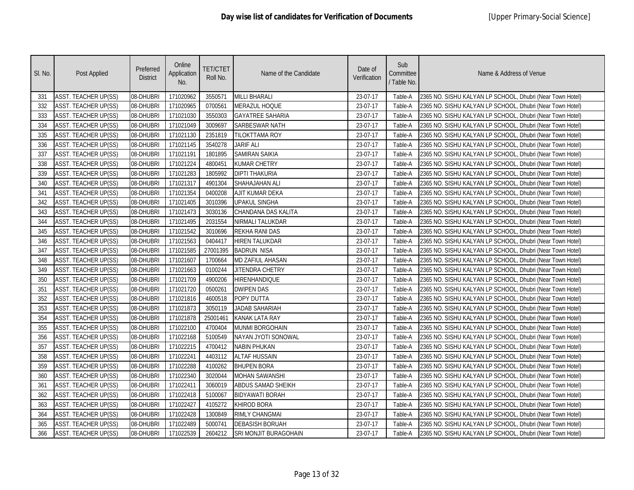| SI. No. | Post Applied                | Preferred<br><b>District</b> | Online<br>Application<br>No. | <b>TET/CTET</b><br>Roll No. | Name of the Candidate        | Date of<br>Verification | Sub<br>Committee<br>/ Table No. | Name & Address of Venue                                   |
|---------|-----------------------------|------------------------------|------------------------------|-----------------------------|------------------------------|-------------------------|---------------------------------|-----------------------------------------------------------|
| 331     | <b>ASST. TEACHER UP(SS)</b> | 08-DHUBRI                    | 171020962                    | 3550571                     | <b>MILLI BHARALI</b>         | 23-07-17                | Table-A                         | 2365 NO. SISHU KALYAN LP SCHOOL, Dhubri (Near Town Hotel) |
| 332     | <b>ASST. TEACHER UP(SS)</b> | 08-DHUBRI                    | 171020965                    | 0700561                     | <b>MERAZUL HOQUE</b>         | 23-07-17                | Table-A                         | 2365 NO. SISHU KALYAN LP SCHOOL, Dhubri (Near Town Hotel) |
| 333     | ASST. TEACHER UP(SS)        | 08-DHUBRI                    | 171021030                    | 3550303                     | <b>GAYATREE SAHARIA</b>      | 23-07-17                | Table-A                         | 2365 NO. SISHU KALYAN LP SCHOOL, Dhubri (Near Town Hotel) |
| 334     | <b>ASST. TEACHER UP(SS)</b> | 08-DHUBRI                    | 171021049                    | 3009697                     | SARBESWAR NATH               | 23-07-17                | Table-A                         | 2365 NO. SISHU KALYAN LP SCHOOL, Dhubri (Near Town Hotel) |
| 335     | <b>ASST. TEACHER UP(SS)</b> | 08-DHUBRI                    | 171021130                    | 2351819                     | <b>TILOKTTAMA ROY</b>        | 23-07-17                | Table-A                         | 2365 NO. SISHU KALYAN LP SCHOOL, Dhubri (Near Town Hotel) |
| 336     | <b>ASST. TEACHER UP(SS)</b> | 08-DHUBRI                    | 171021145                    | 3540278                     | Jarif ali                    | 23-07-17                | Table-A                         | 2365 NO. SISHU KALYAN LP SCHOOL, Dhubri (Near Town Hotel) |
| 337     | ASST. TEACHER UP(SS)        | 08-DHUBRI                    | 171021191                    | 1801895                     | <b>SAMIRAN SAIKIA</b>        | 23-07-17                | Table-A                         | 2365 NO. SISHU KALYAN LP SCHOOL, Dhubri (Near Town Hotel) |
| 338     | ASST. TEACHER UP(SS)        | 08-DHUBRI                    | 171021224                    | 4800451                     | <b>KUMAR CHETRY</b>          | 23-07-17                | Table-A                         | 2365 NO. SISHU KALYAN LP SCHOOL, Dhubri (Near Town Hotel) |
| 339     | <b>ASST. TEACHER UP(SS)</b> | 08-DHUBRI                    | 171021283                    | 1805992                     | <b>DIPTI THAKURIA</b>        | 23-07-17                | Table-A                         | 2365 NO. SISHU KALYAN LP SCHOOL, Dhubri (Near Town Hotel) |
| 340     | <b>ASST. TEACHER UP(SS)</b> | 08-DHUBRI                    | 171021317                    | 4901304                     | SHAHAJAHAN ALI               | 23-07-17                | Table-A                         | 2365 NO. SISHU KALYAN LP SCHOOL, Dhubri (Near Town Hotel) |
| 341     | ASST. TEACHER UP(SS)        | 08-DHUBRI                    | 171021354                    | 0400208                     | <b>AJIT KUMAR DEKA</b>       | 23-07-17                | Table-A                         | 2365 NO. SISHU KALYAN LP SCHOOL, Dhubri (Near Town Hotel) |
| 342     | <b>ASST. TEACHER UP(SS)</b> | 08-DHUBRI                    | 171021405                    | 3010396                     | <b>UPAKUL SINGHA</b>         | 23-07-17                | Table-A                         | 2365 NO. SISHU KALYAN LP SCHOOL, Dhubri (Near Town Hotel) |
| 343     | <b>ASST. TEACHER UP(SS)</b> | 08-DHUBRI                    | 171021473                    | 3030136                     | CHANDANA DAS KALITA          | 23-07-17                | Table-A                         | 2365 NO. SISHU KALYAN LP SCHOOL, Dhubri (Near Town Hotel) |
| 344     | ASST. TEACHER UP(SS)        | 08-DHUBRI                    | 171021495                    | 2031554                     | NIRMALI TALUKDAR             | 23-07-17                | Table-A                         | 2365 NO. SISHU KALYAN LP SCHOOL, Dhubri (Near Town Hotel) |
| 345     | <b>ASST. TEACHER UP(SS)</b> | 08-DHUBRI                    | 171021542                    | 3010696                     | <b>REKHA RANI DAS</b>        | 23-07-17                | Table-A                         | 2365 NO. SISHU KALYAN LP SCHOOL, Dhubri (Near Town Hotel) |
| 346     | <b>ASST. TEACHER UP(SS)</b> | 08-DHUBRI                    | 171021563                    | 0404417                     | <b>HIREN TALUKDAR</b>        | 23-07-17                | Table-A                         | 2365 NO. SISHU KALYAN LP SCHOOL, Dhubri (Near Town Hotel) |
| 347     | <b>ASST. TEACHER UP(SS)</b> | 08-DHUBRI                    | 171021585                    | 27001395                    | <b>BADRUN NISA</b>           | 23-07-17                | Table-A                         | 2365 NO. SISHU KALYAN LP SCHOOL, Dhubri (Near Town Hotel) |
| 348     | ASST. TEACHER UP(SS)        | 08-DHUBRI                    | 171021607                    | 1700664                     | <b>MD ZAFIUL AHASAN</b>      | 23-07-17                | Table-A                         | 2365 NO. SISHU KALYAN LP SCHOOL, Dhubri (Near Town Hotel) |
| 349     | <b>ASST. TEACHER UP(SS)</b> | 08-DHUBRI                    | 171021663                    | 0100244                     | JITENDRA CHETRY              | 23-07-17                | Table-A                         | 2365 NO. SISHU KALYAN LP SCHOOL, Dhubri (Near Town Hotel) |
| 350     | <b>ASST. TEACHER UP(SS)</b> | 08-DHUBRI                    | 171021709                    | 4900206                     | <b>HIRENHANDIQUE</b>         | 23-07-17                | Table-A                         | 2365 NO. SISHU KALYAN LP SCHOOL, Dhubri (Near Town Hotel) |
| 351     | <b>ASST. TEACHER UP(SS)</b> | 08-DHUBRI                    | 171021720                    | 0500261                     | <b>DWIPEN DAS</b>            | 23-07-17                | Table-A                         | 2365 NO. SISHU KALYAN LP SCHOOL, Dhubri (Near Town Hotel) |
| 352     | ASST. TEACHER UP(SS)        | 08-DHUBRI                    | 171021816                    | 4600518                     | POPY DUTTA                   | 23-07-17                | Table-A                         | 2365 NO. SISHU KALYAN LP SCHOOL, Dhubri (Near Town Hotel) |
| 353     | <b>ASST. TEACHER UP(SS)</b> | 08-DHUBRI                    | 171021873                    | 3050119                     | <b>JADAB SAHARIAH</b>        | 23-07-17                | Table-A                         | 2365 NO. SISHU KALYAN LP SCHOOL, Dhubri (Near Town Hotel) |
| 354     | <b>ASST. TEACHER UP(SS)</b> | 08-DHUBRI                    | 171021878                    | 25001461                    | <b>KANAK LATA RAY</b>        | 23-07-17                | Table-A                         | 2365 NO. SISHU KALYAN LP SCHOOL, Dhubri (Near Town Hotel) |
| 355     | ASST. TEACHER UP(SS)        | 08-DHUBRI                    | 171022100                    | 4700404                     | <b>MUNMI BORGOHAIN</b>       | 23-07-17                | Table-A                         | 2365 NO. SISHU KALYAN LP SCHOOL, Dhubri (Near Town Hotel) |
| 356     | ASST. TEACHER UP(SS)        | 08-DHUBRI                    | 171022168                    | 5100549                     | NAYAN JYOTI SONOWAL          | 23-07-17                | Table-A                         | 2365 NO. SISHU KALYAN LP SCHOOL, Dhubri (Near Town Hotel) |
| 357     | <b>ASST. TEACHER UP(SS)</b> | 08-DHUBRI                    | 171022215                    | 4700412                     | <b>NABIN PHUKAN</b>          | 23-07-17                | Table-A                         | 2365 NO. SISHU KALYAN LP SCHOOL, Dhubri (Near Town Hotel) |
| 358     | <b>ASST. TEACHER UP(SS)</b> | 08-DHUBRI                    | 171022241                    | 4403112                     | <b>ALTAF HUSSAIN</b>         | 23-07-17                | Table-A                         | 2365 NO. SISHU KALYAN LP SCHOOL, Dhubri (Near Town Hotel) |
| 359     | ASST. TEACHER UP(SS)        | 08-DHUBRI                    | 171022288                    | 4100262                     | <b>BHUPEN BORA</b>           | 23-07-17                | Table-A                         | 2365 NO. SISHU KALYAN LP SCHOOL, Dhubri (Near Town Hotel) |
| 360     | <b>ASST. TEACHER UP(SS)</b> | 08-DHUBRI                    | 171022340                    | 3020044                     | <b>MOHAN SAWANSHI</b>        | 23-07-17                | Table-A                         | 2365 NO. SISHU KALYAN LP SCHOOL, Dhubri (Near Town Hotel) |
| 361     | ASST. TEACHER UP(SS)        | 08-DHUBRI                    | 171022411                    | 3060019                     | ABDUS SAMAD SHEIKH           | 23-07-17                | Table-A                         | 2365 NO. SISHU KALYAN LP SCHOOL, Dhubri (Near Town Hotel) |
| 362     | <b>ASST. TEACHER UP(SS)</b> | 08-DHUBRI                    | 171022418                    | 5100067                     | <b>BIDYAWATI BORAH</b>       | 23-07-17                | Table-A                         | 2365 NO. SISHU KALYAN LP SCHOOL, Dhubri (Near Town Hotel) |
| 363     | ASST. TEACHER UP(SS)        | 08-DHUBRI                    | 171022427                    | 4105272                     | <b>KHIROD BORA</b>           | 23-07-17                | Table-A                         | 2365 NO. SISHU KALYAN LP SCHOOL, Dhubri (Near Town Hotel) |
| 364     | <b>ASST. TEACHER UP(SS)</b> | 08-DHUBRI                    | 171022428                    | 1300849                     | <b>RIMLY CHANGMAI</b>        | 23-07-17                | Table-A                         | 2365 NO. SISHU KALYAN LP SCHOOL, Dhubri (Near Town Hotel) |
| 365     | ASST. TEACHER UP(SS)        | 08-DHUBRI                    | 171022489                    | 5000741                     | <b>DEBASISH BORUAH</b>       | 23-07-17                | Table-A                         | 2365 NO. SISHU KALYAN LP SCHOOL, Dhubri (Near Town Hotel) |
| 366     | ASST. TEACHER UP(SS)        | 08-DHUBRI                    | 171022539                    | 2604212                     | <b>SRI MONJIT BURAGOHAIN</b> | 23-07-17                | Table-A                         | 2365 NO. SISHU KALYAN LP SCHOOL, Dhubri (Near Town Hotel) |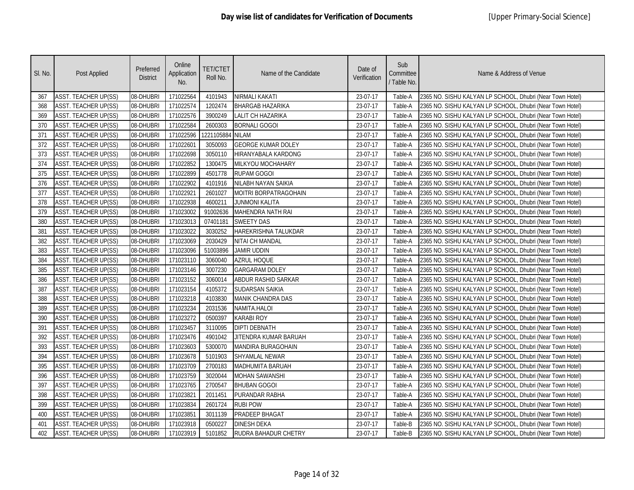| SI. No. | Post Applied                | Preferred<br><b>District</b> | Online<br>Application<br>No. | <b>TET/CTET</b><br>Roll No. | Name of the Candidate     | Date of<br>Verification | Sub<br>Committee<br>/ Table No. | Name & Address of Venue                                   |
|---------|-----------------------------|------------------------------|------------------------------|-----------------------------|---------------------------|-------------------------|---------------------------------|-----------------------------------------------------------|
| 367     | <b>ASST. TEACHER UP(SS)</b> | 08-DHUBRI                    | 171022564                    | 4101943                     | NIRMALI KAKATI            | 23-07-17                | Table-A                         | 2365 NO. SISHU KALYAN LP SCHOOL, Dhubri (Near Town Hotel) |
| 368     | <b>ASST. TEACHER UP(SS)</b> | 08-DHUBRI                    | 171022574                    | 1202474                     | <b>BHARGAB HAZARIKA</b>   | 23-07-17                | Table-A                         | 2365 NO. SISHU KALYAN LP SCHOOL, Dhubri (Near Town Hotel) |
| 369     | ASST. TEACHER UP(SS)        | 08-DHUBRI                    | 171022576                    | 3900249                     | LALIT CH HAZARIKA         | 23-07-17                | Table-A                         | 2365 NO. SISHU KALYAN LP SCHOOL, Dhubri (Near Town Hotel) |
| 370     | <b>ASST. TEACHER UP(SS)</b> | 08-DHUBRI                    | 171022584                    | 2600303                     | <b>BORNALI GOGOI</b>      | 23-07-17                | Table-A                         | 2365 NO. SISHU KALYAN LP SCHOOL, Dhubri (Near Town Hotel) |
| 371     | <b>ASST. TEACHER UP(SS)</b> | 08-DHUBRI                    | 171022596                    | 1221105884 NILAM            |                           | 23-07-17                | Table-A                         | 2365 NO. SISHU KALYAN LP SCHOOL, Dhubri (Near Town Hotel) |
| 372     | <b>ASST. TEACHER UP(SS)</b> | 08-DHUBRI                    | 171022601                    | 3050093                     | <b>GEORGE KUMAR DOLEY</b> | 23-07-17                | Table-A                         | 2365 NO. SISHU KALYAN LP SCHOOL, Dhubri (Near Town Hotel) |
| 373     | <b>ASST. TEACHER UP(SS)</b> | 08-DHUBRI                    | 171022698                    | 3050110                     | HIRANYABALA KARDONG       | 23-07-17                | Table-A                         | 2365 NO. SISHU KALYAN LP SCHOOL, Dhubri (Near Town Hotel) |
| 374     | <b>ASST. TEACHER UP(SS)</b> | 08-DHUBRI                    | 171022852                    | 1300475                     | MILKYOU MOCHAHARY         | 23-07-17                | Table-A                         | 2365 NO. SISHU KALYAN LP SCHOOL, Dhubri (Near Town Hotel) |
| 375     | <b>ASST. TEACHER UP(SS)</b> | 08-DHUBRI                    | 171022899                    | 4501778                     | RUPAM GOGOI               | 23-07-17                | Table-A                         | 2365 NO. SISHU KALYAN LP SCHOOL, Dhubri (Near Town Hotel) |
| 376     | <b>ASST. TEACHER UP(SS)</b> | 08-DHUBRI                    | 171022902                    | 4101916                     | NILABH NAYAN SAIKIA       | 23-07-17                | Table-A                         | 2365 NO. SISHU KALYAN LP SCHOOL, Dhubri (Near Town Hotel) |
| 377     | <b>ASST. TEACHER UP(SS)</b> | 08-DHUBRI                    | 171022921                    | 2601027                     | MOITRI BORPATRAGOHAIN     | 23-07-17                | Table-A                         | 2365 NO. SISHU KALYAN LP SCHOOL, Dhubri (Near Town Hotel) |
| 378     | <b>ASST. TEACHER UP(SS)</b> | 08-DHUBRI                    | 171022938                    | 4600211                     | <b>JUNMONI KALITA</b>     | 23-07-17                | Table-A                         | 2365 NO. SISHU KALYAN LP SCHOOL, Dhubri (Near Town Hotel) |
| 379     | <b>ASST. TEACHER UP(SS)</b> | 08-DHUBRI                    | 171023002                    | 91002636                    | MAHENDRA NATH RAI         | 23-07-17                | Table-A                         | 2365 NO. SISHU KALYAN LP SCHOOL, Dhubri (Near Town Hotel) |
| 380     | <b>ASST. TEACHER UP(SS)</b> | 08-DHUBRI                    | 171023013                    | 07401181                    | <b>SWEETY DAS</b>         | 23-07-17                | Table-A                         | 2365 NO. SISHU KALYAN LP SCHOOL, Dhubri (Near Town Hotel) |
| 381     | <b>ASST. TEACHER UP(SS)</b> | 08-DHUBRI                    | 171023022                    | 3030252                     | HAREKRISHNA TALUKDAR      | 23-07-17                | Table-A                         | 2365 NO. SISHU KALYAN LP SCHOOL, Dhubri (Near Town Hotel) |
| 382     | ASST. TEACHER UP(SS)        | 08-DHUBRI                    | 171023069                    | 2030429                     | NITAI CH MANDAL           | 23-07-17                | Table-A                         | 2365 NO. SISHU KALYAN LP SCHOOL, Dhubri (Near Town Hotel) |
| 383     | <b>ASST. TEACHER UP(SS)</b> | 08-DHUBRI                    | 171023096                    | 51003896                    | JAMIR UDDIN               | 23-07-17                | Table-A                         | 2365 NO. SISHU KALYAN LP SCHOOL, Dhubri (Near Town Hotel) |
| 384     | <b>ASST. TEACHER UP(SS)</b> | 08-DHUBRI                    | 171023110                    | 3060040                     | <b>AZRUL HOQUE</b>        | 23-07-17                | Table-A                         | 2365 NO. SISHU KALYAN LP SCHOOL, Dhubri (Near Town Hotel) |
| 385     | <b>ASST. TEACHER UP(SS)</b> | 08-DHUBRI                    | 171023146                    | 3007230                     | <b>GARGARAM DOLEY</b>     | 23-07-17                | Table-A                         | 2365 NO. SISHU KALYAN LP SCHOOL, Dhubri (Near Town Hotel) |
| 386     | <b>ASST. TEACHER UP(SS)</b> | 08-DHUBRI                    | 171023152                    | 3060014                     | ABDUR RASHID SARKAR       | 23-07-17                | Table-A                         | 2365 NO. SISHU KALYAN LP SCHOOL, Dhubri (Near Town Hotel) |
| 387     | <b>ASST. TEACHER UP(SS)</b> | 08-DHUBRI                    | 171023154                    | 4105372                     | <b>SUDARSAN SAIKIA</b>    | 23-07-17                | Table-A                         | 2365 NO. SISHU KALYAN LP SCHOOL, Dhubri (Near Town Hotel) |
| 388     | <b>ASST. TEACHER UP(SS)</b> | 08-DHUBRI                    | 171023218                    | 4103830                     | MANIK CHANDRA DAS         | 23-07-17                | Table-A                         | 2365 NO. SISHU KALYAN LP SCHOOL, Dhubri (Near Town Hotel) |
| 389     | <b>ASST. TEACHER UP(SS)</b> | 08-DHUBRI                    | 171023234                    | 2031536                     | NAMITA.HALOI              | 23-07-17                | Table-A                         | 2365 NO. SISHU KALYAN LP SCHOOL, Dhubri (Near Town Hotel) |
| 390     | <b>ASST. TEACHER UP(SS)</b> | 08-DHUBRI                    | 171023272                    | 0500397                     | <b>KARABI ROY</b>         | 23-07-17                | Table-A                         | 2365 NO. SISHU KALYAN LP SCHOOL, Dhubri (Near Town Hotel) |
| 391     | <b>ASST. TEACHER UP(SS)</b> | 08-DHUBRI                    | 171023457                    | 3110095                     | <b>DIPTI DEBNATH</b>      | 23-07-17                | Table-A                         | 2365 NO. SISHU KALYAN LP SCHOOL, Dhubri (Near Town Hotel) |
| 392     | <b>ASST. TEACHER UP(SS)</b> | 08-DHUBRI                    | 171023476                    | 4901042                     | JITENDRA KUMAR BARUAH     | 23-07-17                | Table-A                         | 2365 NO. SISHU KALYAN LP SCHOOL, Dhubri (Near Town Hotel) |
| 393     | <b>ASST. TEACHER UP(SS)</b> | 08-DHUBRI                    | 171023603                    | 5300070                     | MANDIRA BURAGOHAIN        | 23-07-17                | Table-A                         | 2365 NO. SISHU KALYAN LP SCHOOL, Dhubri (Near Town Hotel) |
| 394     | <b>ASST. TEACHER UP(SS)</b> | 08-DHUBRI                    | 171023678                    | 5101903                     | SHYAMLAL NEWAR            | 23-07-17                | Table-A                         | 2365 NO. SISHU KALYAN LP SCHOOL, Dhubri (Near Town Hotel) |
| 395     | <b>ASST. TEACHER UP(SS)</b> | 08-DHUBRI                    | 171023709                    | 2700183                     | MADHUMITA BARUAH          | 23-07-17                | Table-A                         | 2365 NO. SISHU KALYAN LP SCHOOL, Dhubri (Near Town Hotel) |
| 396     | <b>ASST. TEACHER UP(SS)</b> | 08-DHUBRI                    | 171023759                    | 3020044                     | <b>MOHAN SAWANSHI</b>     | 23-07-17                | Table-A                         | 2365 NO. SISHU KALYAN LP SCHOOL, Dhubri (Near Town Hotel) |
| 397     | <b>ASST. TEACHER UP(SS)</b> | 08-DHUBRI                    | 171023765                    | 2700547                     | <b>BHUBAN GOGOI</b>       | 23-07-17                | Table-A                         | 2365 NO. SISHU KALYAN LP SCHOOL, Dhubri (Near Town Hotel) |
| 398     | ASST. TEACHER UP(SS)        | 08-DHUBRI                    | 171023821                    | 2011451                     | PURANDAR RABHA            | 23-07-17                | Table-A                         | 2365 NO. SISHU KALYAN LP SCHOOL, Dhubri (Near Town Hotel) |
| 399     | ASST. TEACHER UP(SS)        | 08-DHUBRI                    | 171023834                    | 2601724                     | <b>RUBI POW</b>           | 23-07-17                | Table-A                         | 2365 NO. SISHU KALYAN LP SCHOOL, Dhubri (Near Town Hotel) |
| 400     | <b>ASST. TEACHER UP(SS)</b> | 08-DHUBRI                    | 171023851                    | 3011139                     | PRADEEP BHAGAT            | 23-07-17                | Table-A                         | 2365 NO. SISHU KALYAN LP SCHOOL, Dhubri (Near Town Hotel) |
| 401     | <b>ASST. TEACHER UP(SS)</b> | 08-DHUBRI                    | 171023918                    | 0500227                     | <b>DINESH DEKA</b>        | 23-07-17                | Table-B                         | 2365 NO. SISHU KALYAN LP SCHOOL, Dhubri (Near Town Hotel) |
| 402     | <b>ASST. TEACHER UP(SS)</b> | 08-DHUBRI                    | 171023919                    | 5101852                     | RUDRA BAHADUR CHETRY      | 23-07-17                | Table-B                         | 2365 NO. SISHU KALYAN LP SCHOOL, Dhubri (Near Town Hotel) |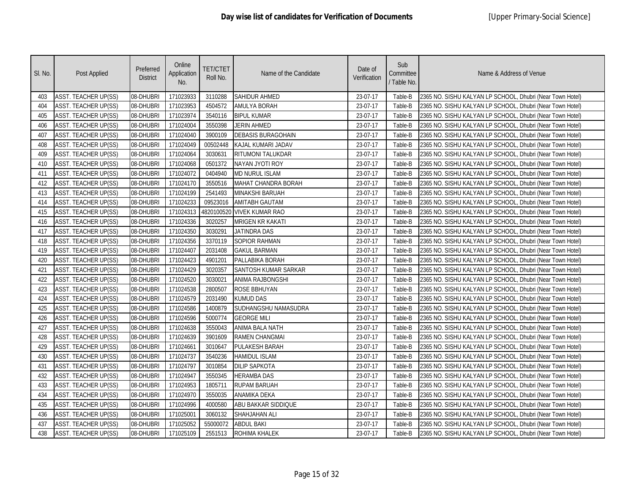| SI. No. | Post Applied                | Preferred<br><b>District</b> | Online<br>Application<br>No. | <b>TET/CTET</b><br>Roll No. | Name of the Candidate      | Date of<br>Verification | Sub<br>Committee<br>/ Table No. | Name & Address of Venue                                   |
|---------|-----------------------------|------------------------------|------------------------------|-----------------------------|----------------------------|-------------------------|---------------------------------|-----------------------------------------------------------|
| 403     | <b>ASST. TEACHER UP(SS)</b> | 08-DHUBRI                    | 171023933                    | 3110288                     | <b>SAHIDUR AHMED</b>       | 23-07-17                | Table-B                         | 2365 NO. SISHU KALYAN LP SCHOOL, Dhubri (Near Town Hotel) |
| 404     | <b>ASST. TEACHER UP(SS)</b> | 08-DHUBRI                    | 171023953                    | 4504572                     | <b>AMULYA BORAH</b>        | 23-07-17                | Table-B                         | 2365 NO. SISHU KALYAN LP SCHOOL, Dhubri (Near Town Hotel) |
| 405     | ASST. TEACHER UP(SS)        | 08-DHUBRI                    | 171023974                    | 3540116                     | <b>BIPUL KUMAR</b>         | 23-07-17                | Table-B                         | 2365 NO. SISHU KALYAN LP SCHOOL, Dhubri (Near Town Hotel) |
| 406     | <b>ASST. TEACHER UP(SS)</b> | 08-DHUBRI                    | 171024004                    | 3550398                     | JERIN AHMED                | 23-07-17                | Table-B                         | 2365 NO. SISHU KALYAN LP SCHOOL, Dhubri (Near Town Hotel) |
| 407     | <b>ASST. TEACHER UP(SS)</b> | 08-DHUBRI                    | 171024040                    | 3900109                     | <b>DEBASIS BURAGOHAIN</b>  | 23-07-17                | Table-B                         | 2365 NO. SISHU KALYAN LP SCHOOL, Dhubri (Near Town Hotel) |
| 408     | <b>ASST. TEACHER UP(SS)</b> | 08-DHUBRI                    | 171024049                    | 00502448                    | KAJAL KUMARI JADAV         | 23-07-17                | Table-B                         | 2365 NO. SISHU KALYAN LP SCHOOL, Dhubri (Near Town Hotel) |
| 409     | <b>ASST. TEACHER UP(SS)</b> | 08-DHUBRI                    | 171024064                    | 3030631                     | <b>RITUMONI TALUKDAR</b>   | 23-07-17                | Table-B                         | 2365 NO. SISHU KALYAN LP SCHOOL, Dhubri (Near Town Hotel) |
| 410     | <b>ASST. TEACHER UP(SS)</b> | 08-DHUBRI                    | 171024068                    | 0501372                     | NAYAN JYOTI ROY            | 23-07-17                | Table-B                         | 2365 NO. SISHU KALYAN LP SCHOOL, Dhubri (Near Town Hotel) |
| 411     | ASST. TEACHER UP(SS)        | 08-DHUBRI                    | 171024072                    | 0404940                     | <b>MD NURUL ISLAM</b>      | 23-07-17                | Table-B                         | 2365 NO. SISHU KALYAN LP SCHOOL, Dhubri (Near Town Hotel) |
| 412     | ASST. TEACHER UP(SS)        | 08-DHUBRI                    | 171024170                    | 3550516                     | MAHAT CHANDRA BORAH        | 23-07-17                | Table-B                         | 2365 NO. SISHU KALYAN LP SCHOOL, Dhubri (Near Town Hotel) |
| 413     | <b>ASST. TEACHER UP(SS)</b> | 08-DHUBRI                    | 171024199                    | 2541493                     | <b>MINAKSHI BARUAH</b>     | 23-07-17                | Table-B                         | 2365 NO. SISHU KALYAN LP SCHOOL, Dhubri (Near Town Hotel) |
| 414     | <b>ASST. TEACHER UP(SS)</b> | 08-DHUBRI                    | 171024233                    | 09523016                    | <b>AMITABH GAUTAM</b>      | 23-07-17                | Table-B                         | 2365 NO. SISHU KALYAN LP SCHOOL, Dhubri (Near Town Hotel) |
| 415     | <b>ASST. TEACHER UP(SS)</b> | 08-DHUBRI                    | 171024313                    |                             | 4820100520 VIVEK KUMAR RAO | 23-07-17                | Table-B                         | 2365 NO. SISHU KALYAN LP SCHOOL, Dhubri (Near Town Hotel) |
| 416     | ASST. TEACHER UP(SS)        | 08-DHUBRI                    | 171024336                    | 3020257                     | <b>MRIGEN KR KAKATI</b>    | 23-07-17                | Table-B                         | 2365 NO. SISHU KALYAN LP SCHOOL, Dhubri (Near Town Hotel) |
| 417     | ASST. TEACHER UP(SS)        | 08-DHUBRI                    | 171024350                    | 3030291                     | JATINDRA DAS               | 23-07-17                | Table-B                         | 2365 NO. SISHU KALYAN LP SCHOOL, Dhubri (Near Town Hotel) |
| 418     | <b>ASST. TEACHER UP(SS)</b> | 08-DHUBRI                    | 171024356                    | 3370119                     | SOPIOR RAHMAN              | 23-07-17                | Table-B                         | 2365 NO. SISHU KALYAN LP SCHOOL, Dhubri (Near Town Hotel) |
| 419     | <b>ASST. TEACHER UP(SS)</b> | 08-DHUBRI                    | 171024407                    | 2031408                     | <b>GAKUL BARMAN</b>        | 23-07-17                | Table-B                         | 2365 NO. SISHU KALYAN LP SCHOOL, Dhubri (Near Town Hotel) |
| 420     | <b>ASST. TEACHER UP(SS)</b> | 08-DHUBRI                    | 171024423                    | 4901201                     | PALLABIKA BORAH            | 23-07-17                | Table-B                         | 2365 NO. SISHU KALYAN LP SCHOOL, Dhubri (Near Town Hotel) |
| 421     | <b>ASST. TEACHER UP(SS)</b> | 08-DHUBRI                    | 171024429                    | 3020357                     | SANTOSH KUMAR SARKAR       | 23-07-17                | Table-B                         | 2365 NO. SISHU KALYAN LP SCHOOL, Dhubri (Near Town Hotel) |
| 422     | <b>ASST. TEACHER UP(SS)</b> | 08-DHUBRI                    | 171024520                    | 3030021                     | <b>ANIMA RAJBONGSHI</b>    | 23-07-17                | Table-B                         | 2365 NO. SISHU KALYAN LP SCHOOL, Dhubri (Near Town Hotel) |
| 423     | <b>ASST. TEACHER UP(SS)</b> | 08-DHUBRI                    | 171024538                    | 2800507                     | <b>ROSE BBHUYAN</b>        | 23-07-17                | Table-B                         | 2365 NO. SISHU KALYAN LP SCHOOL, Dhubri (Near Town Hotel) |
| 424     | <b>ASST. TEACHER UP(SS)</b> | 08-DHUBRI                    | 171024579                    | 2031490                     | <b>KUMUD DAS</b>           | 23-07-17                | Table-B                         | 2365 NO. SISHU KALYAN LP SCHOOL, Dhubri (Near Town Hotel) |
| 425     | <b>ASST. TEACHER UP(SS)</b> | 08-DHUBRI                    | 171024586                    | 1400879                     | SUDHANGSHU NAMASUDRA       | 23-07-17                | Table-B                         | 2365 NO. SISHU KALYAN LP SCHOOL, Dhubri (Near Town Hotel) |
| 426     | ASST. TEACHER UP(SS)        | 08-DHUBRI                    | 171024596                    | 5000774                     | <b>GEORGE MILI</b>         | 23-07-17                | Table-B                         | 2365 NO. SISHU KALYAN LP SCHOOL, Dhubri (Near Town Hotel) |
| 427     | ASST. TEACHER UP(SS)        | 08-DHUBRI                    | 171024638                    | 3550043                     | ANIMA BALA NATH            | 23-07-17                | Table-B                         | 2365 NO. SISHU KALYAN LP SCHOOL, Dhubri (Near Town Hotel) |
| 428     | <b>ASST. TEACHER UP(SS)</b> | 08-DHUBRI                    | 171024639                    | 3901609                     | <b>RAMEN CHANGMAI</b>      | 23-07-17                | Table-B                         | 2365 NO. SISHU KALYAN LP SCHOOL, Dhubri (Near Town Hotel) |
| 429     | <b>ASST. TEACHER UP(SS)</b> | 08-DHUBRI                    | 171024661                    | 3010647                     | <b>PULAKESH BARAH</b>      | 23-07-17                | Table-B                         | 2365 NO. SISHU KALYAN LP SCHOOL, Dhubri (Near Town Hotel) |
| 430     | <b>ASST. TEACHER UP(SS)</b> | 08-DHUBRI                    | 171024737                    | 3540236                     | <b>HAMIDUL ISLAM</b>       | 23-07-17                | Table-B                         | 2365 NO. SISHU KALYAN LP SCHOOL, Dhubri (Near Town Hotel) |
| 431     | ASST. TEACHER UP(SS)        | 08-DHUBRI                    | 171024797                    | 3010854                     | <b>DILIP SAPKOTA</b>       | 23-07-17                | Table-B                         | 2365 NO. SISHU KALYAN LP SCHOOL, Dhubri (Near Town Hotel) |
| 432     | ASST. TEACHER UP(SS)        | 08-DHUBRI                    | 171024947                    | 3550345                     | <b>HERAMBA DAS</b>         | 23-07-17                | Table-B                         | 2365 NO. SISHU KALYAN LP SCHOOL, Dhubri (Near Town Hotel) |
| 433     | <b>ASST. TEACHER UP(SS)</b> | 08-DHUBRI                    | 171024953                    | 1805711                     | <b>RUPAM BARUAH</b>        | 23-07-17                | Table-B                         | 2365 NO. SISHU KALYAN LP SCHOOL, Dhubri (Near Town Hotel) |
| 434     | <b>ASST. TEACHER UP(SS)</b> | 08-DHUBRI                    | 171024970                    | 3550035                     | ANAMIKA DEKA               | 23-07-17                | Table-B                         | 2365 NO. SISHU KALYAN LP SCHOOL, Dhubri (Near Town Hotel) |
| 435     | <b>ASST. TEACHER UP(SS)</b> | 08-DHUBRI                    | 171024996                    | 4000580                     | ABU BAKKAR SIDDIQUE        | 23-07-17                | Table-B                         | 2365 NO. SISHU KALYAN LP SCHOOL, Dhubri (Near Town Hotel) |
| 436     | ASST. TEACHER UP(SS)        | 08-DHUBRI                    | 171025001                    | 3060132                     | SHAHJAHAN ALI              | 23-07-17                | Table-B                         | 2365 NO. SISHU KALYAN LP SCHOOL, Dhubri (Near Town Hotel) |
| 437     | ASST. TEACHER UP(SS)        | 08-DHUBRI                    | 171025052                    | 55000072                    | <b>ABDUL BAKI</b>          | 23-07-17                | Table-B                         | 2365 NO. SISHU KALYAN LP SCHOOL, Dhubri (Near Town Hotel) |
| 438     | ASST. TEACHER UP(SS)        | 08-DHUBRI                    | 171025109                    | 2551513                     | <b>ROHIMA KHALEK</b>       | 23-07-17                | Table-B                         | 2365 NO. SISHU KALYAN LP SCHOOL, Dhubri (Near Town Hotel) |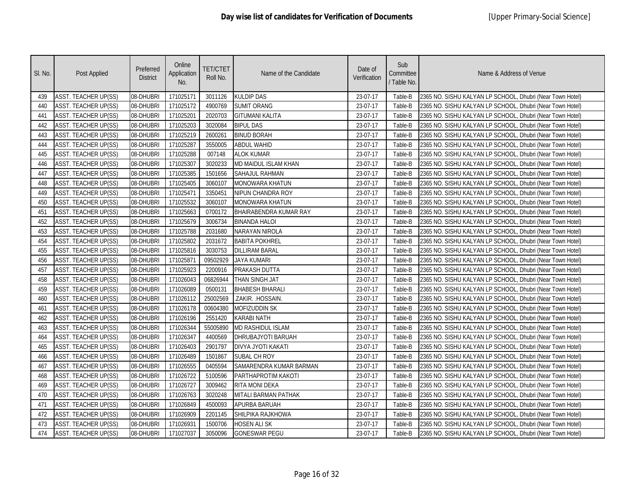| SI. No. | Post Applied                | Preferred<br><b>District</b> | Online<br>Application<br>No. | <b>TET/CTET</b><br>Roll No. | Name of the Candidate         | Date of<br>Verification | Sub<br>Committee<br>/ Table No. | Name & Address of Venue                                   |
|---------|-----------------------------|------------------------------|------------------------------|-----------------------------|-------------------------------|-------------------------|---------------------------------|-----------------------------------------------------------|
| 439     | <b>ASST. TEACHER UP(SS)</b> | 08-DHUBRI                    | 171025171                    | 3011126                     | <b>KULDIP DAS</b>             | 23-07-17                | Table-B                         | 2365 NO. SISHU KALYAN LP SCHOOL, Dhubri (Near Town Hotel) |
| 440     | <b>ASST. TEACHER UP(SS)</b> | 08-DHUBRI                    | 171025172                    | 4900769                     | <b>SUMIT ORANG</b>            | 23-07-17                | Table-B                         | 2365 NO. SISHU KALYAN LP SCHOOL, Dhubri (Near Town Hotel) |
| 441     | ASST. TEACHER UP(SS)        | 08-DHUBRI                    | 171025201                    | 2020703                     | <b>GITUMANI KALITA</b>        | 23-07-17                | Table-B                         | 2365 NO. SISHU KALYAN LP SCHOOL, Dhubri (Near Town Hotel) |
| 442     | <b>ASST. TEACHER UP(SS)</b> | 08-DHUBRI                    | 171025203                    | 3020084                     | <b>BIPUL DAS</b>              | 23-07-17                | Table-B                         | 2365 NO. SISHU KALYAN LP SCHOOL, Dhubri (Near Town Hotel) |
| 443     | <b>ASST. TEACHER UP(SS)</b> | 08-DHUBRI                    | 171025219                    | 2600261                     | <b>BINUD BORAH</b>            | 23-07-17                | Table-B                         | 2365 NO. SISHU KALYAN LP SCHOOL, Dhubri (Near Town Hotel) |
| 444     | <b>ASST. TEACHER UP(SS)</b> | 08-DHUBRI                    | 171025287                    | 3550005                     | <b>ABDUL WAHID</b>            | 23-07-17                | Table-B                         | 2365 NO. SISHU KALYAN LP SCHOOL, Dhubri (Near Town Hotel) |
| 445     | ASST. TEACHER UP(SS)        | 08-DHUBRI                    | 171025288                    | 007148                      | <b>ALOK KUMAR</b>             | 23-07-17                | Table-B                         | 2365 NO. SISHU KALYAN LP SCHOOL, Dhubri (Near Town Hotel) |
| 446     | <b>ASST. TEACHER UP(SS)</b> | 08-DHUBRI                    | 171025307                    | 3020233                     | MD MAIDUL ISLAM KHAN          | 23-07-17                | Table-B                         | 2365 NO. SISHU KALYAN LP SCHOOL, Dhubri (Near Town Hotel) |
| 447     | ASST. TEACHER UP(SS)        | 08-DHUBRI                    | 171025385                    | 1501656                     | SAHAJUL RAHMAN                | 23-07-17                | Table-B                         | 2365 NO. SISHU KALYAN LP SCHOOL, Dhubri (Near Town Hotel) |
| 448     | ASST. TEACHER UP(SS)        | 08-DHUBRI                    | 171025405                    | 3060107                     | <b>MONOWARA KHATUN</b>        | 23-07-17                | Table-B                         | 2365 NO. SISHU KALYAN LP SCHOOL, Dhubri (Near Town Hotel) |
| 449     | <b>ASST. TEACHER UP(SS)</b> | 08-DHUBRI                    | 171025471                    | 3350451                     | <b>NIPUN CHANDRA ROY</b>      | 23-07-17                | Table-B                         | 2365 NO. SISHU KALYAN LP SCHOOL, Dhubri (Near Town Hotel) |
| 450     | <b>ASST. TEACHER UP(SS)</b> | 08-DHUBRI                    | 171025532                    | 3060107                     | <b>MONOWARA KHATUN</b>        | 23-07-17                | Table-B                         | 2365 NO. SISHU KALYAN LP SCHOOL, Dhubri (Near Town Hotel) |
| 451     | <b>ASST. TEACHER UP(SS)</b> | 08-DHUBRI                    | 171025663                    | 0700172                     | <b>BHAIRABENDRA KUMAR RAY</b> | 23-07-17                | Table-B                         | 2365 NO. SISHU KALYAN LP SCHOOL, Dhubri (Near Town Hotel) |
| 452     | ASST. TEACHER UP(SS)        | 08-DHUBRI                    | 171025679                    | 3006734                     | <b>BINANDA HALOI</b>          | 23-07-17                | Table-B                         | 2365 NO. SISHU KALYAN LP SCHOOL, Dhubri (Near Town Hotel) |
| 453     | ASST. TEACHER UP(SS)        | 08-DHUBRI                    | 171025788                    | 2031680                     | NARAYAN NIROLA                | 23-07-17                | Table-B                         | 2365 NO. SISHU KALYAN LP SCHOOL, Dhubri (Near Town Hotel) |
| 454     | <b>ASST. TEACHER UP(SS)</b> | 08-DHUBRI                    | 171025802                    | 2031672                     | <b>BABITA POKHREL</b>         | 23-07-17                | Table-B                         | 2365 NO. SISHU KALYAN LP SCHOOL, Dhubri (Near Town Hotel) |
| 455     | <b>ASST. TEACHER UP(SS)</b> | 08-DHUBRI                    | 171025816                    | 3030753                     | <b>DILLIRAM BARAL</b>         | 23-07-17                | Table-B                         | 2365 NO. SISHU KALYAN LP SCHOOL, Dhubri (Near Town Hotel) |
| 456     | <b>ASST. TEACHER UP(SS)</b> | 08-DHUBRI                    | 171025871                    | 09502929                    | <b>JAYA KUMARI</b>            | 23-07-17                | Table-B                         | 2365 NO. SISHU KALYAN LP SCHOOL, Dhubri (Near Town Hotel) |
| 457     | <b>ASST. TEACHER UP(SS)</b> | 08-DHUBRI                    | 171025923                    | 2200916                     | PRAKASH DUTTA                 | 23-07-17                | Table-B                         | 2365 NO. SISHU KALYAN LP SCHOOL, Dhubri (Near Town Hotel) |
| 458     | <b>ASST. TEACHER UP(SS)</b> | 08-DHUBRI                    | 171026043                    | 06826944                    | THAN SINGH JAT                | 23-07-17                | Table-B                         | 2365 NO. SISHU KALYAN LP SCHOOL, Dhubri (Near Town Hotel) |
| 459     | <b>ASST. TEACHER UP(SS)</b> | 08-DHUBRI                    | 171026089                    | 0500131                     | <b>BHABESH BHARALI</b>        | 23-07-17                | Table-B                         | 2365 NO. SISHU KALYAN LP SCHOOL, Dhubri (Near Town Hotel) |
| 460     | <b>ASST. TEACHER UP(SS)</b> | 08-DHUBRI                    | 171026112                    | 25002569                    | .zakir. .hossain.             | 23-07-17                | Table-B                         | 2365 NO. SISHU KALYAN LP SCHOOL, Dhubri (Near Town Hotel) |
| 461     | <b>ASST. TEACHER UP(SS)</b> | 08-DHUBRI                    | 171026178                    | 00604380                    | MOFIZUDDIN SK                 | 23-07-17                | Table-B                         | 2365 NO. SISHU KALYAN LP SCHOOL, Dhubri (Near Town Hotel) |
| 462     | ASST. TEACHER UP(SS)        | 08-DHUBRI                    | 171026196                    | 2551420                     | <b>KARABI NATH</b>            | 23-07-17                | Table-B                         | 2365 NO. SISHU KALYAN LP SCHOOL, Dhubri (Near Town Hotel) |
| 463     | ASST. TEACHER UP(SS)        | 08-DHUBRI                    | 171026344                    | 55005890                    | <b>MD RASHIDUL ISLAM</b>      | 23-07-17                | Table-B                         | 2365 NO. SISHU KALYAN LP SCHOOL, Dhubri (Near Town Hotel) |
| 464     | <b>ASST. TEACHER UP(SS)</b> | 08-DHUBRI                    | 171026347                    | 4400569                     | DHRUBAJYOTI BARUAH            | 23-07-17                | Table-B                         | 2365 NO. SISHU KALYAN LP SCHOOL, Dhubri (Near Town Hotel) |
| 465     | <b>ASST. TEACHER UP(SS)</b> | 08-DHUBRI                    | 171026403                    | 2901797                     | DIVYA JYOTI KAKATI            | 23-07-17                | Table-B                         | 2365 NO. SISHU KALYAN LP SCHOOL, Dhubri (Near Town Hotel) |
| 466     | <b>ASST. TEACHER UP(SS)</b> | 08-DHUBRI                    | 171026489                    | 1501867                     | <b>SUBAL CH ROY</b>           | 23-07-17                | Table-B                         | 2365 NO. SISHU KALYAN LP SCHOOL, Dhubri (Near Town Hotel) |
| 467     | ASST. TEACHER UP(SS)        | 08-DHUBRI                    | 171026555                    | 0405594                     | SAMARENDRA KUMAR BARMAN       | 23-07-17                | Table-B                         | 2365 NO. SISHU KALYAN LP SCHOOL, Dhubri (Near Town Hotel) |
| 468     | ASST. TEACHER UP(SS)        | 08-DHUBRI                    | 171026722                    | 5100596                     | PARTHAPROTIM KAKOTI           | 23-07-17                | Table-B                         | 2365 NO. SISHU KALYAN LP SCHOOL, Dhubri (Near Town Hotel) |
| 469     | ASST. TEACHER UP(SS)        | 08-DHUBRI                    | 171026727                    | 3009462                     | <b>RITA MONI DEKA</b>         | 23-07-17                | Table-B                         | 2365 NO. SISHU KALYAN LP SCHOOL, Dhubri (Near Town Hotel) |
| 470     | <b>ASST. TEACHER UP(SS)</b> | 08-DHUBRI                    | 171026763                    | 3020248                     | MITALI BARMAN PATHAK          | 23-07-17                | Table-B                         | 2365 NO. SISHU KALYAN LP SCHOOL, Dhubri (Near Town Hotel) |
| 471     | ASST. TEACHER UP(SS)        | 08-DHUBRI                    | 171026849                    | 4500093                     | APURBA BARUAH                 | 23-07-17                | Table-B                         | 2365 NO. SISHU KALYAN LP SCHOOL, Dhubri (Near Town Hotel) |
| 472     | ASST. TEACHER UP(SS)        | 08-DHUBRI                    | 171026909                    | 2201145                     | SHILPIKA RAJKHOWA             | 23-07-17                | Table-B                         | 2365 NO. SISHU KALYAN LP SCHOOL, Dhubri (Near Town Hotel) |
| 473     | ASST. TEACHER UP(SS)        | 08-DHUBRI                    | 171026931                    | 1500706                     | <b>HOSEN ALI SK</b>           | 23-07-17                | Table-B                         | 2365 NO. SISHU KALYAN LP SCHOOL, Dhubri (Near Town Hotel) |
| 474     | ASST. TEACHER UP(SS)        | 08-DHUBRI                    | 171027037                    | 3050096                     | <b>GONESWAR PEGU</b>          | 23-07-17                | Table-B                         | 2365 NO. SISHU KALYAN LP SCHOOL, Dhubri (Near Town Hotel) |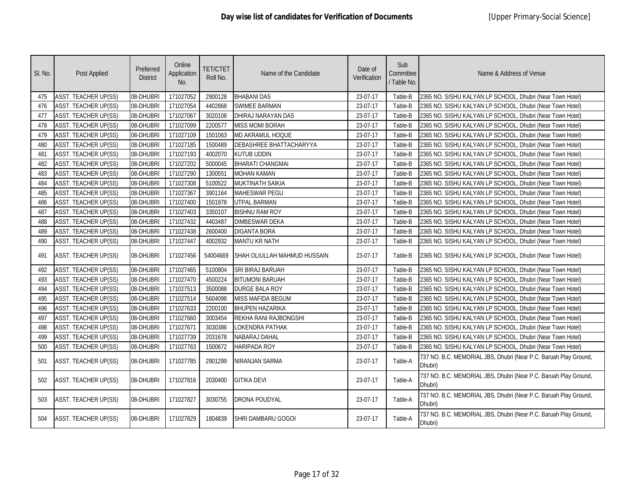| SI. No. | Post Applied                | Preferred<br><b>District</b> | Online<br>Application<br>No. | <b>TET/CTET</b><br>Roll No. | Name of the Candidate        | Date of<br>Verification | Sub<br>Committee<br>/ Table No. | Name & Address of Venue                                                     |
|---------|-----------------------------|------------------------------|------------------------------|-----------------------------|------------------------------|-------------------------|---------------------------------|-----------------------------------------------------------------------------|
| 475     | <b>ASST. TEACHER UP(SS)</b> | 08-DHUBRI                    | 171027052                    | 2900128                     | <b>BHABANI DAS</b>           | 23-07-17                | Table-B                         | 2365 NO. SISHU KALYAN LP SCHOOL, Dhubri (Near Town Hotel)                   |
| 476     | <b>ASST. TEACHER UP(SS)</b> | 08-DHUBRI                    | 171027054                    | 4402868                     | <b>SWIMEE BARMAN</b>         | 23-07-17                | Table-B                         | 2365 NO. SISHU KALYAN LP SCHOOL, Dhubri (Near Town Hotel)                   |
| 477     | <b>ASST. TEACHER UP(SS)</b> | 08-DHUBRI                    | 171027067                    | 3020108                     | DHIRAJ NARAYAN DAS           | 23-07-17                | Table-B                         | 2365 NO. SISHU KALYAN LP SCHOOL, Dhubri (Near Town Hotel)                   |
| 478     | <b>ASST. TEACHER UP(SS)</b> | 08-DHUBRI                    | 171027099                    | 2200577                     | <b>MISS MOMI BORAH</b>       | 23-07-17                | Table-B                         | 2365 NO. SISHU KALYAN LP SCHOOL, Dhubri (Near Town Hotel)                   |
| 479     | ASST. TEACHER UP(SS)        | 08-DHUBRI                    | 171027109                    | 1501063                     | MD AKRAMUL HOQUE             | 23-07-17                | Table-B                         | 2365 NO. SISHU KALYAN LP SCHOOL, Dhubri (Near Town Hotel)                   |
| 480     | <b>ASST. TEACHER UP(SS)</b> | 08-DHUBRI                    | 171027185                    | 1500489                     | DEBASHREE BHATTACHARYYA      | 23-07-17                | Table-B                         | 2365 NO. SISHU KALYAN LP SCHOOL, Dhubri (Near Town Hotel)                   |
| 481     | <b>ASST. TEACHER UP(SS)</b> | 08-DHUBRI                    | 171027193                    | 4002070                     | KUTUB UDDIN                  | 23-07-17                | Table-B                         | 2365 NO. SISHU KALYAN LP SCHOOL, Dhubri (Near Town Hotel)                   |
| 482     | <b>ASST. TEACHER UP(SS)</b> | 08-DHUBRI                    | 171027202                    | 5000045                     | <b>BHARATI CHANGMAI</b>      | 23-07-17                | Table-B                         | 2365 NO. SISHU KALYAN LP SCHOOL, Dhubri (Near Town Hotel)                   |
| 483     | <b>ASST. TEACHER UP(SS)</b> | 08-DHUBRI                    | 171027290                    | 1300551                     | <b>MOHAN KAMAN</b>           | 23-07-17                | Table-B                         | 2365 NO. SISHU KALYAN LP SCHOOL, Dhubri (Near Town Hotel)                   |
| 484     | <b>ASST. TEACHER UP(SS)</b> | 08-DHUBRI                    | 171027308                    | 5100522                     | MUKTINATH SAIKIA             | 23-07-17                | Table-B                         | 2365 NO. SISHU KALYAN LP SCHOOL, Dhubri (Near Town Hotel)                   |
| 485     | <b>ASST. TEACHER UP(SS)</b> | 08-DHUBRI                    | 171027367                    | 3901164                     | <b>MAHESWAR PEGU</b>         | 23-07-17                | Table-B                         | 2365 NO. SISHU KALYAN LP SCHOOL, Dhubri (Near Town Hotel)                   |
| 486     | <b>ASST. TEACHER UP(SS)</b> | 08-DHUBRI                    | 171027400                    | 1501978                     | <b>UTPAL BARMAN</b>          | 23-07-17                | Table-B                         | 2365 NO. SISHU KALYAN LP SCHOOL, Dhubri (Near Town Hotel)                   |
| 487     | <b>ASST. TEACHER UP(SS)</b> | 08-DHUBRI                    | 171027403                    | 3350107                     | <b>BISHNU RAM ROY</b>        | 23-07-17                | Table-B                         | 2365 NO. SISHU KALYAN LP SCHOOL, Dhubri (Near Town Hotel)                   |
| 488     | <b>ASST. TEACHER UP(SS)</b> | 08-DHUBRI                    | 171027432                    | 4403487                     | <b>DIMBESWAR DEKA</b>        | 23-07-17                | Table-B                         | 2365 NO. SISHU KALYAN LP SCHOOL, Dhubri (Near Town Hotel)                   |
| 489     | <b>ASST. TEACHER UP(SS)</b> | 08-DHUBRI                    | 171027438                    | 2600400                     | <b>DIGANTA BORA</b>          | 23-07-17                | Table-B                         | 2365 NO. SISHU KALYAN LP SCHOOL, Dhubri (Near Town Hotel)                   |
| 490     | ASST. TEACHER UP(SS)        | 08-DHUBRI                    | 171027447                    | 4002932                     | MANTU KR NATH                | 23-07-17                | Table-B                         | 2365 NO. SISHU KALYAN LP SCHOOL, Dhubri (Near Town Hotel)                   |
| 491     | <b>ASST. TEACHER UP(SS)</b> | 08-DHUBRI                    | 171027456                    | 54004669                    | SHAH OLIULLAH MAHMUD HUSSAIN | 23-07-17                | Table-B                         | 2365 NO. SISHU KALYAN LP SCHOOL, Dhubri (Near Town Hotel)                   |
| 492     | ASST. TEACHER UP(SS)        | 08-DHUBRI                    | 171027465                    | 5100804                     | SRI BIRAJ BARUAH             | 23-07-17                | Table-B                         | 2365 NO. SISHU KALYAN LP SCHOOL, Dhubri (Near Town Hotel)                   |
| 493     | <b>ASST. TEACHER UP(SS)</b> | 08-DHUBRI                    | 171027470                    | 4500224                     | <b>BITUMONI BARUAH</b>       | 23-07-17                | Table-B                         | 2365 NO. SISHU KALYAN LP SCHOOL, Dhubri (Near Town Hotel)                   |
| 494     | <b>ASST. TEACHER UP(SS)</b> | 08-DHUBRI                    | 171027513                    | 3500088                     | <b>DURGE BALA ROY</b>        | 23-07-17                | Table-B                         | 2365 NO. SISHU KALYAN LP SCHOOL, Dhubri (Near Town Hotel)                   |
| 495     | <b>ASST. TEACHER UP(SS)</b> | 08-DHUBRI                    | 171027514                    | 5604098                     | <b>MISS MAFIDA BEGUM</b>     | 23-07-17                | Table-B                         | 2365 NO. SISHU KALYAN LP SCHOOL, Dhubri (Near Town Hotel)                   |
| 496     | <b>ASST. TEACHER UP(SS)</b> | 08-DHUBRI                    | 171027633                    | 2200100                     | <b>BHUPEN HAZARIKA</b>       | 23-07-17                | Table-B                         | 2365 NO. SISHU KALYAN LP SCHOOL, Dhubri (Near Town Hotel)                   |
| 497     | <b>ASST. TEACHER UP(SS)</b> | 08-DHUBRI                    | 171027660                    | 3003454                     | REKHA RANI RAJBONGSHI        | 23-07-17                | Table-B                         | 2365 NO. SISHU KALYAN LP SCHOOL, Dhubri (Near Town Hotel)                   |
| 498     | <b>ASST. TEACHER UP(SS)</b> | 08-DHUBRI                    | 171027671                    | 3030386                     | LOKENDRA PATHAK              | 23-07-17                | Table-B                         | 2365 NO. SISHU KALYAN LP SCHOOL, Dhubri (Near Town Hotel)                   |
| 499     | <b>ASST. TEACHER UP(SS)</b> | 08-DHUBRI                    | 171027739                    | 2031678                     | NABARAJ DAHAL                | 23-07-17                | Table-B                         | 2365 NO. SISHU KALYAN LP SCHOOL, Dhubri (Near Town Hotel)                   |
| 500     | <b>ASST. TEACHER UP(SS)</b> | 08-DHUBRI                    | 171027763                    | 1500672                     | <b>HARIPADA ROY</b>          | 23-07-17                | Table-B                         | 2365 NO. SISHU KALYAN LP SCHOOL, Dhubri (Near Town Hotel)                   |
| 501     | <b>ASST. TEACHER UP(SS)</b> | 08-DHUBRI                    | 171027785                    | 2901299                     | NIRANJAN SARMA               | 23-07-17                | Table-A                         | 737 NO. B.C. MEMORIAL JBS, Dhubri (Near P.C. Baruah Play Ground,<br>Dhubri) |
| 502     | <b>ASST. TEACHER UP(SS)</b> | 08-DHUBRI                    | 171027816                    | 2030400                     | <b>GITIKA DEVI</b>           | 23-07-17                | Table-A                         | 737 NO. B.C. MEMORIAL JBS, Dhubri (Near P.C. Baruah Play Ground,<br>Dhubri) |
| 503     | ASST. TEACHER UP(SS)        | 08-DHUBRI                    | 171027827                    | 3030755                     | <b>DRONA POUDYAL</b>         | 23-07-17                | Table-A                         | 737 NO. B.C. MEMORIAL JBS, Dhubri (Near P.C. Baruah Play Ground,<br>Dhubri) |
| 504     | <b>ASST. TEACHER UP(SS)</b> | 08-DHUBRI                    | 171027829                    | 1804839                     | SHRI DAMBARU GOGOI           | 23-07-17                | Table-A                         | 737 NO. B.C. MEMORIAL JBS, Dhubri (Near P.C. Baruah Play Ground,<br>Dhubri) |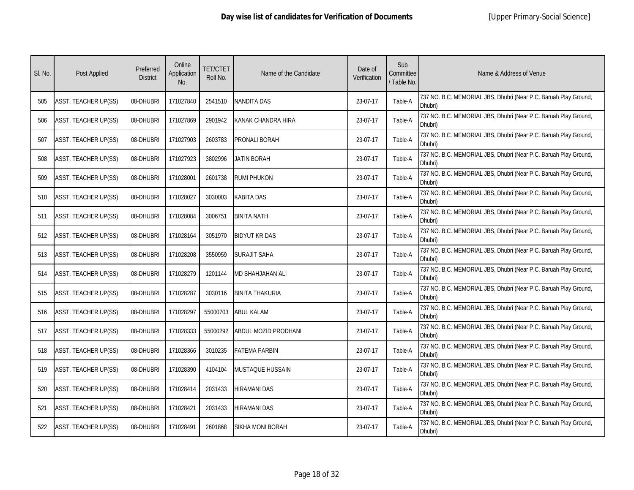| SI. No. | Post Applied                | Preferred<br><b>District</b> | Online<br>Application<br>No. | <b>TET/CTET</b><br>Roll No. | Name of the Candidate | Date of<br>Verification | Sub<br>Committee<br>/ Table No. | Name & Address of Venue                                                     |
|---------|-----------------------------|------------------------------|------------------------------|-----------------------------|-----------------------|-------------------------|---------------------------------|-----------------------------------------------------------------------------|
| 505     | <b>ASST. TEACHER UP(SS)</b> | 08-DHUBRI                    | 171027840                    | 2541510                     | NANDITA DAS           | 23-07-17                | Table-A                         | 737 NO. B.C. MEMORIAL JBS, Dhubri (Near P.C. Baruah Play Ground,<br>Dhubri) |
| 506     | <b>ASST. TEACHER UP(SS)</b> | 08-DHUBRI                    | 171027869                    | 2901942                     | KANAK CHANDRA HIRA    | 23-07-17                | Table-A                         | 737 NO. B.C. MEMORIAL JBS, Dhubri (Near P.C. Baruah Play Ground,<br>Dhubri) |
| 507     | <b>ASST. TEACHER UP(SS)</b> | 08-DHUBRI                    | 171027903                    | 2603783                     | PRONALI BORAH         | 23-07-17                | Table-A                         | 737 NO. B.C. MEMORIAL JBS, Dhubri (Near P.C. Baruah Play Ground,<br>Dhubri) |
| 508     | <b>ASST. TEACHER UP(SS)</b> | 08-DHUBRI                    | 171027923                    | 3802996                     | JATIN BORAH           | 23-07-17                | Table-A                         | 737 NO. B.C. MEMORIAL JBS, Dhubri (Near P.C. Baruah Play Ground,<br>Dhubri) |
| 509     | <b>ASST. TEACHER UP(SS)</b> | 08-DHUBRI                    | 171028001                    | 2601738                     | <b>RUMI PHUKON</b>    | 23-07-17                | Table-A                         | 737 NO. B.C. MEMORIAL JBS, Dhubri (Near P.C. Baruah Play Ground,<br>Dhubri) |
| 510     | <b>ASST. TEACHER UP(SS)</b> | 08-DHUBRI                    | 171028027                    | 3030003                     | <b>KABITA DAS</b>     | 23-07-17                | Table-A                         | 737 NO. B.C. MEMORIAL JBS, Dhubri (Near P.C. Baruah Play Ground,<br>Dhubri) |
| 511     | <b>ASST. TEACHER UP(SS)</b> | 08-DHUBRI                    | 171028084                    | 3006751                     | <b>BINITA NATH</b>    | 23-07-17                | Table-A                         | 737 NO. B.C. MEMORIAL JBS, Dhubri (Near P.C. Baruah Play Ground,<br>Dhubri) |
| 512     | <b>ASST. TEACHER UP(SS)</b> | 08-DHUBRI                    | 171028164                    | 3051970                     | <b>BIDYUT KR DAS</b>  | 23-07-17                | Table-A                         | 737 NO. B.C. MEMORIAL JBS, Dhubri (Near P.C. Baruah Play Ground,<br>Dhubri) |
| 513     | <b>ASST. TEACHER UP(SS)</b> | 08-DHUBRI                    | 171028208                    | 3550959                     | <b>SURAJIT SAHA</b>   | 23-07-17                | Table-A                         | 737 NO. B.C. MEMORIAL JBS, Dhubri (Near P.C. Baruah Play Ground,<br>Dhubri) |
| 514     | <b>ASST. TEACHER UP(SS)</b> | 08-DHUBRI                    | 171028279                    | 1201144                     | MD SHAHJAHAN ALI      | 23-07-17                | Table-A                         | 737 NO. B.C. MEMORIAL JBS, Dhubri (Near P.C. Baruah Play Ground,<br>Dhubri) |
| 515     | <b>ASST. TEACHER UP(SS)</b> | 08-DHUBRI                    | 171028287                    | 3030116                     | BINITA THAKURIA       | 23-07-17                | Table-A                         | 737 NO. B.C. MEMORIAL JBS, Dhubri (Near P.C. Baruah Play Ground,<br>Dhubri) |
| 516     | <b>ASST. TEACHER UP(SS)</b> | 08-DHUBRI                    | 171028297                    | 55000703                    | ABUL KALAM            | 23-07-17                | Table-A                         | 737 NO. B.C. MEMORIAL JBS, Dhubri (Near P.C. Baruah Play Ground,<br>Dhubri) |
| 517     | <b>ASST. TEACHER UP(SS)</b> | 08-DHUBRI                    | 171028333                    | 55000292                    | ABDUL MOZID PRODHANI  | 23-07-17                | Table-A                         | 737 NO. B.C. MEMORIAL JBS, Dhubri (Near P.C. Baruah Play Ground,<br>Dhubri) |
| 518     | <b>ASST. TEACHER UP(SS)</b> | 08-DHUBRI                    | 171028366                    | 3010235                     | <b>FATEMA PARBIN</b>  | 23-07-17                | Table-A                         | 737 NO. B.C. MEMORIAL JBS, Dhubri (Near P.C. Baruah Play Ground,<br>Dhubri) |
| 519     | <b>ASST. TEACHER UP(SS)</b> | 08-DHUBRI                    | 171028390                    | 4104104                     | MUSTAQUE HUSSAIN      | 23-07-17                | Table-A                         | 737 NO. B.C. MEMORIAL JBS, Dhubri (Near P.C. Baruah Play Ground,<br>Dhubri) |
| 520     | <b>ASST. TEACHER UP(SS)</b> | 08-DHUBRI                    | 171028414                    | 2031433                     | HIRAMANI DAS          | 23-07-17                | Table-A                         | 737 NO. B.C. MEMORIAL JBS, Dhubri (Near P.C. Baruah Play Ground,<br>Dhubri) |
| 521     | <b>ASST. TEACHER UP(SS)</b> | 08-DHUBRI                    | 171028421                    | 2031433                     | HIRAMANI DAS          | 23-07-17                | Table-A                         | 737 NO. B.C. MEMORIAL JBS, Dhubri (Near P.C. Baruah Play Ground,<br>Dhubri) |
| 522     | ASST. TEACHER UP(SS)        | 08-DHUBRI                    | 171028491                    | 2601868                     | SIKHA MONI BORAH      | 23-07-17                | Table-A                         | 737 NO. B.C. MEMORIAL JBS, Dhubri (Near P.C. Baruah Play Ground,<br>Dhubri) |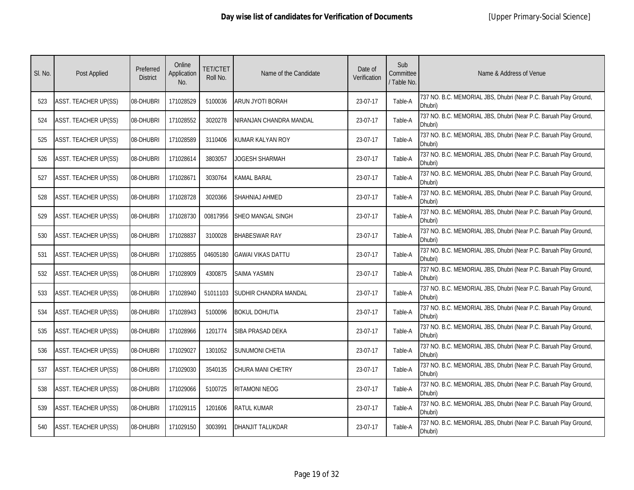| SI. No. | Post Applied                | Preferred<br><b>District</b> | Online<br>Application<br>No. | <b>TET/CTET</b><br>Roll No. | Name of the Candidate    | Date of<br>Verification | Sub<br>Committee<br>/ Table No. | Name & Address of Venue                                                     |
|---------|-----------------------------|------------------------------|------------------------------|-----------------------------|--------------------------|-------------------------|---------------------------------|-----------------------------------------------------------------------------|
| 523     | <b>ASST. TEACHER UP(SS)</b> | 08-DHUBRI                    | 171028529                    | 5100036                     | ARUN JYOTI BORAH         | 23-07-17                | Table-A                         | 737 NO. B.C. MEMORIAL JBS, Dhubri (Near P.C. Baruah Play Ground,<br>Dhubri) |
| 524     | <b>ASST. TEACHER UP(SS)</b> | 08-DHUBRI                    | 171028552                    | 3020278                     | NIRANJAN CHANDRA MANDAL  | 23-07-17                | Table-A                         | 737 NO. B.C. MEMORIAL JBS, Dhubri (Near P.C. Baruah Play Ground,<br>Dhubri) |
| 525     | <b>ASST. TEACHER UP(SS)</b> | 08-DHUBRI                    | 171028589                    | 3110406                     | KUMAR KALYAN ROY         | 23-07-17                | Table-A                         | 737 NO. B.C. MEMORIAL JBS, Dhubri (Near P.C. Baruah Play Ground,<br>Dhubri) |
| 526     | <b>ASST. TEACHER UP(SS)</b> | 08-DHUBRI                    | 171028614                    | 3803057                     | JOGESH SHARMAH           | 23-07-17                | Table-A                         | 737 NO. B.C. MEMORIAL JBS, Dhubri (Near P.C. Baruah Play Ground,<br>Dhubri) |
| 527     | ASST. TEACHER UP(SS)        | 08-DHUBRI                    | 171028671                    | 3030764                     | <b>KAMAL BARAL</b>       | 23-07-17                | Table-A                         | 737 NO. B.C. MEMORIAL JBS, Dhubri (Near P.C. Baruah Play Ground,<br>Dhubri) |
| 528     | <b>ASST. TEACHER UP(SS)</b> | 08-DHUBRI                    | 171028728                    | 3020366                     | <b>SHAHNIAJ AHMED</b>    | 23-07-17                | Table-A                         | 737 NO. B.C. MEMORIAL JBS, Dhubri (Near P.C. Baruah Play Ground,<br>Dhubri) |
| 529     | ASST. TEACHER UP(SS)        | 08-DHUBRI                    | 171028730                    | 00817956                    | <b>SHEO MANGAL SINGH</b> | 23-07-17                | Table-A                         | 737 NO. B.C. MEMORIAL JBS, Dhubri (Near P.C. Baruah Play Ground,<br>Dhubri) |
| 530     | ASST. TEACHER UP(SS)        | 08-DHUBRI                    | 171028837                    | 3100028                     | <b>BHABESWAR RAY</b>     | 23-07-17                | Table-A                         | 737 NO. B.C. MEMORIAL JBS, Dhubri (Near P.C. Baruah Play Ground,<br>Dhubri) |
| 531     | <b>ASST. TEACHER UP(SS)</b> | 08-DHUBRI                    | 171028855                    | 04605180                    | <b>GAWAI VIKAS DATTU</b> | 23-07-17                | Table-A                         | 737 NO. B.C. MEMORIAL JBS, Dhubri (Near P.C. Baruah Play Ground,<br>Dhubri) |
| 532     | <b>ASST. TEACHER UP(SS)</b> | 08-DHUBRI                    | 171028909                    | 4300875                     | <b>SAIMA YASMIN</b>      | 23-07-17                | Table-A                         | 737 NO. B.C. MEMORIAL JBS, Dhubri (Near P.C. Baruah Play Ground,<br>Dhubri) |
| 533     | <b>ASST. TEACHER UP(SS)</b> | 08-DHUBRI                    | 171028940                    | 51011103                    | SUDHIR CHANDRA MANDAL    | 23-07-17                | Table-A                         | 737 NO. B.C. MEMORIAL JBS, Dhubri (Near P.C. Baruah Play Ground,<br>Dhubri) |
| 534     | <b>ASST. TEACHER UP(SS)</b> | 08-DHUBRI                    | 171028943                    | 5100096                     | <b>BOKUL DOHUTIA</b>     | 23-07-17                | Table-A                         | 737 NO. B.C. MEMORIAL JBS, Dhubri (Near P.C. Baruah Play Ground,<br>Dhubri) |
| 535     | <b>ASST. TEACHER UP(SS)</b> | 08-DHUBRI                    | 171028966                    | 1201774                     | SIBA PRASAD DEKA         | 23-07-17                | Table-A                         | 737 NO. B.C. MEMORIAL JBS, Dhubri (Near P.C. Baruah Play Ground,<br>Dhubri) |
| 536     | <b>ASST. TEACHER UP(SS)</b> | 08-DHUBRI                    | 171029027                    | 1301052                     | <b>SUNUMONI CHETIA</b>   | 23-07-17                | Table-A                         | 737 NO. B.C. MEMORIAL JBS, Dhubri (Near P.C. Baruah Play Ground,<br>Dhubri) |
| 537     | <b>ASST. TEACHER UP(SS)</b> | 08-DHUBRI                    | 171029030                    | 3540135                     | CHURA MANI CHETRY        | 23-07-17                | Table-A                         | 737 NO. B.C. MEMORIAL JBS, Dhubri (Near P.C. Baruah Play Ground,<br>Dhubri) |
| 538     | ASST. TEACHER UP(SS)        | 08-DHUBRI                    | 171029066                    | 5100725                     | <b>RITAMONI NEOG</b>     | 23-07-17                | Table-A                         | 737 NO. B.C. MEMORIAL JBS, Dhubri (Near P.C. Baruah Play Ground,<br>Dhubri) |
| 539     | <b>ASST. TEACHER UP(SS)</b> | 08-DHUBRI                    | 171029115                    | 1201606                     | <b>RATUL KUMAR</b>       | 23-07-17                | Table-A                         | 737 NO. B.C. MEMORIAL JBS, Dhubri (Near P.C. Baruah Play Ground,<br>Dhubri) |
| 540     | <b>ASST. TEACHER UP(SS)</b> | 08-DHUBRI                    | 171029150                    | 3003991                     | <b>DHANJIT TALUKDAR</b>  | 23-07-17                | Table-A                         | 737 NO. B.C. MEMORIAL JBS, Dhubri (Near P.C. Baruah Play Ground,<br>Dhubri) |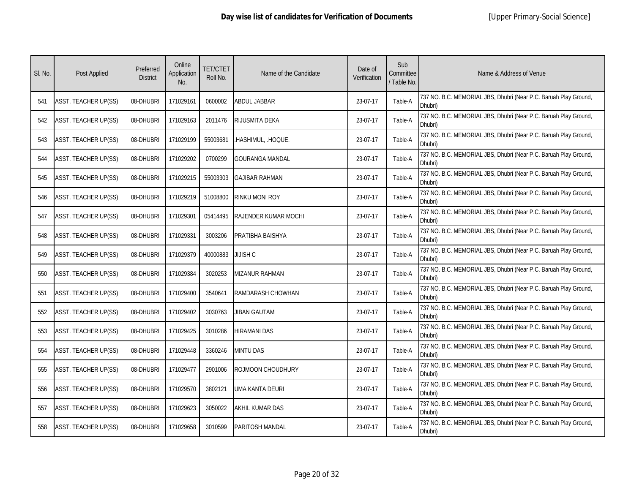| SI. No. | Post Applied                | Preferred<br><b>District</b> | Online<br>Application<br>No. | <b>TET/CTET</b><br>Roll No. | Name of the Candidate       | Date of<br>Verification | Sub<br>Committee<br>/ Table No. | Name & Address of Venue                                                     |
|---------|-----------------------------|------------------------------|------------------------------|-----------------------------|-----------------------------|-------------------------|---------------------------------|-----------------------------------------------------------------------------|
| 541     | <b>ASST. TEACHER UP(SS)</b> | 08-DHUBRI                    | 171029161                    | 0600002                     | <b>ABDUL JABBAR</b>         | 23-07-17                | Table-A                         | 737 NO. B.C. MEMORIAL JBS, Dhubri (Near P.C. Baruah Play Ground,<br>Dhubri) |
| 542     | ASST. TEACHER UP(SS)        | 08-DHUBRI                    | 171029163                    | 2011476                     | RIJUSMITA DEKA              | 23-07-17                | Table-A                         | 737 NO. B.C. MEMORIAL JBS, Dhubri (Near P.C. Baruah Play Ground,<br>Dhubri) |
| 543     | <b>ASST. TEACHER UP(SS)</b> | 08-DHUBRI                    | 171029199                    | 55003681                    | .HASHIMUL, .HOQUE.          | 23-07-17                | Table-A                         | 737 NO. B.C. MEMORIAL JBS, Dhubri (Near P.C. Baruah Play Ground,<br>Dhubri) |
| 544     | <b>ASST. TEACHER UP(SS)</b> | 08-DHUBRI                    | 171029202                    | 0700299                     | GOURANGA MANDAL             | 23-07-17                | Table-A                         | 737 NO. B.C. MEMORIAL JBS, Dhubri (Near P.C. Baruah Play Ground,<br>Dhubri) |
| 545     | <b>ASST. TEACHER UP(SS)</b> | 08-DHUBRI                    | 171029215                    | 55003303                    | <b>GAJIBAR RAHMAN</b>       | 23-07-17                | Table-A                         | 737 NO. B.C. MEMORIAL JBS, Dhubri (Near P.C. Baruah Play Ground,<br>Dhubri) |
| 546     | <b>ASST. TEACHER UP(SS)</b> | 08-DHUBRI                    | 171029219                    | 51008800                    | <b>RINKU MONI ROY</b>       | 23-07-17                | Table-A                         | 737 NO. B.C. MEMORIAL JBS, Dhubri (Near P.C. Baruah Play Ground,<br>Dhubri) |
| 547     | <b>ASST. TEACHER UP(SS)</b> | 08-DHUBRI                    | 171029301                    | 05414495                    | <b>RAJENDER KUMAR MOCHI</b> | 23-07-17                | Table-A                         | 737 NO. B.C. MEMORIAL JBS, Dhubri (Near P.C. Baruah Play Ground,<br>Dhubri) |
| 548     | <b>ASST. TEACHER UP(SS)</b> | 08-DHUBRI                    | 171029331                    | 3003206                     | PRATIBHA BAISHYA            | 23-07-17                | Table-A                         | 737 NO. B.C. MEMORIAL JBS, Dhubri (Near P.C. Baruah Play Ground,<br>Dhubri) |
| 549     | <b>ASST. TEACHER UP(SS)</b> | 08-DHUBRI                    | 171029379                    | 40000883                    | <b>JIJISH C</b>             | 23-07-17                | Table-A                         | 737 NO. B.C. MEMORIAL JBS, Dhubri (Near P.C. Baruah Play Ground,<br>Dhubri) |
| 550     | <b>ASST. TEACHER UP(SS)</b> | 08-DHUBRI                    | 171029384                    | 3020253                     | <b>MIZANUR RAHMAN</b>       | 23-07-17                | Table-A                         | 737 NO. B.C. MEMORIAL JBS, Dhubri (Near P.C. Baruah Play Ground,<br>Dhubri) |
| 551     | <b>ASST. TEACHER UP(SS)</b> | 08-DHUBRI                    | 171029400                    | 3540641                     | RAMDARASH CHOWHAN           | 23-07-17                | Table-A                         | 737 NO. B.C. MEMORIAL JBS, Dhubri (Near P.C. Baruah Play Ground,<br>Dhubri) |
| 552     | <b>ASST. TEACHER UP(SS)</b> | 08-DHUBRI                    | 171029402                    | 3030763                     | JIBAN GAUTAM                | 23-07-17                | Table-A                         | 737 NO. B.C. MEMORIAL JBS, Dhubri (Near P.C. Baruah Play Ground,<br>Dhubri) |
| 553     | <b>ASST. TEACHER UP(SS)</b> | 08-DHUBRI                    | 171029425                    | 3010286                     | HIRAMANI DAS                | 23-07-17                | Table-A                         | 737 NO. B.C. MEMORIAL JBS, Dhubri (Near P.C. Baruah Play Ground,<br>Dhubri) |
| 554     | <b>ASST. TEACHER UP(SS)</b> | 08-DHUBRI                    | 171029448                    | 3360246                     | <b>MINTU DAS</b>            | 23-07-17                | Table-A                         | 737 NO. B.C. MEMORIAL JBS, Dhubri (Near P.C. Baruah Play Ground,<br>Dhubri) |
| 555     | <b>ASST. TEACHER UP(SS)</b> | 08-DHUBRI                    | 171029477                    | 2901006                     | ROJMOON CHOUDHURY           | 23-07-17                | Table-A                         | 737 NO. B.C. MEMORIAL JBS, Dhubri (Near P.C. Baruah Play Ground,<br>Dhubri) |
| 556     | <b>ASST. TEACHER UP(SS)</b> | 08-DHUBRI                    | 171029570                    | 3802121                     | UMA KANTA DEURI             | 23-07-17                | Table-A                         | 737 NO. B.C. MEMORIAL JBS, Dhubri (Near P.C. Baruah Play Ground,<br>Dhubri) |
| 557     | ASST. TEACHER UP(SS)        | 08-DHUBRI                    | 171029623                    | 3050022                     | AKHIL KUMAR DAS             | 23-07-17                | Table-A                         | 737 NO. B.C. MEMORIAL JBS, Dhubri (Near P.C. Baruah Play Ground,<br>Dhubri) |
| 558     | <b>ASST. TEACHER UP(SS)</b> | 08-DHUBRI                    | 171029658                    | 3010599                     | PARITOSH MANDAL             | 23-07-17                | Table-A                         | 737 NO. B.C. MEMORIAL JBS, Dhubri (Near P.C. Baruah Play Ground,<br>Dhubri) |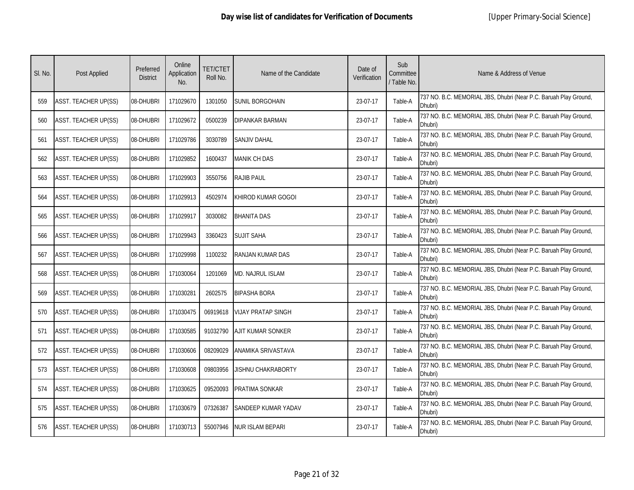| SI. No. | Post Applied                | Preferred<br><b>District</b> | Online<br>Application<br>No. | <b>TET/CTET</b><br>Roll No. | Name of the Candidate     | Date of<br>Verification | Sub<br>Committee<br>/ Table No. | Name & Address of Venue                                                     |
|---------|-----------------------------|------------------------------|------------------------------|-----------------------------|---------------------------|-------------------------|---------------------------------|-----------------------------------------------------------------------------|
| 559     | ASST. TEACHER UP(SS)        | 08-DHUBRI                    | 171029670                    | 1301050                     | <b>SUNIL BORGOHAIN</b>    | 23-07-17                | Table-A                         | 737 NO. B.C. MEMORIAL JBS, Dhubri (Near P.C. Baruah Play Ground,<br>Dhubri) |
| 560     | <b>ASST. TEACHER UP(SS)</b> | 08-DHUBRI                    | 171029672                    | 0500239                     | DIPANKAR BARMAN           | 23-07-17                | Table-A                         | 737 NO. B.C. MEMORIAL JBS, Dhubri (Near P.C. Baruah Play Ground,<br>Dhubri) |
| 561     | <b>ASST. TEACHER UP(SS)</b> | 08-DHUBRI                    | 171029786                    | 3030789                     | <b>SANJIV DAHAL</b>       | 23-07-17                | Table-A                         | 737 NO. B.C. MEMORIAL JBS, Dhubri (Near P.C. Baruah Play Ground,<br>Dhubri) |
| 562     | <b>ASST. TEACHER UP(SS)</b> | 08-DHUBRI                    | 171029852                    | 1600437                     | <b>MANIK CH DAS</b>       | 23-07-17                | Table-A                         | 737 NO. B.C. MEMORIAL JBS, Dhubri (Near P.C. Baruah Play Ground,<br>Dhubri) |
| 563     | ASST. TEACHER UP(SS)        | 08-DHUBRI                    | 171029903                    | 3550756                     | RAJIB PAUL                | 23-07-17                | Table-A                         | 737 NO. B.C. MEMORIAL JBS, Dhubri (Near P.C. Baruah Play Ground,<br>Dhubri) |
| 564     | ASST. TEACHER UP(SS)        | 08-DHUBRI                    | 171029913                    | 4502974                     | KHIROD KUMAR GOGOI        | 23-07-17                | Table-A                         | 737 NO. B.C. MEMORIAL JBS, Dhubri (Near P.C. Baruah Play Ground,<br>Dhubri) |
| 565     | <b>ASST. TEACHER UP(SS)</b> | 08-DHUBRI                    | 171029917                    | 3030082                     | <b>BHANITA DAS</b>        | 23-07-17                | Table-A                         | 737 NO. B.C. MEMORIAL JBS, Dhubri (Near P.C. Baruah Play Ground,<br>Dhubri) |
| 566     | <b>ASST. TEACHER UP(SS)</b> | 08-DHUBRI                    | 171029943                    | 3360423                     | <b>SUJIT SAHA</b>         | 23-07-17                | Table-A                         | 737 NO. B.C. MEMORIAL JBS, Dhubri (Near P.C. Baruah Play Ground,<br>Dhubri) |
| 567     | ASST. TEACHER UP(SS)        | 08-DHUBRI                    | 171029998                    | 1100232                     | RANJAN KUMAR DAS          | 23-07-17                | Table-A                         | 737 NO. B.C. MEMORIAL JBS, Dhubri (Near P.C. Baruah Play Ground,<br>Dhubri) |
| 568     | <b>ASST. TEACHER UP(SS)</b> | 08-DHUBRI                    | 171030064                    | 1201069                     | <b>MD. NAJRUL ISLAM</b>   | 23-07-17                | Table-A                         | 737 NO. B.C. MEMORIAL JBS, Dhubri (Near P.C. Baruah Play Ground,<br>Dhubri) |
| 569     | <b>ASST. TEACHER UP(SS)</b> | 08-DHUBRI                    | 171030281                    | 2602575                     | <b>BIPASHA BORA</b>       | 23-07-17                | Table-A                         | 737 NO. B.C. MEMORIAL JBS, Dhubri (Near P.C. Baruah Play Ground,<br>Dhubri) |
| 570     | <b>ASST. TEACHER UP(SS)</b> | 08-DHUBRI                    | 171030475                    | 06919618                    | <b>VIJAY PRATAP SINGH</b> | 23-07-17                | Table-A                         | 737 NO. B.C. MEMORIAL JBS, Dhubri (Near P.C. Baruah Play Ground,<br>Dhubri) |
| 571     | <b>ASST. TEACHER UP(SS)</b> | 08-DHUBRI                    | 171030585                    | 91032790                    | <b>AJIT KUMAR SONKER</b>  | 23-07-17                | Table-A                         | 737 NO. B.C. MEMORIAL JBS, Dhubri (Near P.C. Baruah Play Ground,<br>Dhubri) |
| 572     | <b>ASST. TEACHER UP(SS)</b> | 08-DHUBRI                    | 171030606                    | 08209029                    | ANAMIKA SRIVASTAVA        | 23-07-17                | Table-A                         | 737 NO. B.C. MEMORIAL JBS, Dhubri (Near P.C. Baruah Play Ground,<br>Dhubri) |
| 573     | <b>ASST. TEACHER UP(SS)</b> | 08-DHUBRI                    | 171030608                    | 09803956                    | JISHNU CHAKRABORTY        | 23-07-17                | Table-A                         | 737 NO. B.C. MEMORIAL JBS, Dhubri (Near P.C. Baruah Play Ground,<br>Dhubri) |
| 574     | <b>ASST. TEACHER UP(SS)</b> | 08-DHUBRI                    | 171030625                    | 09520093                    | PRATIMA SONKAR            | 23-07-17                | Table-A                         | 737 NO. B.C. MEMORIAL JBS, Dhubri (Near P.C. Baruah Play Ground,<br>Dhubri) |
| 575     | <b>ASST. TEACHER UP(SS)</b> | 08-DHUBRI                    | 171030679                    | 07326387                    | SANDEEP KUMAR YADAV       | 23-07-17                | Table-A                         | 737 NO. B.C. MEMORIAL JBS, Dhubri (Near P.C. Baruah Play Ground,<br>Dhubri) |
| 576     | <b>ASST. TEACHER UP(SS)</b> | 08-DHUBRI                    | 171030713                    | 55007946                    | <b>NUR ISLAM BEPARI</b>   | 23-07-17                | Table-A                         | 737 NO. B.C. MEMORIAL JBS, Dhubri (Near P.C. Baruah Play Ground,<br>Dhubri) |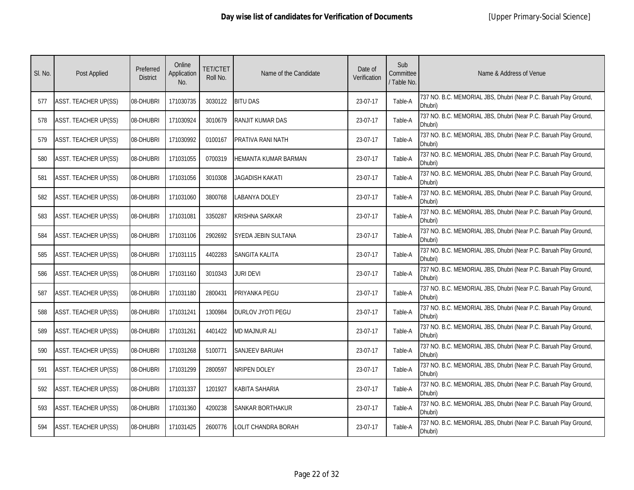| SI. No. | <b>Post Applied</b>         | Preferred<br><b>District</b> | Online<br>Application<br>No. | <b>TET/CTET</b><br>Roll No. | Name of the Candidate   | Date of<br>Verification | Sub<br>Committee<br>/ Table No. | Name & Address of Venue                                                     |
|---------|-----------------------------|------------------------------|------------------------------|-----------------------------|-------------------------|-------------------------|---------------------------------|-----------------------------------------------------------------------------|
| 577     | <b>ASST. TEACHER UP(SS)</b> | 08-DHUBRI                    | 171030735                    | 3030122                     | <b>BITU DAS</b>         | 23-07-17                | Table-A                         | 737 NO. B.C. MEMORIAL JBS, Dhubri (Near P.C. Baruah Play Ground,<br>Dhubri) |
| 578     | ASST. TEACHER UP(SS)        | 08-DHUBRI                    | 171030924                    | 3010679                     | <b>RANJIT KUMAR DAS</b> | 23-07-17                | Table-A                         | 737 NO. B.C. MEMORIAL JBS, Dhubri (Near P.C. Baruah Play Ground,<br>Dhubri) |
| 579     | <b>ASST. TEACHER UP(SS)</b> | 08-DHUBRI                    | 171030992                    | 0100167                     | PRATIVA RANI NATH       | 23-07-17                | Table-A                         | 737 NO. B.C. MEMORIAL JBS, Dhubri (Near P.C. Baruah Play Ground,<br>Dhubri) |
| 580     | <b>ASST. TEACHER UP(SS)</b> | 08-DHUBRI                    | 171031055                    | 0700319                     | HEMANTA KUMAR BARMAN    | 23-07-17                | Table-A                         | 737 NO. B.C. MEMORIAL JBS, Dhubri (Near P.C. Baruah Play Ground,<br>Dhubri) |
| 581     | <b>ASST. TEACHER UP(SS)</b> | 08-DHUBRI                    | 171031056                    | 3010308                     | JAGADISH KAKATI         | 23-07-17                | Table-A                         | 737 NO. B.C. MEMORIAL JBS, Dhubri (Near P.C. Baruah Play Ground,<br>Dhubri) |
| 582     | <b>ASST. TEACHER UP(SS)</b> | 08-DHUBRI                    | 171031060                    | 3800768                     | LABANYA DOLEY           | 23-07-17                | Table-A                         | 737 NO. B.C. MEMORIAL JBS, Dhubri (Near P.C. Baruah Play Ground,<br>Dhubri) |
| 583     | <b>ASST. TEACHER UP(SS)</b> | 08-DHUBRI                    | 171031081                    | 3350287                     | <b>KRISHNA SARKAR</b>   | 23-07-17                | Table-A                         | 737 NO. B.C. MEMORIAL JBS, Dhubri (Near P.C. Baruah Play Ground,<br>Dhubri) |
| 584     | <b>ASST. TEACHER UP(SS)</b> | 08-DHUBRI                    | 171031106                    | 2902692                     | SYEDA JEBIN SULTANA     | 23-07-17                | Table-A                         | 737 NO. B.C. MEMORIAL JBS, Dhubri (Near P.C. Baruah Play Ground,<br>Dhubri) |
| 585     | <b>ASST. TEACHER UP(SS)</b> | 08-DHUBRI                    | 171031115                    | 4402283                     | <b>SANGITA KALITA</b>   | 23-07-17                | Table-A                         | 737 NO. B.C. MEMORIAL JBS, Dhubri (Near P.C. Baruah Play Ground,<br>Dhubri) |
| 586     | <b>ASST. TEACHER UP(SS)</b> | 08-DHUBRI                    | 171031160                    | 3010343                     | <b>JURI DEVI</b>        | 23-07-17                | Table-A                         | 737 NO. B.C. MEMORIAL JBS, Dhubri (Near P.C. Baruah Play Ground,<br>Dhubri) |
| 587     | <b>ASST. TEACHER UP(SS)</b> | 08-DHUBRI                    | 171031180                    | 2800431                     | PRIYANKA PEGU           | 23-07-17                | Table-A                         | 737 NO. B.C. MEMORIAL JBS, Dhubri (Near P.C. Baruah Play Ground,<br>Dhubri) |
| 588     | ASST. TEACHER UP(SS)        | 08-DHUBRI                    | 171031241                    | 1300984                     | DURLOV JYOTI PEGU       | 23-07-17                | Table-A                         | 737 NO. B.C. MEMORIAL JBS, Dhubri (Near P.C. Baruah Play Ground,<br>Dhubri) |
| 589     | <b>ASST. TEACHER UP(SS)</b> | 08-DHUBRI                    | 171031261                    | 4401422                     | <b>MD MAJNUR ALI</b>    | 23-07-17                | Table-A                         | 737 NO. B.C. MEMORIAL JBS, Dhubri (Near P.C. Baruah Play Ground,<br>Dhubri) |
| 590     | <b>ASST. TEACHER UP(SS)</b> | 08-DHUBRI                    | 171031268                    | 5100771                     | <b>SANJEEV BARUAH</b>   | 23-07-17                | Table-A                         | 737 NO. B.C. MEMORIAL JBS, Dhubri (Near P.C. Baruah Play Ground,<br>Dhubri) |
| 591     | <b>ASST. TEACHER UP(SS)</b> | 08-DHUBRI                    | 171031299                    | 2800597                     | <b>NRIPEN DOLEY</b>     | 23-07-17                | Table-A                         | 737 NO. B.C. MEMORIAL JBS, Dhubri (Near P.C. Baruah Play Ground,<br>Dhubri) |
| 592     | ASST. TEACHER UP(SS)        | 08-DHUBRI                    | 171031337                    | 1201927                     | <b>KABITA SAHARIA</b>   | 23-07-17                | Table-A                         | 737 NO. B.C. MEMORIAL JBS, Dhubri (Near P.C. Baruah Play Ground,<br>Dhubri) |
| 593     | <b>ASST. TEACHER UP(SS)</b> | 08-DHUBRI                    | 171031360                    | 4200238                     | SANKAR BORTHAKUR        | 23-07-17                | Table-A                         | 737 NO. B.C. MEMORIAL JBS, Dhubri (Near P.C. Baruah Play Ground,<br>Dhubri) |
| 594     | <b>ASST. TEACHER UP(SS)</b> | 08-DHUBRI                    | 171031425                    | 2600776                     | LOLIT CHANDRA BORAH     | 23-07-17                | Table-A                         | 737 NO. B.C. MEMORIAL JBS, Dhubri (Near P.C. Baruah Play Ground,<br>Dhubri) |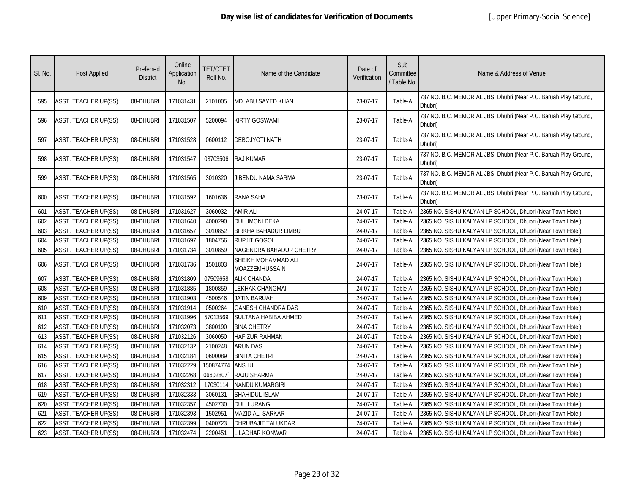| SI. No. | Post Applied                | Preferred<br><b>District</b> | Online<br>Application<br>No. | <b>TET/CTET</b><br>Roll No. | Name of the Candidate                 | Date of<br>Verification | Sub<br>Committee<br>/ Table No. | Name & Address of Venue                                                     |
|---------|-----------------------------|------------------------------|------------------------------|-----------------------------|---------------------------------------|-------------------------|---------------------------------|-----------------------------------------------------------------------------|
| 595     | ASST. TEACHER UP(SS)        | 08-DHUBRI                    | 171031431                    | 2101005                     | MD. ABU SAYED KHAN                    | 23-07-17                | Table-A                         | 737 NO. B.C. MEMORIAL JBS, Dhubri (Near P.C. Baruah Play Ground,<br>Dhubri) |
| 596     | ASST. TEACHER UP(SS)        | 08-DHUBRI                    | 171031507                    | 5200094                     | KIRTY GOSWAMI                         | 23-07-17                | Table-A                         | 737 NO. B.C. MEMORIAL JBS, Dhubri (Near P.C. Baruah Play Ground,<br>Dhubri) |
| 597     | <b>ASST. TEACHER UP(SS)</b> | 08-DHUBRI                    | 171031528                    | 0600112                     | DEBOJYOTI NATH                        | 23-07-17                | Table-A                         | 737 NO. B.C. MEMORIAL JBS, Dhubri (Near P.C. Baruah Play Ground,<br>Dhubri) |
| 598     | <b>ASST. TEACHER UP(SS)</b> | 08-DHUBRI                    | 171031547                    | 03703506                    | RAJ KUMAR                             | 23-07-17                | Table-A                         | 737 NO. B.C. MEMORIAL JBS, Dhubri (Near P.C. Baruah Play Ground,<br>Dhubri) |
| 599     | ASST. TEACHER UP(SS)        | 08-DHUBRI                    | 171031565                    | 3010320                     | JIBENDU NAMA SARMA                    | 23-07-17                | Table-A                         | 737 NO. B.C. MEMORIAL JBS, Dhubri (Near P.C. Baruah Play Ground,<br>Dhubri) |
| 600     | ASST. TEACHER UP(SS)        | 08-DHUBRI                    | 171031592                    | 1601636                     | RANA SAHA                             | 23-07-17                | Table-A                         | 737 NO. B.C. MEMORIAL JBS, Dhubri (Near P.C. Baruah Play Ground,<br>Dhubri) |
| 601     | <b>ASST. TEACHER UP(SS)</b> | 08-DHUBRI                    | 171031627                    | 3060032                     | <b>AMIR ALI</b>                       | 24-07-17                | Table-A                         | 2365 NO. SISHU KALYAN LP SCHOOL, Dhubri (Near Town Hotel)                   |
| 602     | <b>ASST. TEACHER UP(SS)</b> | 08-DHUBRI                    | 171031640                    | 4000290                     | <b>DULUMONI DEKA</b>                  | 24-07-17                | Table-A                         | 2365 NO. SISHU KALYAN LP SCHOOL, Dhubri (Near Town Hotel)                   |
| 603     | <b>ASST. TEACHER UP(SS)</b> | 08-DHUBRI                    | 171031657                    | 3010852                     | <b>BIRKHA BAHADUR LIMBU</b>           | 24-07-17                | Table-A                         | 2365 NO. SISHU KALYAN LP SCHOOL, Dhubri (Near Town Hotel)                   |
| 604     | <b>ASST. TEACHER UP(SS)</b> | 08-DHUBRI                    | 171031697                    | 1804756                     | RUPJIT GOGOI                          | 24-07-17                | Table-A                         | 2365 NO. SISHU KALYAN LP SCHOOL, Dhubri (Near Town Hotel)                   |
| 605     | <b>ASST. TEACHER UP(SS)</b> | 08-DHUBRI                    | 171031734                    | 3010859                     | NAGENDRA BAHADUR CHETRY               | 24-07-17                | Table-A                         | 2365 NO. SISHU KALYAN LP SCHOOL, Dhubri (Near Town Hotel)                   |
| 606     | <b>ASST. TEACHER UP(SS)</b> | 08-DHUBRI                    | 171031736                    | 1501803                     | SHEIKH MOHAMMAD ALI<br>MOAZZEMHUSSAIN | 24-07-17                | Table-A                         | 2365 NO. SISHU KALYAN LP SCHOOL, Dhubri (Near Town Hotel)                   |
| 607     | <b>ASST. TEACHER UP(SS)</b> | 08-DHUBRI                    | 171031809                    | 07509658                    | <b>ALIK CHANDA</b>                    | 24-07-17                | Table-A                         | 2365 NO. SISHU KALYAN LP SCHOOL, Dhubri (Near Town Hotel)                   |
| 608     | <b>ASST. TEACHER UP(SS)</b> | 08-DHUBRI                    | 171031885                    | 1800859                     | LEKHAK CHANGMAI                       | 24-07-17                | Table-A                         | 2365 NO. SISHU KALYAN LP SCHOOL, Dhubri (Near Town Hotel)                   |
| 609     | <b>ASST. TEACHER UP(SS)</b> | 08-DHUBRI                    | 171031903                    | 4500546                     | JATIN BARUAH                          | 24-07-17                | Table-A                         | 2365 NO. SISHU KALYAN LP SCHOOL, Dhubri (Near Town Hotel)                   |
| 610     | <b>ASST. TEACHER UP(SS)</b> | 08-DHUBRI                    | 171031914                    | 0500264                     | <b>GANESH CHANDRA DAS</b>             | 24-07-17                | Table-A                         | 2365 NO. SISHU KALYAN LP SCHOOL, Dhubri (Near Town Hotel)                   |
| 611     | <b>ASST. TEACHER UP(SS)</b> | 08-DHUBRI                    | 171031996                    | 57013569                    | SULTANA HABIBA AHMED                  | 24-07-17                | Table-A                         | 2365 NO. SISHU KALYAN LP SCHOOL, Dhubri (Near Town Hotel)                   |
| 612     | <b>ASST. TEACHER UP(SS)</b> | 08-DHUBRI                    | 171032073                    | 3800190                     | <b>BINA CHETRY</b>                    | 24-07-17                | Table-A                         | 2365 NO. SISHU KALYAN LP SCHOOL, Dhubri (Near Town Hotel)                   |
| 613     | <b>ASST. TEACHER UP(SS)</b> | 08-DHUBRI                    | 171032126                    | 3060050                     | HAFIZUR RAHMAN                        | 24-07-17                | Table-A                         | 2365 NO. SISHU KALYAN LP SCHOOL, Dhubri (Near Town Hotel)                   |
| 614     | <b>ASST. TEACHER UP(SS)</b> | 08-DHUBRI                    | 171032132                    | 2100248                     | <b>ARUN DAS</b>                       | 24-07-17                | Table-A                         | 2365 NO. SISHU KALYAN LP SCHOOL, Dhubri (Near Town Hotel)                   |
| 615     | <b>ASST. TEACHER UP(SS)</b> | 08-DHUBRI                    | 171032184                    | 0600089                     | <b>BINITA CHETRI</b>                  | 24-07-17                | Table-A                         | 2365 NO. SISHU KALYAN LP SCHOOL, Dhubri (Near Town Hotel)                   |
| 616     | <b>ASST. TEACHER UP(SS)</b> | 08-DHUBRI                    | 171032229                    | 150874774                   | <b>ANSHU</b>                          | 24-07-17                | Table-A                         | 2365 NO. SISHU KALYAN LP SCHOOL, Dhubri (Near Town Hotel)                   |
| 617     | <b>ASST. TEACHER UP(SS)</b> | 08-DHUBRI                    | 171032268                    | 06602807                    | RAJU SHARMA                           | 24-07-17                | Table-A                         | 2365 NO. SISHU KALYAN LP SCHOOL, Dhubri (Near Town Hotel)                   |
| 618     | <b>ASST. TEACHER UP(SS)</b> | 08-DHUBRI                    | 171032312                    | 17030114                    | NANDU KUMARGIRI                       | 24-07-17                | Table-A                         | 2365 NO. SISHU KALYAN LP SCHOOL, Dhubri (Near Town Hotel)                   |
| 619     | <b>ASST. TEACHER UP(SS)</b> | 08-DHUBRI                    | 171032333                    | 3060131                     | SHAHIDUL ISLAM                        | 24-07-17                | Table-A                         | 2365 NO. SISHU KALYAN LP SCHOOL, Dhubri (Near Town Hotel)                   |
| 620     | <b>ASST. TEACHER UP(SS)</b> | 08-DHUBRI                    | 171032357                    | 4502730                     | <b>DULU URANG</b>                     | 24-07-17                | Table-A                         | 2365 NO. SISHU KALYAN LP SCHOOL, Dhubri (Near Town Hotel)                   |
| 621     | ASST. TEACHER UP(SS)        | 08-DHUBRI                    | 171032393                    | 1502951                     | <b>MAZID ALI SARKAR</b>               | 24-07-17                | Table-A                         | 2365 NO. SISHU KALYAN LP SCHOOL, Dhubri (Near Town Hotel)                   |
| 622     | <b>ASST. TEACHER UP(SS)</b> | 08-DHUBRI                    | 171032399                    | 0400723                     | DHRUBAJIT TALUKDAR                    | 24-07-17                | Table-A                         | 2365 NO. SISHU KALYAN LP SCHOOL, Dhubri (Near Town Hotel)                   |
| 623     | ASST. TEACHER UP(SS)        | 08-DHUBRI                    | 171032474                    | 2200451                     | LILADHAR KONWAR                       | 24-07-17                | Table-A                         | 2365 NO. SISHU KALYAN LP SCHOOL, Dhubri (Near Town Hotel)                   |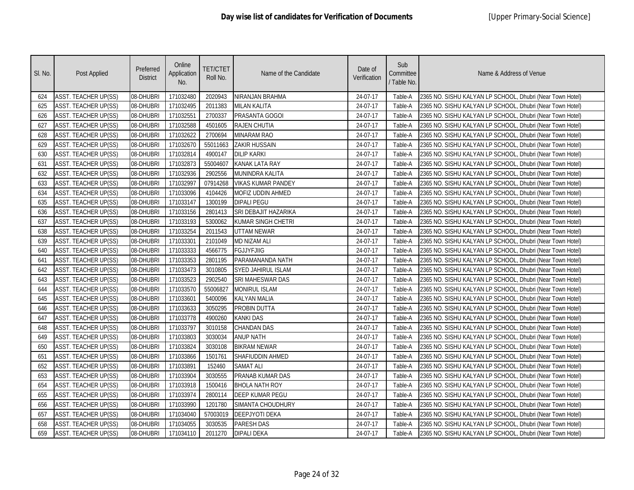| SI. No. | Post Applied                | Preferred<br><b>District</b> | Online<br>Application<br>No. | <b>TET/CTET</b><br>Roll No. | Name of the Candidate     | Date of<br>Verification | Sub<br>Committee<br>/ Table No. | Name & Address of Venue                                   |
|---------|-----------------------------|------------------------------|------------------------------|-----------------------------|---------------------------|-------------------------|---------------------------------|-----------------------------------------------------------|
| 624     | <b>ASST. TEACHER UP(SS)</b> | 08-DHUBRI                    | 171032480                    | 2020943                     | NIRANJAN BRAHMA           | 24-07-17                | Table-A                         | 2365 NO. SISHU KALYAN LP SCHOOL, Dhubri (Near Town Hotel) |
| 625     | <b>ASST. TEACHER UP(SS)</b> | 08-DHUBRI                    | 171032495                    | 2011383                     | <b>MILAN KALITA</b>       | 24-07-17                | Table-A                         | 2365 NO. SISHU KALYAN LP SCHOOL, Dhubri (Near Town Hotel) |
| 626     | ASST. TEACHER UP(SS)        | 08-DHUBRI                    | 171032551                    | 2700337                     | PRASANTA GOGOI            | 24-07-17                | Table-A                         | 2365 NO. SISHU KALYAN LP SCHOOL, Dhubri (Near Town Hotel) |
| 627     | <b>ASST. TEACHER UP(SS)</b> | 08-DHUBRI                    | 171032588                    | 4501605                     | RAJEN CHUTIA              | 24-07-17                | Table-A                         | 2365 NO. SISHU KALYAN LP SCHOOL, Dhubri (Near Town Hotel) |
| 628     | <b>ASST. TEACHER UP(SS)</b> | 08-DHUBRI                    | 171032622                    | 2700694                     | <b>MINARAM RAO</b>        | 24-07-17                | Table-A                         | 2365 NO. SISHU KALYAN LP SCHOOL, Dhubri (Near Town Hotel) |
| 629     | <b>ASST. TEACHER UP(SS)</b> | 08-DHUBRI                    | 171032670                    | 55011663                    | <b>ZAKIR HUSSAIN</b>      | 24-07-17                | Table-A                         | 2365 NO. SISHU KALYAN LP SCHOOL, Dhubri (Near Town Hotel) |
| 630     | <b>ASST. TEACHER UP(SS)</b> | 08-DHUBRI                    | 171032814                    | 4900147                     | <b>DILIP KARKI</b>        | 24-07-17                | Table-A                         | 2365 NO. SISHU KALYAN LP SCHOOL, Dhubri (Near Town Hotel) |
| 631     | <b>ASST. TEACHER UP(SS)</b> | 08-DHUBRI                    | 171032873                    | 55004607                    | <b>KANAK LATA RAY</b>     | 24-07-17                | Table-A                         | 2365 NO. SISHU KALYAN LP SCHOOL, Dhubri (Near Town Hotel) |
| 632     | ASST. TEACHER UP(SS)        | 08-DHUBRI                    | 171032936                    | 2902556                     | <b>MUNINDRA KALITA</b>    | 24-07-17                | Table-A                         | 2365 NO. SISHU KALYAN LP SCHOOL, Dhubri (Near Town Hotel) |
| 633     | ASST. TEACHER UP(SS)        | 08-DHUBRI                    | 171032997                    | 07914268                    | VIKAS KUMAR PANDEY        | 24-07-17                | Table-A                         | 2365 NO. SISHU KALYAN LP SCHOOL, Dhubri (Near Town Hotel) |
| 634     | ASST. TEACHER UP(SS)        | 08-DHUBRI                    | 171033096                    | 4104426                     | MOFIZ UDDIN AHMED         | 24-07-17                | Table-A                         | 2365 NO. SISHU KALYAN LP SCHOOL, Dhubri (Near Town Hotel) |
| 635     | <b>ASST. TEACHER UP(SS)</b> | 08-DHUBRI                    | 171033147                    | 1300199                     | <b>DIPALI PEGU</b>        | 24-07-17                | Table-A                         | 2365 NO. SISHU KALYAN LP SCHOOL, Dhubri (Near Town Hotel) |
| 636     | ASST. TEACHER UP(SS)        | 08-DHUBRI                    | 171033156                    | 2801413                     | SRI DEBAJIT HAZARIKA      | 24-07-17                | Table-A                         | 2365 NO. SISHU KALYAN LP SCHOOL, Dhubri (Near Town Hotel) |
| 637     | ASST. TEACHER UP(SS)        | 08-DHUBRI                    | 171033193                    | 5300062                     | <b>KUMAR SINGH CHETRI</b> | 24-07-17                | Table-A                         | 2365 NO. SISHU KALYAN LP SCHOOL, Dhubri (Near Town Hotel) |
| 638     | ASST. TEACHER UP(SS)        | 08-DHUBRI                    | 171033254                    | 2011543                     | UTTAM NEWAR               | 24-07-17                | Table-A                         | 2365 NO. SISHU KALYAN LP SCHOOL, Dhubri (Near Town Hotel) |
| 639     | ASST. TEACHER UP(SS)        | 08-DHUBRI                    | 171033301                    | 2101049                     | <b>MD NIZAM ALI</b>       | 24-07-17                | Table-A                         | 2365 NO. SISHU KALYAN LP SCHOOL, Dhubri (Near Town Hotel) |
| 640     | <b>ASST. TEACHER UP(SS)</b> | 08-DHUBRI                    | 171033333                    | 4566775                     | <b>FGJJYFJIIG</b>         | 24-07-17                | Table-A                         | 2365 NO. SISHU KALYAN LP SCHOOL, Dhubri (Near Town Hotel) |
| 641     | <b>ASST. TEACHER UP(SS)</b> | 08-DHUBRI                    | 171033353                    | 2801195                     | PARAMANANDA NATH          | 24-07-17                | Table-A                         | 2365 NO. SISHU KALYAN LP SCHOOL, Dhubri (Near Town Hotel) |
| 642     | <b>ASST. TEACHER UP(SS)</b> | 08-DHUBRI                    | 171033473                    | 3010805                     | <b>SYED JAHIRUL ISLAM</b> | 24-07-17                | Table-A                         | 2365 NO. SISHU KALYAN LP SCHOOL, Dhubri (Near Town Hotel) |
| 643     | <b>ASST. TEACHER UP(SS)</b> | 08-DHUBRI                    | 171033523                    | 2902540                     | <b>SRI MAHESWAR DAS</b>   | 24-07-17                | Table-A                         | 2365 NO. SISHU KALYAN LP SCHOOL, Dhubri (Near Town Hotel) |
| 644     | <b>ASST. TEACHER UP(SS)</b> | 08-DHUBRI                    | 171033570                    | 55006827                    | <b>MONIRUL ISLAM</b>      | 24-07-17                | Table-A                         | 2365 NO. SISHU KALYAN LP SCHOOL, Dhubri (Near Town Hotel) |
| 645     | <b>ASST. TEACHER UP(SS)</b> | 08-DHUBRI                    | 171033601                    | 5400096                     | <b>KALYAN MALIA</b>       | 24-07-17                | Table-A                         | 2365 NO. SISHU KALYAN LP SCHOOL, Dhubri (Near Town Hotel) |
| 646     | <b>ASST. TEACHER UP(SS)</b> | 08-DHUBRI                    | 171033633                    | 3050295                     | PROBIN DUTTA              | 24-07-17                | Table-A                         | 2365 NO. SISHU KALYAN LP SCHOOL, Dhubri (Near Town Hotel) |
| 647     | <b>ASST. TEACHER UP(SS)</b> | 08-DHUBRI                    | 171033778                    | 4900260                     | <b>KANKI DAS</b>          | 24-07-17                | Table-A                         | 2365 NO. SISHU KALYAN LP SCHOOL, Dhubri (Near Town Hotel) |
| 648     | ASST. TEACHER UP(SS)        | 08-DHUBRI                    | 171033797                    | 3010158                     | <b>CHANDAN DAS</b>        | 24-07-17                | Table-A                         | 2365 NO. SISHU KALYAN LP SCHOOL, Dhubri (Near Town Hotel) |
| 649     | ASST. TEACHER UP(SS)        | 08-DHUBRI                    | 171033803                    | 3030034                     | <b>ANUP NATH</b>          | 24-07-17                | Table-A                         | 2365 NO. SISHU KALYAN LP SCHOOL, Dhubri (Near Town Hotel) |
| 650     | <b>ASST. TEACHER UP(SS)</b> | 08-DHUBRI                    | 171033824                    | 3030108                     | <b>BIKRAM NEWAR</b>       | 24-07-17                | Table-A                         | 2365 NO. SISHU KALYAN LP SCHOOL, Dhubri (Near Town Hotel) |
| 651     | <b>ASST. TEACHER UP(SS)</b> | 08-DHUBRI                    | 171033866                    | 1501761                     | SHAFIUDDIN AHMED          | 24-07-17                | Table-A                         | 2365 NO. SISHU KALYAN LP SCHOOL, Dhubri (Near Town Hotel) |
| 652     | ASST. TEACHER UP(SS)        | 08-DHUBRI                    | 171033891                    | 152460                      | <b>SAMAT ALI</b>          | 24-07-17                | Table-A                         | 2365 NO. SISHU KALYAN LP SCHOOL, Dhubri (Near Town Hotel) |
| 653     | ASST. TEACHER UP(SS)        | 08-DHUBRI                    | 171033904                    | 3030555                     | PRANAB KUMAR DAS          | 24-07-17                | Table-A                         | 2365 NO. SISHU KALYAN LP SCHOOL, Dhubri (Near Town Hotel) |
| 654     | <b>ASST. TEACHER UP(SS)</b> | 08-DHUBRI                    | 171033918                    | 1500416                     | <b>BHOLA NATH ROY</b>     | 24-07-17                | Table-A                         | 2365 NO. SISHU KALYAN LP SCHOOL, Dhubri (Near Town Hotel) |
| 655     | <b>ASST. TEACHER UP(SS)</b> | 08-DHUBRI                    | 171033974                    | 2800114                     | <b>DEEP KUMAR PEGU</b>    | 24-07-17                | Table-A                         | 2365 NO. SISHU KALYAN LP SCHOOL, Dhubri (Near Town Hotel) |
| 656     | <b>ASST. TEACHER UP(SS)</b> | 08-DHUBRI                    | 171033990                    | 1201780                     | SIMANTA CHOUDHURY         | 24-07-17                | Table-A                         | 2365 NO. SISHU KALYAN LP SCHOOL, Dhubri (Near Town Hotel) |
| 657     | ASST. TEACHER UP(SS)        | 08-DHUBRI                    | 171034040                    | 57003019                    | <b>DEEPJYOTI DEKA</b>     | 24-07-17                | Table-A                         | 2365 NO. SISHU KALYAN LP SCHOOL, Dhubri (Near Town Hotel) |
| 658     | <b>ASST. TEACHER UP(SS)</b> | 08-DHUBRI                    | 171034055                    | 3030535                     | PARESH DAS                | 24-07-17                | Table-A                         | 2365 NO. SISHU KALYAN LP SCHOOL, Dhubri (Near Town Hotel) |
| 659     | <b>ASST. TEACHER UP(SS)</b> | 08-DHUBRI                    | 171034110                    | 2011270                     | <b>DIPALI DEKA</b>        | 24-07-17                | Table-A                         | 2365 NO. SISHU KALYAN LP SCHOOL, Dhubri (Near Town Hotel) |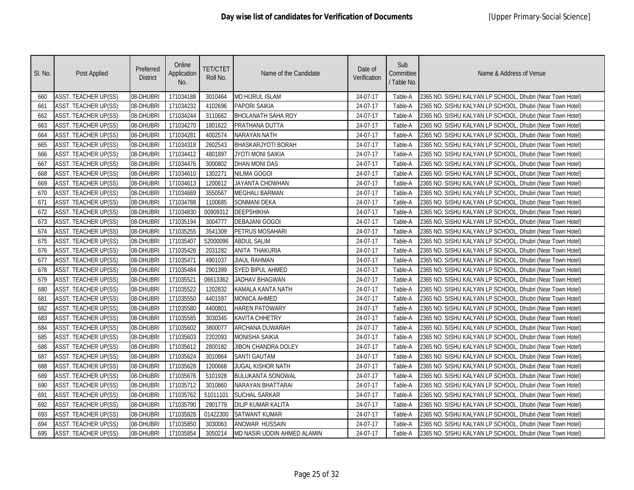| SI. No. | Post Applied                | Preferred<br><b>District</b> | Online<br>Application<br>No. | <b>TET/CTET</b><br>Roll No. | Name of the Candidate       | Date of<br>Verification | Sub<br>Committee<br>/ Table No. | Name & Address of Venue                                   |
|---------|-----------------------------|------------------------------|------------------------------|-----------------------------|-----------------------------|-------------------------|---------------------------------|-----------------------------------------------------------|
| 660     | ASST. TEACHER UP(SS)        | 08-DHUBRI                    | 171034188                    | 3010464                     | <b>MD HIJRUL ISLAM</b>      | 24-07-17                | Table-A                         | 2365 NO. SISHU KALYAN LP SCHOOL, Dhubri (Near Town Hotel) |
| 661     | ASST. TEACHER UP(SS)        | 08-DHUBRI                    | 171034232                    | 4102696                     | <b>PAPORI SAIKIA</b>        | 24-07-17                | Table-A                         | 2365 NO. SISHU KALYAN LP SCHOOL, Dhubri (Near Town Hotel) |
| 662     | <b>ASST. TEACHER UP(SS)</b> | 08-DHUBRI                    | 171034244                    | 3110662                     | <b>BHOLANATH SAHA ROY</b>   | 24-07-17                | Table-A                         | 2365 NO. SISHU KALYAN LP SCHOOL, Dhubri (Near Town Hotel) |
| 663     | <b>ASST. TEACHER UP(SS)</b> | 08-DHUBRI                    | 171034270                    | 1801622                     | PRATHANA DUTTA              | 24-07-17                | Table-A                         | 2365 NO. SISHU KALYAN LP SCHOOL, Dhubri (Near Town Hotel) |
| 664     | <b>ASST. TEACHER UP(SS)</b> | 08-DHUBRI                    | 171034281                    | 4002574                     | <b>NARAYAN NATH</b>         | 24-07-17                | Table-A                         | 2365 NO. SISHU KALYAN LP SCHOOL, Dhubri (Near Town Hotel) |
| 665     | <b>ASST. TEACHER UP(SS)</b> | 08-DHUBRI                    | 171034318                    | 2602543                     | BHASKARJYOTI BORAH          | 24-07-17                | Table-A                         | 2365 NO. SISHU KALYAN LP SCHOOL, Dhubri (Near Town Hotel) |
| 666     | ASST. TEACHER UP(SS)        | 08-DHUBRI                    | 171034412                    | 4801897                     | JYOTI MONI SAIKIA           | 24-07-17                | Table-A                         | 2365 NO. SISHU KALYAN LP SCHOOL, Dhubri (Near Town Hotel) |
| 667     | <b>ASST. TEACHER UP(SS)</b> | 08-DHUBRI                    | 171034476                    | 3000802                     | <b>DHAN MONI DAS</b>        | 24-07-17                | Table-A                         | 2365 NO. SISHU KALYAN LP SCHOOL, Dhubri (Near Town Hotel) |
| 668     | <b>ASST. TEACHER UP(SS)</b> | 08-DHUBRI                    | 171034610                    | 1302271                     | <b>NILIMA GOGOI</b>         | 24-07-17                | Table-A                         | 2365 NO. SISHU KALYAN LP SCHOOL, Dhubri (Near Town Hotel) |
| 669     | <b>ASST. TEACHER UP(SS)</b> | 08-DHUBRI                    | 171034613                    | 1200612                     | JAYANTA CHOWHAN             | 24-07-17                | Table-A                         | 2365 NO. SISHU KALYAN LP SCHOOL, Dhubri (Near Town Hotel) |
| 670     | <b>ASST. TEACHER UP(SS)</b> | 08-DHUBRI                    | 171034669                    | 3550567                     | <b>MEGHALI BARMAN</b>       | 24-07-17                | Table-A                         | 2365 NO. SISHU KALYAN LP SCHOOL, Dhubri (Near Town Hotel) |
| 671     | <b>ASST. TEACHER UP(SS)</b> | 08-DHUBRI                    | 171034788                    | 1100685                     | <b>SONMANI DEKA</b>         | 24-07-17                | Table-A                         | 2365 NO. SISHU KALYAN LP SCHOOL, Dhubri (Near Town Hotel) |
| 672     | <b>ASST. TEACHER UP(SS)</b> | 08-DHUBRI                    | 171034830                    | 00909312                    | <b>DEEPSHIKHA</b>           | 24-07-17                | Table-A                         | 2365 NO. SISHU KALYAN LP SCHOOL, Dhubri (Near Town Hotel) |
| 673     | <b>ASST. TEACHER UP(SS)</b> | 08-DHUBRI                    | 171035194                    | 3004777                     | <b>DEBAJANI GOGOI</b>       | 24-07-17                | Table-A                         | 2365 NO. SISHU KALYAN LP SCHOOL, Dhubri (Near Town Hotel) |
| 674     | <b>ASST. TEACHER UP(SS)</b> | 08-DHUBRI                    | 171035255                    | 3541309                     | PETRUS MOSAHARI             | 24-07-17                | Table-A                         | 2365 NO. SISHU KALYAN LP SCHOOL, Dhubri (Near Town Hotel) |
| 675     | <b>ASST. TEACHER UP(SS)</b> | 08-DHUBRI                    | 171035407                    | 52000096                    | <b>ABDUL SALIM</b>          | 24-07-17                | Table-A                         | 2365 NO. SISHU KALYAN LP SCHOOL, Dhubri (Near Town Hotel) |
| 676     | <b>ASST. TEACHER UP(SS)</b> | 08-DHUBRI                    | 171035426                    | 2031282                     | ANITA THAKURIA              | 24-07-17                | Table-A                         | 2365 NO. SISHU KALYAN LP SCHOOL, Dhubri (Near Town Hotel) |
| 677     | <b>ASST. TEACHER UP(SS)</b> | 08-DHUBRI                    | 171035471                    | 4901037                     | <b>JIAUL RAHMAN</b>         | 24-07-17                | Table-A                         | 2365 NO. SISHU KALYAN LP SCHOOL, Dhubri (Near Town Hotel) |
| 678     | <b>ASST. TEACHER UP(SS)</b> | 08-DHUBRI                    | 171035484                    | 2901399                     | <b>SYED BIPUL AHMED</b>     | 24-07-17                | Table-A                         | 2365 NO. SISHU KALYAN LP SCHOOL, Dhubri (Near Town Hotel) |
| 679     | <b>ASST. TEACHER UP(SS)</b> | 08-DHUBRI                    | 171035521                    | 06613362                    | JADHAV BHAGWAN              | 24-07-17                | Table-A                         | 2365 NO. SISHU KALYAN LP SCHOOL, Dhubri (Near Town Hotel) |
| 680     | <b>ASST. TEACHER UP(SS)</b> | 08-DHUBRI                    | 171035522                    | 1202832                     | KAMALA KANTA NATH           | 24-07-17                | Table-A                         | 2365 NO. SISHU KALYAN LP SCHOOL, Dhubri (Near Town Hotel) |
| 681     | <b>ASST. TEACHER UP(SS)</b> | 08-DHUBRI                    | 171035550                    | 4401597                     | <b>MONICA AHMED</b>         | 24-07-17                | Table-A                         | 2365 NO. SISHU KALYAN LP SCHOOL, Dhubri (Near Town Hotel) |
| 682     | <b>ASST. TEACHER UP(SS)</b> | 08-DHUBRI                    | 171035580                    | 4400801                     | <b>HAREN PATOWARY</b>       | 24-07-17                | Table-A                         | 2365 NO. SISHU KALYAN LP SCHOOL, Dhubri (Near Town Hotel) |
| 683     | <b>ASST. TEACHER UP(SS)</b> | 08-DHUBRI                    | 171035585                    | 3030345                     | <b>KAVITA CHHETRY</b>       | 24-07-17                | Table-A                         | 2365 NO. SISHU KALYAN LP SCHOOL, Dhubri (Near Town Hotel) |
| 684     | <b>ASST. TEACHER UP(SS)</b> | 08-DHUBRI                    | 171035602                    | 3800077                     | ARCHANA DUWARAH             | 24-07-17                | Table-A                         | 2365 NO. SISHU KALYAN LP SCHOOL, Dhubri (Near Town Hotel) |
| 685     | ASST. TEACHER UP(SS)        | 08-DHUBRI                    | 171035603                    | 2202093                     | <b>MONISHA SAIKIA</b>       | 24-07-17                | Table-A                         | 2365 NO. SISHU KALYAN LP SCHOOL, Dhubri (Near Town Hotel) |
| 686     | ASST. TEACHER UP(SS)        | 08-DHUBRI                    | 171035612                    | 2800182                     | JIBON CHANDRA DOLEY         | 24-07-17                | Table-A                         | 2365 NO. SISHU KALYAN LP SCHOOL, Dhubri (Near Town Hotel) |
| 687     | <b>ASST. TEACHER UP(SS)</b> | 08-DHUBRI                    | 171035624                    | 3010864                     | <b>SANTI GAUTAM</b>         | 24-07-17                | Table-A                         | 2365 NO. SISHU KALYAN LP SCHOOL, Dhubri (Near Town Hotel) |
| 688     | <b>ASST. TEACHER UP(SS)</b> | 08-DHUBRI                    | 171035628                    | 1200668                     | JUGAL KISHOR NATH           | 24-07-17                | Table-A                         | 2365 NO. SISHU KALYAN LP SCHOOL, Dhubri (Near Town Hotel) |
| 689     | <b>ASST. TEACHER UP(SS)</b> | 08-DHUBRI                    | 171035676                    | 5101928                     | <b>BULUKANTA SONOWAL</b>    | 24-07-17                | Table-A                         | 2365 NO. SISHU KALYAN LP SCHOOL, Dhubri (Near Town Hotel) |
| 690     | <b>ASST. TEACHER UP(SS)</b> | 08-DHUBRI                    | 171035712                    | 3010860                     | NARAYAN BHATTARAI           | 24-07-17                | Table-A                         | 2365 NO. SISHU KALYAN LP SCHOOL, Dhubri (Near Town Hotel) |
| 691     | <b>ASST. TEACHER UP(SS)</b> | 08-DHUBRI                    | 171035762                    | 51011101                    | <b>SUCHAL SARKAR</b>        | 24-07-17                | Table-A                         | 2365 NO. SISHU KALYAN LP SCHOOL, Dhubri (Near Town Hotel) |
| 692     | <b>ASST. TEACHER UP(SS)</b> | 08-DHUBRI                    | 171035790                    | 2901779                     | <b>DILIP KUMAR KALITA</b>   | 24-07-17                | Table-A                         | 2365 NO. SISHU KALYAN LP SCHOOL, Dhubri (Near Town Hotel) |
| 693     | ASST. TEACHER UP(SS)        | 08-DHUBRI                    | 171035828                    | 01422300                    | SATWANT KUMAR               | 24-07-17                | Table-A                         | 2365 NO. SISHU KALYAN LP SCHOOL, Dhubri (Near Town Hotel) |
| 694     | <b>ASST. TEACHER UP(SS)</b> | 08-DHUBRI                    | 171035850                    | 3030063                     | ANOWAR HUSSAIN              | 24-07-17                | Table-A                         | 2365 NO. SISHU KALYAN LP SCHOOL, Dhubri (Near Town Hotel) |
| 695     | <b>ASST. TEACHER UP(SS)</b> | 08-DHUBRI                    | 171035854                    | 3050214                     | MD NASIR UDDIN AHMED ALAMIN | 24-07-17                | Table-A                         | 2365 NO. SISHU KALYAN LP SCHOOL, Dhubri (Near Town Hotel) |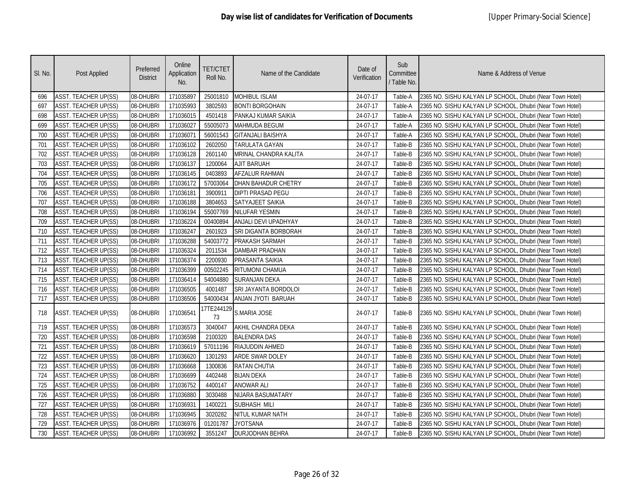| SI. No. | Post Applied                | Preferred<br><b>District</b> | Online<br>Application<br>No. | <b>TET/CTET</b><br>Roll No. | Name of the Candidate    | Date of<br>Verification | Sub<br>Committee<br>/ Table No. | Name & Address of Venue                                   |
|---------|-----------------------------|------------------------------|------------------------------|-----------------------------|--------------------------|-------------------------|---------------------------------|-----------------------------------------------------------|
| 696     | <b>ASST. TEACHER UP(SS)</b> | 08-DHUBRI                    | 171035897                    | 25001810                    | <b>MOHIBUL ISLAM</b>     | 24-07-17                | Table-A                         | 2365 NO. SISHU KALYAN LP SCHOOL, Dhubri (Near Town Hotel) |
| 697     | <b>ASST. TEACHER UP(SS)</b> | 08-DHUBRI                    | 171035993                    | 3802593                     | <b>BONTI BORGOHAIN</b>   | 24-07-17                | Table-A                         | 2365 NO. SISHU KALYAN LP SCHOOL, Dhubri (Near Town Hotel) |
| 698     | ASST. TEACHER UP(SS)        | 08-DHUBRI                    | 171036015                    | 4501418                     | PANKAJ KUMAR SAIKIA      | 24-07-17                | Table-A                         | 2365 NO. SISHU KALYAN LP SCHOOL, Dhubri (Near Town Hotel) |
| 699     | <b>ASST. TEACHER UP(SS)</b> | 08-DHUBRI                    | 171036027                    | 55005073                    | <b>MAHMUDA BEGUM</b>     | 24-07-17                | Table-A                         | 2365 NO. SISHU KALYAN LP SCHOOL, Dhubri (Near Town Hotel) |
| 700     | <b>ASST. TEACHER UP(SS)</b> | 08-DHUBRI                    | 171036071                    | 56001543                    | <b>GITANJALI BAISHYA</b> | 24-07-17                | Table-A                         | 2365 NO. SISHU KALYAN LP SCHOOL, Dhubri (Near Town Hotel) |
| 701     | <b>ASST. TEACHER UP(SS)</b> | 08-DHUBRI                    | 171036102                    | 2602050                     | TARULATA GAYAN           | 24-07-17                | Table-B                         | 2365 NO. SISHU KALYAN LP SCHOOL, Dhubri (Near Town Hotel) |
| 702     | <b>ASST. TEACHER UP(SS)</b> | 08-DHUBRI                    | 171036128                    | 2601140                     | MRINAL CHANDRA KALITA    | 24-07-17                | Table-B                         | 2365 NO. SISHU KALYAN LP SCHOOL, Dhubri (Near Town Hotel) |
| 703     | <b>ASST. TEACHER UP(SS)</b> | 08-DHUBRI                    | 171036137                    | 1200064                     | <b>AJIT BARUAH</b>       | 24-07-17                | Table-B                         | 2365 NO. SISHU KALYAN LP SCHOOL, Dhubri (Near Town Hotel) |
| 704     | <b>ASST. TEACHER UP(SS)</b> | 08-DHUBRI                    | 171036145                    | 0403893                     | <b>AFZALUR RAHMAN</b>    | 24-07-17                | Table-B                         | 2365 NO. SISHU KALYAN LP SCHOOL, Dhubri (Near Town Hotel) |
| 705     | <b>ASST. TEACHER UP(SS)</b> | 08-DHUBRI                    | 171036172                    | 57003064                    | DHAN BAHADUR CHETRY      | 24-07-17                | Table-B                         | 2365 NO. SISHU KALYAN LP SCHOOL, Dhubri (Near Town Hotel) |
| 706     | ASST. TEACHER UP(SS)        | 08-DHUBRI                    | 171036181                    | 3900911                     | <b>DIPTI PRASAD PEGU</b> | 24-07-17                | Table-B                         | 2365 NO. SISHU KALYAN LP SCHOOL, Dhubri (Near Town Hotel) |
| 707     | <b>ASST. TEACHER UP(SS)</b> | 08-DHUBRI                    | 171036188                    | 3804653                     | SATYAJEET SAIKIA         | 24-07-17                | Table-B                         | 2365 NO. SISHU KALYAN LP SCHOOL, Dhubri (Near Town Hotel) |
| 708     | ASST. TEACHER UP(SS)        | 08-DHUBRI                    | 171036194                    | 55007769                    | <b>NILUFAR YESMIN</b>    | 24-07-17                | Table-B                         | 2365 NO. SISHU KALYAN LP SCHOOL, Dhubri (Near Town Hotel) |
| 709     | <b>ASST. TEACHER UP(SS)</b> | 08-DHUBRI                    | 171036224                    | 00400894                    | ANJALI DEVI UPADHYAY     | 24-07-17                | Table-B                         | 2365 NO. SISHU KALYAN LP SCHOOL, Dhubri (Near Town Hotel) |
| 710     | ASST. TEACHER UP(SS)        | 08-DHUBRI                    | 171036247                    | 2601923                     | SRI DIGANTA BORBORAH     | 24-07-17                | Table-B                         | 2365 NO. SISHU KALYAN LP SCHOOL, Dhubri (Near Town Hotel) |
| 711     | ASST. TEACHER UP(SS)        | 08-DHUBRI                    | 171036288                    | 54003772                    | PRAKASH SARMAH           | 24-07-17                | Table-B                         | 2365 NO. SISHU KALYAN LP SCHOOL, Dhubri (Near Town Hotel) |
| 712     | <b>ASST. TEACHER UP(SS)</b> | 08-DHUBRI                    | 171036324                    | 2011534                     | <b>DAMBAR PRADHAN</b>    | 24-07-17                | Table-B                         | 2365 NO. SISHU KALYAN LP SCHOOL, Dhubri (Near Town Hotel) |
| 713     | <b>ASST. TEACHER UP(SS)</b> | 08-DHUBRI                    | 171036374                    | 2200930                     | PRASANTA SAIKIA          | 24-07-17                | Table-B                         | 2365 NO. SISHU KALYAN LP SCHOOL, Dhubri (Near Town Hotel) |
| 714     | <b>ASST. TEACHER UP(SS)</b> | 08-DHUBRI                    | 171036399                    | 00502245                    | <b>RITUMONI CHAMUA</b>   | 24-07-17                | Table-B                         | 2365 NO. SISHU KALYAN LP SCHOOL, Dhubri (Near Town Hotel) |
| 715     | <b>ASST. TEACHER UP(SS)</b> | 08-DHUBRI                    | 171036414                    | 54004880                    | <b>SURANJAN DEKA</b>     | 24-07-17                | Table-B                         | 2365 NO. SISHU KALYAN LP SCHOOL, Dhubri (Near Town Hotel) |
| 716     | <b>ASST. TEACHER UP(SS)</b> | 08-DHUBRI                    | 171036505                    | 4001487                     | SRI JAYANTA BORDOLOI     | 24-07-17                | Table-B                         | 2365 NO. SISHU KALYAN LP SCHOOL, Dhubri (Near Town Hotel) |
| 717     | <b>ASST. TEACHER UP(SS)</b> | 08-DHUBRI                    | 171036506                    | 54000434                    | ANJAN JYOTI BARUAH       | 24-07-17                | Table-B                         | 2365 NO. SISHU KALYAN LP SCHOOL, Dhubri (Near Town Hotel) |
| 718     | ASST. TEACHER UP(SS)        | 08-DHUBRI                    | 171036541                    | 17TE244129<br>73            | S.MARIA JOSE             | 24-07-17                | Table-B                         | 2365 NO. SISHU KALYAN LP SCHOOL, Dhubri (Near Town Hotel) |
| 719     | <b>ASST. TEACHER UP(SS)</b> | 08-DHUBRI                    | 171036573                    | 3040047                     | AKHIL CHANDRA DEKA       | 24-07-17                | Table-B                         | 2365 NO. SISHU KALYAN LP SCHOOL, Dhubri (Near Town Hotel) |
| 720     | ASST. TEACHER UP(SS)        | 08-DHUBRI                    | 171036598                    | 2100320                     | <b>BALENDRA DAS</b>      | 24-07-17                | Table-B                         | 2365 NO. SISHU KALYAN LP SCHOOL, Dhubri (Near Town Hotel) |
| 721     | <b>ASST. TEACHER UP(SS)</b> | 08-DHUBRI                    | 171036619                    | 57011196                    | <b>RIAJUDDIN AHMED</b>   | 24-07-17                | Table-B                         | 2365 NO. SISHU KALYAN LP SCHOOL, Dhubri (Near Town Hotel) |
| 722     | <b>ASST. TEACHER UP(SS)</b> | 08-DHUBRI                    | 171036620                    | 1301293                     | ARDE SWAR DOLEY          | 24-07-17                | Table-B                         | 2365 NO. SISHU KALYAN LP SCHOOL, Dhubri (Near Town Hotel) |
| 723     | <b>ASST. TEACHER UP(SS)</b> | 08-DHUBRI                    | 171036668                    | 1300836                     | <b>RATAN CHUTIA</b>      | 24-07-17                | Table-B                         | 2365 NO. SISHU KALYAN LP SCHOOL, Dhubri (Near Town Hotel) |
| 724     | ASST. TEACHER UP(SS)        | 08-DHUBRI                    | 171036699                    | 4402448                     | <b>BIJAN DEKA</b>        | 24-07-17                | Table-B                         | 2365 NO. SISHU KALYAN LP SCHOOL, Dhubri (Near Town Hotel) |
| 725     | <b>ASST. TEACHER UP(SS)</b> | 08-DHUBRI                    | 171036752                    | 4400147                     | <b>ANOWAR ALI</b>        | 24-07-17                | Table-B                         | 2365 NO. SISHU KALYAN LP SCHOOL, Dhubri (Near Town Hotel) |
| 726     | <b>ASST. TEACHER UP(SS)</b> | 08-DHUBRI                    | 171036880                    | 3030488                     | NIJARA BASUMATARY        | 24-07-17                | Table-B                         | 2365 NO. SISHU KALYAN LP SCHOOL, Dhubri (Near Town Hotel) |
| 727     | <b>ASST. TEACHER UP(SS)</b> | 08-DHUBRI                    | 171036931                    | 1400221                     | SUBHASH MILI             | 24-07-17                | Table-B                         | 2365 NO. SISHU KALYAN LP SCHOOL, Dhubri (Near Town Hotel) |
| 728     | ASST. TEACHER UP(SS)        | 08-DHUBRI                    | 171036945                    | 3020282                     | NITUL KUMAR NATH         | 24-07-17                | Table-B                         | 2365 NO. SISHU KALYAN LP SCHOOL, Dhubri (Near Town Hotel) |
| 729     | <b>ASST. TEACHER UP(SS)</b> | 08-DHUBRI                    | 171036976                    | 01201787                    | <b>JYOTSANA</b>          | 24-07-17                | Table-B                         | 2365 NO. SISHU KALYAN LP SCHOOL, Dhubri (Near Town Hotel) |
| 730     | <b>ASST. TEACHER UP(SS)</b> | 08-DHUBRI                    | 171036992                    | 3551247                     | <b>DURJODHAN BEHRA</b>   | 24-07-17                | Table-B                         | 2365 NO. SISHU KALYAN LP SCHOOL, Dhubri (Near Town Hotel) |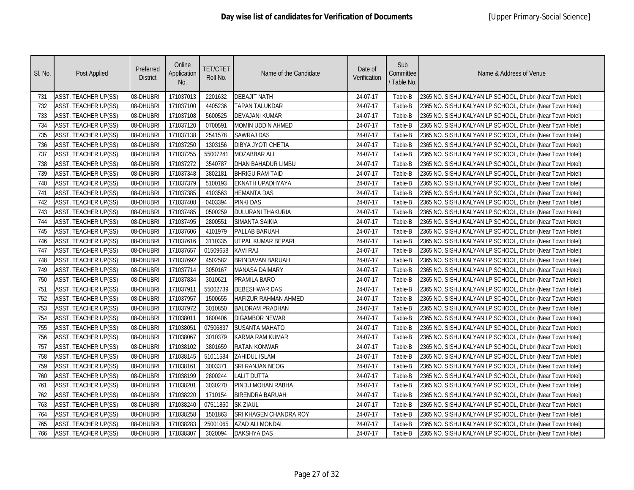| SI. No. | Post Applied                | Preferred<br><b>District</b> | Online<br>Application<br>No. | <b>TET/CTET</b><br>Roll No. | Name of the Candidate       | Date of<br>Verification | Sub<br>Committee<br>/ Table No. | Name & Address of Venue                                   |
|---------|-----------------------------|------------------------------|------------------------------|-----------------------------|-----------------------------|-------------------------|---------------------------------|-----------------------------------------------------------|
| 731     | <b>ASST. TEACHER UP(SS)</b> | 08-DHUBRI                    | 171037013                    | 2201632                     | <b>DEBAJIT NATH</b>         | 24-07-17                | Table-B                         | 2365 NO. SISHU KALYAN LP SCHOOL, Dhubri (Near Town Hotel) |
| 732     | <b>ASST. TEACHER UP(SS)</b> | 08-DHUBRI                    | 171037100                    | 4405236                     | TAPAN TALUKDAR              | 24-07-17                | Table-B                         | 2365 NO. SISHU KALYAN LP SCHOOL, Dhubri (Near Town Hotel) |
| 733     | ASST. TEACHER UP(SS)        | 08-DHUBRI                    | 171037108                    | 5600525                     | <b>DEVAJANI KUMAR</b>       | 24-07-17                | Table-B                         | 2365 NO. SISHU KALYAN LP SCHOOL, Dhubri (Near Town Hotel) |
| 734     | <b>ASST. TEACHER UP(SS)</b> | 08-DHUBRI                    | 171037120                    | 0700591                     | MOMIN UDDIN AHMED           | 24-07-17                | Table-B                         | 2365 NO. SISHU KALYAN LP SCHOOL, Dhubri (Near Town Hotel) |
| 735     | <b>ASST. TEACHER UP(SS)</b> | 08-DHUBRI                    | 171037138                    | 2541578                     | <b>SAWRAJ DAS</b>           | 24-07-17                | Table-B                         | 2365 NO. SISHU KALYAN LP SCHOOL, Dhubri (Near Town Hotel) |
| 736     | <b>ASST. TEACHER UP(SS)</b> | 08-DHUBRI                    | 171037250                    | 1303156                     | DIBYA JYOTI CHETIA          | 24-07-17                | Table-B                         | 2365 NO. SISHU KALYAN LP SCHOOL, Dhubri (Near Town Hotel) |
| 737     | <b>ASST. TEACHER UP(SS)</b> | 08-DHUBRI                    | 171037255                    | 55007241                    | <b>MOZABBAR ALI</b>         | 24-07-17                | Table-B                         | 2365 NO. SISHU KALYAN LP SCHOOL, Dhubri (Near Town Hotel) |
| 738     | <b>ASST. TEACHER UP(SS)</b> | 08-DHUBRI                    | 171037272                    | 3540787                     | DHAN BAHADUR LIMBU          | 24-07-17                | Table-B                         | 2365 NO. SISHU KALYAN LP SCHOOL, Dhubri (Near Town Hotel) |
| 739     | ASST. TEACHER UP(SS)        | 08-DHUBRI                    | 171037348                    | 3802181                     | <b>BHRIGU RAM TAID</b>      | 24-07-17                | Table-B                         | 2365 NO. SISHU KALYAN LP SCHOOL, Dhubri (Near Town Hotel) |
| 740     | ASST. TEACHER UP(SS)        | 08-DHUBRI                    | 171037379                    | 5100193                     | EKNATH UPADHYAYA            | 24-07-17                | Table-B                         | 2365 NO. SISHU KALYAN LP SCHOOL, Dhubri (Near Town Hotel) |
| 741     | <b>ASST. TEACHER UP(SS)</b> | 08-DHUBRI                    | 171037385                    | 4103563                     | <b>HEMANTA DAS</b>          | 24-07-17                | Table-B                         | 2365 NO. SISHU KALYAN LP SCHOOL, Dhubri (Near Town Hotel) |
| 742     | <b>ASST. TEACHER UP(SS)</b> | 08-DHUBRI                    | 171037408                    | 0403394                     | <b>PINKI DAS</b>            | 24-07-17                | Table-B                         | 2365 NO. SISHU KALYAN LP SCHOOL, Dhubri (Near Town Hotel) |
| 743     | <b>ASST. TEACHER UP(SS)</b> | 08-DHUBRI                    | 171037485                    | 0500259                     | <b>DULURANI THAKURIA</b>    | 24-07-17                | Table-B                         | 2365 NO. SISHU KALYAN LP SCHOOL, Dhubri (Near Town Hotel) |
| 744     | ASST. TEACHER UP(SS)        | 08-DHUBRI                    | 171037495                    | 2800551                     | SIMANTA SAIKIA              | 24-07-17                | Table-B                         | 2365 NO. SISHU KALYAN LP SCHOOL, Dhubri (Near Town Hotel) |
| 745     | ASST. TEACHER UP(SS)        | 08-DHUBRI                    | 171037606                    | 4101979                     | PALLAB BARUAH               | 24-07-17                | Table-B                         | 2365 NO. SISHU KALYAN LP SCHOOL, Dhubri (Near Town Hotel) |
| 746     | <b>ASST. TEACHER UP(SS)</b> | 08-DHUBRI                    | 171037616                    | 3110335                     | UTPAL KUMAR BEPARI          | 24-07-17                | Table-B                         | 2365 NO. SISHU KALYAN LP SCHOOL, Dhubri (Near Town Hotel) |
| 747     | <b>ASST. TEACHER UP(SS)</b> | 08-DHUBRI                    | 171037657                    | 01509658                    | <b>KAVI RAJ</b>             | 24-07-17                | Table-B                         | 2365 NO. SISHU KALYAN LP SCHOOL, Dhubri (Near Town Hotel) |
| 748     | <b>ASST. TEACHER UP(SS)</b> | 08-DHUBRI                    | 171037692                    | 4502582                     | <b>BRINDAVAN BARUAH</b>     | 24-07-17                | Table-B                         | 2365 NO. SISHU KALYAN LP SCHOOL, Dhubri (Near Town Hotel) |
| 749     | <b>ASST. TEACHER UP(SS)</b> | 08-DHUBRI                    | 171037714                    | 3050167                     | <b>MANASA DAIMARY</b>       | 24-07-17                | Table-B                         | 2365 NO. SISHU KALYAN LP SCHOOL, Dhubri (Near Town Hotel) |
| 750     | <b>ASST. TEACHER UP(SS)</b> | 08-DHUBRI                    | 171037834                    | 3010621                     | PRAMILA BARO                | 24-07-17                | Table-B                         | 2365 NO. SISHU KALYAN LP SCHOOL, Dhubri (Near Town Hotel) |
| 751     | <b>ASST. TEACHER UP(SS)</b> | 08-DHUBRI                    | 171037911                    | 55002739                    | <b>DEBESHWAR DAS</b>        | 24-07-17                | Table-B                         | 2365 NO. SISHU KALYAN LP SCHOOL, Dhubri (Near Town Hotel) |
| 752     | <b>ASST. TEACHER UP(SS)</b> | 08-DHUBRI                    | 171037957                    | 1500655                     | <b>HAFIZUR RAHMAN AHMED</b> | 24-07-17                | Table-B                         | 2365 NO. SISHU KALYAN LP SCHOOL, Dhubri (Near Town Hotel) |
| 753     | <b>ASST. TEACHER UP(SS)</b> | 08-DHUBRI                    | 171037972                    | 3010850                     | <b>BALORAM PRADHAN</b>      | 24-07-17                | Table-B                         | 2365 NO. SISHU KALYAN LP SCHOOL, Dhubri (Near Town Hotel) |
| 754     | ASST. TEACHER UP(SS)        | 08-DHUBRI                    | 171038011                    | 1800406                     | <b>DIGAMBOR NEWAR</b>       | 24-07-17                | Table-B                         | 2365 NO. SISHU KALYAN LP SCHOOL, Dhubri (Near Town Hotel) |
| 755     | ASST. TEACHER UP(SS)        | 08-DHUBRI                    | 171038051                    | 07506837                    | <b>SUSANTA MAHATO</b>       | 24-07-17                | Table-B                         | 2365 NO. SISHU KALYAN LP SCHOOL, Dhubri (Near Town Hotel) |
| 756     | <b>ASST. TEACHER UP(SS)</b> | 08-DHUBRI                    | 171038067                    | 3010379                     | <b>KARMA RAM KUMAR</b>      | 24-07-17                | Table-B                         | 2365 NO. SISHU KALYAN LP SCHOOL, Dhubri (Near Town Hotel) |
| 757     | <b>ASST. TEACHER UP(SS)</b> | 08-DHUBRI                    | 171038102                    | 3801659                     | <b>RATAN KONWAR</b>         | 24-07-17                | Table-B                         | 2365 NO. SISHU KALYAN LP SCHOOL, Dhubri (Near Town Hotel) |
| 758     | <b>ASST. TEACHER UP(SS)</b> | 08-DHUBRI                    | 171038145                    | 51011584                    | <b>ZAHIDUL ISLAM</b>        | 24-07-17                | Table-B                         | 2365 NO. SISHU KALYAN LP SCHOOL, Dhubri (Near Town Hotel) |
| 759     | ASST. TEACHER UP(SS)        | 08-DHUBRI                    | 171038161                    | 3003371                     | SRI RANJAN NEOG             | 24-07-17                | Table-B                         | 2365 NO. SISHU KALYAN LP SCHOOL, Dhubri (Near Town Hotel) |
| 760     | ASST. TEACHER UP(SS)        | 08-DHUBRI                    | 171038199                    | 2800244                     | LALIT DUTTA                 | 24-07-17                | Table-B                         | 2365 NO. SISHU KALYAN LP SCHOOL, Dhubri (Near Town Hotel) |
| 761     | <b>ASST. TEACHER UP(SS)</b> | 08-DHUBRI                    | 171038201                    | 3030270                     | PINDU MOHAN RABHA           | 24-07-17                | Table-B                         | 2365 NO. SISHU KALYAN LP SCHOOL, Dhubri (Near Town Hotel) |
| 762     | <b>ASST. TEACHER UP(SS)</b> | 08-DHUBRI                    | 171038220                    | 1710154                     | <b>BIRENDRA BARUAH</b>      | 24-07-17                | Table-B                         | 2365 NO. SISHU KALYAN LP SCHOOL, Dhubri (Near Town Hotel) |
| 763     | ASST. TEACHER UP(SS)        | 08-DHUBRI                    | 171038240                    | 07511850                    | <b>SK ZIAUL</b>             | 24-07-17                | Table-B                         | 2365 NO. SISHU KALYAN LP SCHOOL, Dhubri (Near Town Hotel) |
| 764     | ASST. TEACHER UP(SS)        | 08-DHUBRI                    | 171038258                    | 1501863                     | SRI KHAGEN CHANDRA ROY      | 24-07-17                | Table-B                         | 2365 NO. SISHU KALYAN LP SCHOOL, Dhubri (Near Town Hotel) |
| 765     | ASST. TEACHER UP(SS)        | 08-DHUBRI                    | 171038283                    | 25001065                    | AZAD ALI MONDAL             | 24-07-17                | Table-B                         | 2365 NO. SISHU KALYAN LP SCHOOL, Dhubri (Near Town Hotel) |
| 766     | ASST. TEACHER UP(SS)        | 08-DHUBRI                    | 171038307                    | 3020094                     | <b>DAKSHYA DAS</b>          | 24-07-17                | Table-B                         | 2365 NO. SISHU KALYAN LP SCHOOL, Dhubri (Near Town Hotel) |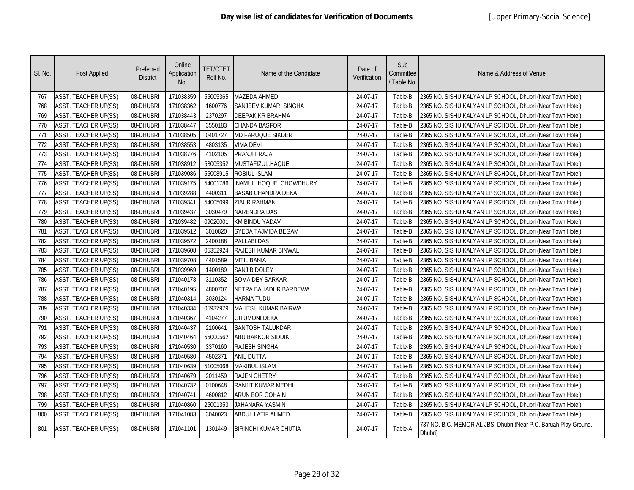| SI. No. | Post Applied                | Preferred<br><b>District</b> | Online<br>Application<br>No. | <b>TET/CTET</b><br>Roll No. | Name of the Candidate        | Date of<br>Verification | Sub<br>Committee<br>/ Table No. | Name & Address of Venue                                                     |
|---------|-----------------------------|------------------------------|------------------------------|-----------------------------|------------------------------|-------------------------|---------------------------------|-----------------------------------------------------------------------------|
| 767     | <b>ASST. TEACHER UP(SS)</b> | 08-DHUBRI                    | 171038359                    | 55005365                    | <b>MAZEDA AHMED</b>          | 24-07-17                | Table-B                         | 2365 NO. SISHU KALYAN LP SCHOOL, Dhubri (Near Town Hotel)                   |
| 768     | <b>ASST. TEACHER UP(SS)</b> | 08-DHUBRI                    | 171038362                    | 1600776                     | <b>SANJEEV KUMAR SINGHA</b>  | 24-07-17                | Table-B                         | 2365 NO. SISHU KALYAN LP SCHOOL, Dhubri (Near Town Hotel)                   |
| 769     | ASST. TEACHER UP(SS)        | 08-DHUBRI                    | 171038443                    | 2370297                     | <b>DEEPAK KR BRAHMA</b>      | 24-07-17                | Table-B                         | 2365 NO. SISHU KALYAN LP SCHOOL, Dhubri (Near Town Hotel)                   |
| 770     | <b>ASST. TEACHER UP(SS)</b> | 08-DHUBRI                    | 171038447                    | 3550183                     | <b>CHANDA BASFOR</b>         | 24-07-17                | Table-B                         | 2365 NO. SISHU KALYAN LP SCHOOL, Dhubri (Near Town Hotel)                   |
| 771     | <b>ASST. TEACHER UP(SS)</b> | 08-DHUBRI                    | 171038505                    | 0401727                     | <b>MD FARUQUE SIKDER</b>     | 24-07-17                | Table-B                         | 2365 NO. SISHU KALYAN LP SCHOOL, Dhubri (Near Town Hotel)                   |
| 772     | <b>ASST. TEACHER UP(SS)</b> | 08-DHUBRI                    | 171038553                    | 4803135                     | <b>VIMA DEVI</b>             | 24-07-17                | Table-B                         | 2365 NO. SISHU KALYAN LP SCHOOL, Dhubri (Near Town Hotel)                   |
| 773     | ASST. TEACHER UP(SS)        | 08-DHUBRI                    | 171038776                    | 4102105                     | PRANJIT RAJA                 | 24-07-17                | Table-B                         | 2365 NO. SISHU KALYAN LP SCHOOL, Dhubri (Near Town Hotel)                   |
| 774     | <b>ASST. TEACHER UP(SS)</b> | 08-DHUBRI                    | 171038912                    | 58005352                    | MUSTAFIZUL.HAQUE             | 24-07-17                | Table-B                         | 2365 NO. SISHU KALYAN LP SCHOOL, Dhubri (Near Town Hotel)                   |
| 775     | <b>ASST. TEACHER UP(SS)</b> | 08-DHUBRI                    | 171039086                    | 55008915                    | <b>ROBIUL ISLAM</b>          | 24-07-17                | Table-B                         | 2365 NO. SISHU KALYAN LP SCHOOL, Dhubri (Near Town Hotel)                   |
| 776     | <b>ASST. TEACHER UP(SS)</b> | 08-DHUBRI                    | 171039175                    | 54001786                    | INAMUL .HOQUE. CHOWDHURY     | 24-07-17                | Table-B                         | 2365 NO. SISHU KALYAN LP SCHOOL, Dhubri (Near Town Hotel)                   |
| 777     | ASST. TEACHER UP(SS)        | 08-DHUBRI                    | 171039288                    | 4400311                     | <b>BASAB CHANDRA DEKA</b>    | 24-07-17                | Table-B                         | 2365 NO. SISHU KALYAN LP SCHOOL, Dhubri (Near Town Hotel)                   |
| 778     | <b>ASST. TEACHER UP(SS)</b> | 08-DHUBRI                    | 171039341                    | 54005099                    | <b>ZIAUR RAHMAN</b>          | 24-07-17                | Table-B                         | 2365 NO. SISHU KALYAN LP SCHOOL, Dhubri (Near Town Hotel)                   |
| 779     | <b>ASST. TEACHER UP(SS)</b> | 08-DHUBRI                    | 171039437                    | 3030479                     | <b>NARENDRA DAS</b>          | 24-07-17                | Table-B                         | 2365 NO. SISHU KALYAN LP SCHOOL, Dhubri (Near Town Hotel)                   |
| 780     | <b>ASST. TEACHER UP(SS)</b> | 08-DHUBRI                    | 171039482                    | 09020001                    | <b>KM BINDU YADAV</b>        | 24-07-17                | Table-B                         | 2365 NO. SISHU KALYAN LP SCHOOL, Dhubri (Near Town Hotel)                   |
| 781     | <b>ASST. TEACHER UP(SS)</b> | 08-DHUBRI                    | 171039512                    | 3010820                     | SYEDA TAJMIDA BEGAM          | 24-07-17                | Table-B                         | 2365 NO. SISHU KALYAN LP SCHOOL, Dhubri (Near Town Hotel)                   |
| 782     | <b>ASST. TEACHER UP(SS)</b> | 08-DHUBRI                    | 171039572                    | 2400188                     | <b>PALLABI DAS</b>           | 24-07-17                | Table-B                         | 2365 NO. SISHU KALYAN LP SCHOOL, Dhubri (Near Town Hotel)                   |
| 783     | <b>ASST. TEACHER UP(SS)</b> | 08-DHUBRI                    | 171039608                    | 05352924                    | RAJESH KUMAR BINWAL          | 24-07-17                | Table-B                         | 2365 NO. SISHU KALYAN LP SCHOOL, Dhubri (Near Town Hotel)                   |
| 784     | ASST. TEACHER UP(SS)        | 08-DHUBRI                    | 171039708                    | 4401589                     | <b>MITIL BANIA</b>           | 24-07-17                | Table-B                         | 2365 NO. SISHU KALYAN LP SCHOOL, Dhubri (Near Town Hotel)                   |
| 785     | <b>ASST. TEACHER UP(SS)</b> | 08-DHUBRI                    | 171039969                    | 1400189                     | <b>SANJIB DOLEY</b>          | 24-07-17                | Table-B                         | 2365 NO. SISHU KALYAN LP SCHOOL, Dhubri (Near Town Hotel)                   |
| 786     | <b>ASST. TEACHER UP(SS)</b> | 08-DHUBRI                    | 171040178                    | 3110352                     | <b>SOMA DEY SARKAR</b>       | 24-07-17                | Table-B                         | 2365 NO. SISHU KALYAN LP SCHOOL, Dhubri (Near Town Hotel)                   |
| 787     | <b>ASST. TEACHER UP(SS)</b> | 08-DHUBRI                    | 171040195                    | 4800707                     | NETRA BAHADUR BARDEWA        | 24-07-17                | Table-B                         | 2365 NO. SISHU KALYAN LP SCHOOL, Dhubri (Near Town Hotel)                   |
| 788     | <b>ASST. TEACHER UP(SS)</b> | 08-DHUBRI                    | 171040314                    | 3030124                     | <b>HARMA TUDU</b>            | 24-07-17                | Table-B                         | 2365 NO. SISHU KALYAN LP SCHOOL, Dhubri (Near Town Hotel)                   |
| 789     | <b>ASST. TEACHER UP(SS)</b> | 08-DHUBRI                    | 171040334                    | 05937979                    | MAHESH KUMAR BAIRWA          | 24-07-17                | Table-B                         | 2365 NO. SISHU KALYAN LP SCHOOL, Dhubri (Near Town Hotel)                   |
| 790     | <b>ASST. TEACHER UP(SS)</b> | 08-DHUBRI                    | 171040367                    | 4104277                     | <b>GITUMONI DEKA</b>         | 24-07-17                | Table-B                         | 2365 NO. SISHU KALYAN LP SCHOOL, Dhubri (Near Town Hotel)                   |
| 791     | ASST. TEACHER UP(SS)        | 08-DHUBRI                    | 171040437                    | 2100641                     | SANTOSH TALUKDAR             | 24-07-17                | Table-B                         | 2365 NO. SISHU KALYAN LP SCHOOL, Dhubri (Near Town Hotel)                   |
| 792     | ASST. TEACHER UP(SS)        | 08-DHUBRI                    | 171040464                    | 55000562                    | ABU BAKKOR SIDDIK            | 24-07-17                | Table-B                         | 2365 NO. SISHU KALYAN LP SCHOOL, Dhubri (Near Town Hotel)                   |
| 793     | <b>ASST. TEACHER UP(SS)</b> | 08-DHUBRI                    | 171040530                    | 3370160                     | RAJESH SINGHA                | 24-07-17                | Table-B                         | 2365 NO. SISHU KALYAN LP SCHOOL, Dhubri (Near Town Hotel)                   |
| 794     | <b>ASST. TEACHER UP(SS)</b> | 08-DHUBRI                    | 171040580                    | 4502371                     | <b>ANIL DUTTA</b>            | 24-07-17                | Table-B                         | 2365 NO. SISHU KALYAN LP SCHOOL, Dhubri (Near Town Hotel)                   |
| 795     | ASST. TEACHER UP(SS)        | 08-DHUBRI                    | 171040639                    | 51005068                    | <b>MAKIBUL ISLAM</b>         | 24-07-17                | Table-B                         | 2365 NO. SISHU KALYAN LP SCHOOL, Dhubri (Near Town Hotel)                   |
| 796     | <b>ASST. TEACHER UP(SS)</b> | 08-DHUBRI                    | 171040679                    | 2011459                     | <b>RAJEN CHETRY</b>          | 24-07-17                | Table-B                         | 2365 NO. SISHU KALYAN LP SCHOOL, Dhubri (Near Town Hotel)                   |
| 797     | ASST. TEACHER UP(SS)        | 08-DHUBRI                    | 171040732                    | 0100648                     | RANJIT KUMAR MEDHI           | 24-07-17                | Table-B                         | 2365 NO. SISHU KALYAN LP SCHOOL, Dhubri (Near Town Hotel)                   |
| 798     | <b>ASST. TEACHER UP(SS)</b> | 08-DHUBRI                    | 171040741                    | 4600812                     | ARUN BOR GOHAIN              | 24-07-17                | Table-B                         | 2365 NO. SISHU KALYAN LP SCHOOL, Dhubri (Near Town Hotel)                   |
| 799     | <b>ASST. TEACHER UP(SS)</b> | 08-DHUBRI                    | 171040860                    | 25001353                    | JAHANARA YASMIN              | 24-07-17                | Table-B                         | 2365 NO. SISHU KALYAN LP SCHOOL, Dhubri (Near Town Hotel)                   |
| 800     | <b>ASST. TEACHER UP(SS)</b> | 08-DHUBRI                    | 171041083                    | 3040023                     | ABDUL LATIF AHMED            | 24-07-17                | Table-B                         | 2365 NO. SISHU KALYAN LP SCHOOL, Dhubri (Near Town Hotel)                   |
| 801     | <b>ASST. TEACHER UP(SS)</b> | 08-DHUBRI                    | 171041101                    | 1301449                     | <b>BIRINCHI KUMAR CHUTIA</b> | 24-07-17                | Table-A                         | 737 NO. B.C. MEMORIAL JBS, Dhubri (Near P.C. Baruah Play Ground,<br>Dhubri) |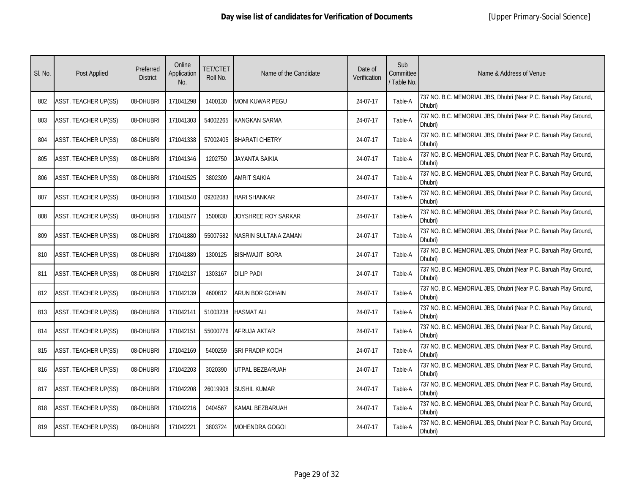| SI. No. | <b>Post Applied</b>         | Preferred<br><b>District</b> | Online<br>Application<br>No. | <b>TET/CTET</b><br>Roll No. | Name of the Candidate  | Date of<br>Verification | Sub<br>Committee<br>/ Table No. | Name & Address of Venue                                                     |
|---------|-----------------------------|------------------------------|------------------------------|-----------------------------|------------------------|-------------------------|---------------------------------|-----------------------------------------------------------------------------|
| 802     | <b>ASST. TEACHER UP(SS)</b> | 08-DHUBRI                    | 171041298                    | 1400130                     | <b>MONI KUWAR PEGU</b> | 24-07-17                | Table-A                         | 737 NO. B.C. MEMORIAL JBS, Dhubri (Near P.C. Baruah Play Ground,<br>Dhubri) |
| 803     | ASST. TEACHER UP(SS)        | 08-DHUBRI                    | 171041303                    | 54002265                    | <b>KANGKAN SARMA</b>   | 24-07-17                | Table-A                         | 737 NO. B.C. MEMORIAL JBS, Dhubri (Near P.C. Baruah Play Ground,<br>Dhubri) |
| 804     | <b>ASST. TEACHER UP(SS)</b> | 08-DHUBRI                    | 171041338                    | 57002405                    | <b>BHARATI CHETRY</b>  | 24-07-17                | Table-A                         | 737 NO. B.C. MEMORIAL JBS, Dhubri (Near P.C. Baruah Play Ground,<br>Dhubri) |
| 805     | <b>ASST. TEACHER UP(SS)</b> | 08-DHUBRI                    | 171041346                    | 1202750                     | JAYANTA SAIKIA         | 24-07-17                | Table-A                         | 737 NO. B.C. MEMORIAL JBS, Dhubri (Near P.C. Baruah Play Ground,<br>Dhubri) |
| 806     | ASST. TEACHER UP(SS)        | 08-DHUBRI                    | 171041525                    | 3802309                     | <b>AMRIT SAIKIA</b>    | 24-07-17                | Table-A                         | 737 NO. B.C. MEMORIAL JBS, Dhubri (Near P.C. Baruah Play Ground,<br>Dhubri) |
| 807     | <b>ASST. TEACHER UP(SS)</b> | 08-DHUBRI                    | 171041540                    | 09202083                    | <b>HARI SHANKAR</b>    | 24-07-17                | Table-A                         | 737 NO. B.C. MEMORIAL JBS, Dhubri (Near P.C. Baruah Play Ground,<br>Dhubri) |
| 808     | <b>ASST. TEACHER UP(SS)</b> | 08-DHUBRI                    | 171041577                    | 1500830                     | JOYSHREE ROY SARKAR    | 24-07-17                | Table-A                         | 737 NO. B.C. MEMORIAL JBS, Dhubri (Near P.C. Baruah Play Ground,<br>Dhubri) |
| 809     | <b>ASST. TEACHER UP(SS)</b> | 08-DHUBRI                    | 171041880                    | 55007582                    | NASRIN SULTANA ZAMAN   | 24-07-17                | Table-A                         | 737 NO. B.C. MEMORIAL JBS, Dhubri (Near P.C. Baruah Play Ground,<br>Dhubri) |
| 810     | <b>ASST. TEACHER UP(SS)</b> | 08-DHUBRI                    | 171041889                    | 1300125                     | <b>BISHWAJIT BORA</b>  | 24-07-17                | Table-A                         | 737 NO. B.C. MEMORIAL JBS, Dhubri (Near P.C. Baruah Play Ground,<br>Dhubri) |
| 811     | <b>ASST. TEACHER UP(SS)</b> | 08-DHUBRI                    | 171042137                    | 1303167                     | <b>DILIP PADI</b>      | 24-07-17                | Table-A                         | 737 NO. B.C. MEMORIAL JBS, Dhubri (Near P.C. Baruah Play Ground,<br>Dhubri) |
| 812     | ASST. TEACHER UP(SS)        | 08-DHUBRI                    | 171042139                    | 4600812                     | <b>ARUN BOR GOHAIN</b> | 24-07-17                | Table-A                         | 737 NO. B.C. MEMORIAL JBS, Dhubri (Near P.C. Baruah Play Ground,<br>Dhubri) |
| 813     | <b>ASST. TEACHER UP(SS)</b> | 08-DHUBRI                    | 171042141                    | 51003238                    | <b>HASMAT ALI</b>      | 24-07-17                | Table-A                         | 737 NO. B.C. MEMORIAL JBS, Dhubri (Near P.C. Baruah Play Ground,<br>Dhubri) |
| 814     | <b>ASST. TEACHER UP(SS)</b> | 08-DHUBRI                    | 171042151                    | 55000776                    | AFRUJA AKTAR           | 24-07-17                | Table-A                         | 737 NO. B.C. MEMORIAL JBS, Dhubri (Near P.C. Baruah Play Ground,<br>Dhubri) |
| 815     | <b>ASST. TEACHER UP(SS)</b> | 08-DHUBRI                    | 171042169                    | 5400259                     | SRI PRADIP KOCH        | 24-07-17                | Table-A                         | 737 NO. B.C. MEMORIAL JBS, Dhubri (Near P.C. Baruah Play Ground,<br>Dhubri) |
| 816     | ASST. TEACHER UP(SS)        | 08-DHUBRI                    | 171042203                    | 3020390                     | UTPAL BEZBARUAH        | 24-07-17                | Table-A                         | 737 NO. B.C. MEMORIAL JBS, Dhubri (Near P.C. Baruah Play Ground,<br>Dhubri) |
| 817     | <b>ASST. TEACHER UP(SS)</b> | 08-DHUBRI                    | 171042208                    | 26019908                    | <b>SUSHIL KUMAR</b>    | 24-07-17                | Table-A                         | 737 NO. B.C. MEMORIAL JBS, Dhubri (Near P.C. Baruah Play Ground,<br>Dhubri) |
| 818     | <b>ASST. TEACHER UP(SS)</b> | 08-DHUBRI                    | 171042216                    | 0404567                     | KAMAL BEZBARUAH        | 24-07-17                | Table-A                         | 737 NO. B.C. MEMORIAL JBS, Dhubri (Near P.C. Baruah Play Ground,<br>Dhubri) |
| 819     | <b>ASST. TEACHER UP(SS)</b> | 08-DHUBRI                    | 171042221                    | 3803724                     | <b>MOHENDRA GOGOI</b>  | 24-07-17                | Table-A                         | 737 NO. B.C. MEMORIAL JBS, Dhubri (Near P.C. Baruah Play Ground,<br>Dhubri) |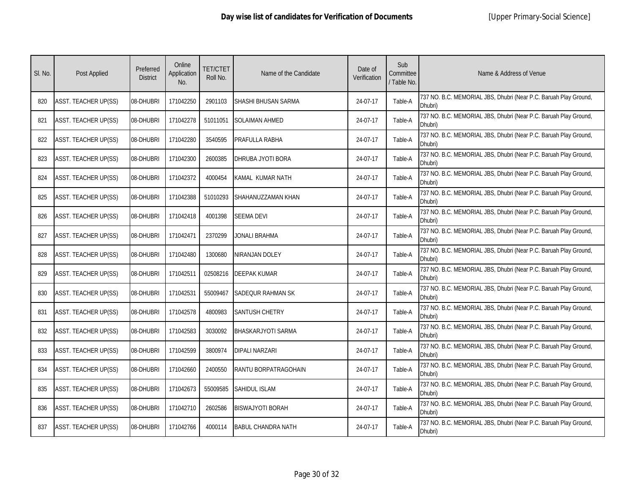| SI. No. | <b>Post Applied</b>         | Preferred<br><b>District</b> | Online<br>Application<br>No. | <b>TET/CTET</b><br>Roll No. | Name of the Candidate     | Date of<br>Verification | Sub<br>Committee<br>/ Table No. | Name & Address of Venue                                                     |
|---------|-----------------------------|------------------------------|------------------------------|-----------------------------|---------------------------|-------------------------|---------------------------------|-----------------------------------------------------------------------------|
| 820     | <b>ASST. TEACHER UP(SS)</b> | 08-DHUBRI                    | 171042250                    | 2901103                     | SHASHI BHUSAN SARMA       | 24-07-17                | Table-A                         | 737 NO. B.C. MEMORIAL JBS, Dhubri (Near P.C. Baruah Play Ground,<br>Dhubri) |
| 821     | ASST. TEACHER UP(SS)        | 08-DHUBRI                    | 171042278                    | 51011051                    | <b>SOLAIMAN AHMED</b>     | 24-07-17                | Table-A                         | 737 NO. B.C. MEMORIAL JBS, Dhubri (Near P.C. Baruah Play Ground,<br>Dhubri) |
| 822     | ASST. TEACHER UP(SS)        | 08-DHUBRI                    | 171042280                    | 3540595                     | PRAFULLA RABHA            | 24-07-17                | Table-A                         | 737 NO. B.C. MEMORIAL JBS, Dhubri (Near P.C. Baruah Play Ground,<br>Dhubri) |
| 823     | <b>ASST. TEACHER UP(SS)</b> | 08-DHUBRI                    | 171042300                    | 2600385                     | DHRUBA JYOTI BORA         | 24-07-17                | Table-A                         | 737 NO. B.C. MEMORIAL JBS, Dhubri (Near P.C. Baruah Play Ground,<br>Dhubri) |
| 824     | ASST. TEACHER UP(SS)        | 08-DHUBRI                    | 171042372                    | 4000454                     | KAMAL KUMAR NATH          | 24-07-17                | Table-A                         | 737 NO. B.C. MEMORIAL JBS, Dhubri (Near P.C. Baruah Play Ground,<br>Dhubri) |
| 825     | <b>ASST. TEACHER UP(SS)</b> | 08-DHUBRI                    | 171042388                    | 51010293                    | SHAHANUZZAMAN KHAN        | 24-07-17                | Table-A                         | 737 NO. B.C. MEMORIAL JBS, Dhubri (Near P.C. Baruah Play Ground,<br>Dhubri) |
| 826     | ASST. TEACHER UP(SS)        | 08-DHUBRI                    | 171042418                    | 4001398                     | <b>SEEMA DEVI</b>         | 24-07-17                | Table-A                         | 737 NO. B.C. MEMORIAL JBS, Dhubri (Near P.C. Baruah Play Ground,<br>Dhubri) |
| 827     | <b>ASST. TEACHER UP(SS)</b> | 08-DHUBRI                    | 171042471                    | 2370299                     | JONALI BRAHMA             | 24-07-17                | Table-A                         | 737 NO. B.C. MEMORIAL JBS, Dhubri (Near P.C. Baruah Play Ground,<br>Dhubri) |
| 828     | <b>ASST. TEACHER UP(SS)</b> | 08-DHUBRI                    | 171042480                    | 1300680                     | NIRANJAN DOLEY            | 24-07-17                | Table-A                         | 737 NO. B.C. MEMORIAL JBS, Dhubri (Near P.C. Baruah Play Ground,<br>Dhubri) |
| 829     | <b>ASST. TEACHER UP(SS)</b> | 08-DHUBRI                    | 171042511                    | 02508216                    | <b>DEEPAK KUMAR</b>       | 24-07-17                | Table-A                         | 737 NO. B.C. MEMORIAL JBS, Dhubri (Near P.C. Baruah Play Ground,<br>Dhubri) |
| 830     | ASST. TEACHER UP(SS)        | 08-DHUBRI                    | 171042531                    | 55009467                    | SADEQUR RAHMAN SK         | 24-07-17                | Table-A                         | 737 NO. B.C. MEMORIAL JBS, Dhubri (Near P.C. Baruah Play Ground,<br>Dhubri) |
| 831     | <b>ASST. TEACHER UP(SS)</b> | 08-DHUBRI                    | 171042578                    | 4800983                     | SANTUSH CHETRY            | 24-07-17                | Table-A                         | 737 NO. B.C. MEMORIAL JBS, Dhubri (Near P.C. Baruah Play Ground,<br>Dhubri) |
| 832     | ASST. TEACHER UP(SS)        | 08-DHUBRI                    | 171042583                    | 3030092                     | <b>BHASKARJYOTI SARMA</b> | 24-07-17                | Table-A                         | 737 NO. B.C. MEMORIAL JBS, Dhubri (Near P.C. Baruah Play Ground,<br>Dhubri) |
| 833     | <b>ASST. TEACHER UP(SS)</b> | 08-DHUBRI                    | 171042599                    | 3800974                     | <b>DIPALI NARZARI</b>     | 24-07-17                | Table-A                         | 737 NO. B.C. MEMORIAL JBS, Dhubri (Near P.C. Baruah Play Ground,<br>Dhubri) |
| 834     | ASST. TEACHER UP(SS)        | 08-DHUBRI                    | 171042660                    | 2400550                     | RANTU BORPATRAGOHAIN      | 24-07-17                | Table-A                         | 737 NO. B.C. MEMORIAL JBS, Dhubri (Near P.C. Baruah Play Ground,<br>Dhubri) |
| 835     | ASST. TEACHER UP(SS)        | 08-DHUBRI                    | 171042673                    | 55009585                    | <b>SAHIDUL ISLAM</b>      | 24-07-17                | Table-A                         | 737 NO. B.C. MEMORIAL JBS, Dhubri (Near P.C. Baruah Play Ground,<br>Dhubri) |
| 836     | <b>ASST. TEACHER UP(SS)</b> | 08-DHUBRI                    | 171042710                    | 2602586                     | <b>BISWAJYOTI BORAH</b>   | 24-07-17                | Table-A                         | 737 NO. B.C. MEMORIAL JBS, Dhubri (Near P.C. Baruah Play Ground,<br>Dhubri) |
| 837     | <b>ASST. TEACHER UP(SS)</b> | 08-DHUBRI                    | 171042766                    | 4000114                     | <b>BABUL CHANDRA NATH</b> | 24-07-17                | Table-A                         | 737 NO. B.C. MEMORIAL JBS, Dhubri (Near P.C. Baruah Play Ground,<br>Dhubri) |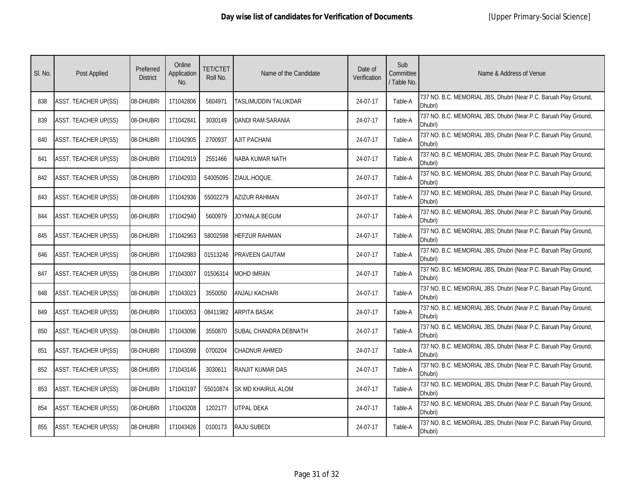| SI. No. | Post Applied                | Preferred<br><b>District</b> | Online<br>Application<br>No. | <b>TET/CTET</b><br>Roll No. | Name of the Candidate | Date of<br>Verification | Sub<br>Committee<br>/ Table No. | Name & Address of Venue                                                     |
|---------|-----------------------------|------------------------------|------------------------------|-----------------------------|-----------------------|-------------------------|---------------------------------|-----------------------------------------------------------------------------|
| 838     | <b>ASST. TEACHER UP(SS)</b> | 08-DHUBRI                    | 171042806                    | 5604971                     | TASLIMUDDIN TALUKDAR  | 24-07-17                | Table-A                         | 737 NO. B.C. MEMORIAL JBS, Dhubri (Near P.C. Baruah Play Ground,<br>Dhubri) |
| 839     | ASST. TEACHER UP(SS)        | 08-DHUBRI                    | 171042841                    | 3030149                     | DANDI RAM SARANIA     | 24-07-17                | Table-A                         | 737 NO. B.C. MEMORIAL JBS, Dhubri (Near P.C. Baruah Play Ground,<br>Dhubri) |
| 840     | <b>ASST. TEACHER UP(SS)</b> | 08-DHUBRI                    | 171042905                    | 2700937                     | <b>AJIT PACHANI</b>   | 24-07-17                | Table-A                         | 737 NO. B.C. MEMORIAL JBS, Dhubri (Near P.C. Baruah Play Ground,<br>Dhubri) |
| 841     | <b>ASST. TEACHER UP(SS)</b> | 08-DHUBRI                    | 171042919                    | 2551466                     | NABA KUMAR NATH       | 24-07-17                | Table-A                         | 737 NO. B.C. MEMORIAL JBS, Dhubri (Near P.C. Baruah Play Ground,<br>Dhubri) |
| 842     | <b>ASST. TEACHER UP(SS)</b> | 08-DHUBRI                    | 171042933                    | 54005095                    | ZIAUL.HOQUE.          | 24-07-17                | Table-A                         | 737 NO. B.C. MEMORIAL JBS, Dhubri (Near P.C. Baruah Play Ground,<br>Dhubri) |
| 843     | <b>ASST. TEACHER UP(SS)</b> | 08-DHUBRI                    | 171042936                    | 55002279                    | <b>AZIZUR RAHMAN</b>  | 24-07-17                | Table-A                         | 737 NO. B.C. MEMORIAL JBS, Dhubri (Near P.C. Baruah Play Ground,<br>Dhubri) |
| 844     | <b>ASST. TEACHER UP(SS)</b> | 08-DHUBRI                    | 171042940                    | 5600979                     | JOYMALA BEGUM         | 24-07-17                | Table-A                         | 737 NO. B.C. MEMORIAL JBS, Dhubri (Near P.C. Baruah Play Ground,<br>Dhubri) |
| 845     | <b>ASST. TEACHER UP(SS)</b> | 08-DHUBRI                    | 171042963                    | 58002598                    | HEFZUR RAHMAN         | 24-07-17                | Table-A                         | 737 NO. B.C. MEMORIAL JBS, Dhubri (Near P.C. Baruah Play Ground,<br>Dhubri) |
| 846     | <b>ASST. TEACHER UP(SS)</b> | 08-DHUBRI                    | 171042983                    | 01513246                    | PRAVEEN GAUTAM        | 24-07-17                | Table-A                         | 737 NO. B.C. MEMORIAL JBS, Dhubri (Near P.C. Baruah Play Ground,<br>Dhubri) |
| 847     | <b>ASST. TEACHER UP(SS)</b> | 08-DHUBRI                    | 171043007                    | 01506314                    | <b>MOHD IMRAN</b>     | 24-07-17                | Table-A                         | 737 NO. B.C. MEMORIAL JBS, Dhubri (Near P.C. Baruah Play Ground,<br>Dhubri) |
| 848     | <b>ASST. TEACHER UP(SS)</b> | 08-DHUBRI                    | 171043023                    | 3550050                     | ANJALI KACHARI        | 24-07-17                | Table-A                         | 737 NO. B.C. MEMORIAL JBS, Dhubri (Near P.C. Baruah Play Ground,<br>Dhubri) |
| 849     | <b>ASST. TEACHER UP(SS)</b> | 08-DHUBRI                    | 171043053                    | 08411982                    | ARPITA BASAK          | 24-07-17                | Table-A                         | 737 NO. B.C. MEMORIAL JBS, Dhubri (Near P.C. Baruah Play Ground,<br>Dhubri) |
| 850     | <b>ASST. TEACHER UP(SS)</b> | 08-DHUBRI                    | 171043096                    | 3550870                     | SUBAL CHANDRA DEBNATH | 24-07-17                | Table-A                         | 737 NO. B.C. MEMORIAL JBS, Dhubri (Near P.C. Baruah Play Ground,<br>Dhubri) |
| 851     | <b>ASST. TEACHER UP(SS)</b> | 08-DHUBRI                    | 171043098                    | 0700204                     | <b>CHADNUR AHMED</b>  | 24-07-17                | Table-A                         | 737 NO. B.C. MEMORIAL JBS, Dhubri (Near P.C. Baruah Play Ground,<br>Dhubri) |
| 852     | <b>ASST. TEACHER UP(SS)</b> | 08-DHUBRI                    | 171043146                    | 3030611                     | RANJIT KUMAR DAS      | 24-07-17                | Table-A                         | 737 NO. B.C. MEMORIAL JBS, Dhubri (Near P.C. Baruah Play Ground,<br>Dhubri) |
| 853     | <b>ASST. TEACHER UP(SS)</b> | 08-DHUBRI                    | 171043197                    | 55010874                    | SK MD KHAIRUL ALOM    | 24-07-17                | Table-A                         | 737 NO. B.C. MEMORIAL JBS, Dhubri (Near P.C. Baruah Play Ground,<br>Dhubri) |
| 854     | ASST. TEACHER UP(SS)        | 08-DHUBRI                    | 171043208                    | 1202177                     | <b>UTPAL DEKA</b>     | 24-07-17                | Table-A                         | 737 NO. B.C. MEMORIAL JBS, Dhubri (Near P.C. Baruah Play Ground,<br>Dhubri) |
| 855     | <b>ASST. TEACHER UP(SS)</b> | 08-DHUBRI                    | 171043426                    | 0100173                     | <b>RAJU SUBEDI</b>    | 24-07-17                | Table-A                         | 737 NO. B.C. MEMORIAL JBS, Dhubri (Near P.C. Baruah Play Ground,<br>Dhubri) |